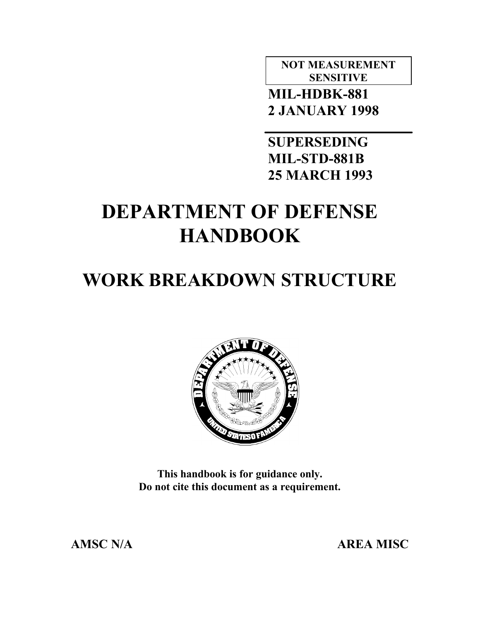**NOT MEASUREMENT SENSITIVE**

**MIL-HDBK-881 2 JANUARY 1998**

**SUPERSEDING MIL-STD-881B 25 MARCH 1993**

# **DEPARTMENT OF DEFENSE HANDBOOK**

# **WORK BREAKDOWN STRUCTURE**



**This handbook is for guidance only. Do not cite this document as a requirement.**

**AMSC N/A** AREA MISC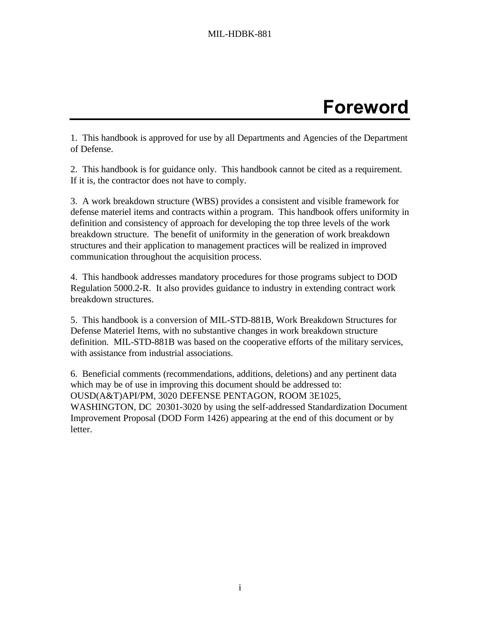# **Foreword**

1. This handbook is approved for use by all Departments and Agencies of the Department of Defense.

2. This handbook is for guidance only. This handbook cannot be cited as a requirement. If it is, the contractor does not have to comply.

3. A work breakdown structure (WBS) provides a consistent and visible framework for defense materiel items and contracts within a program. This handbook offers uniformity in definition and consistency of approach for developing the top three levels of the work breakdown structure. The benefit of uniformity in the generation of work breakdown structures and their application to management practices will be realized in improved communication throughout the acquisition process.

4. This handbook addresses mandatory procedures for those programs subject to DOD Regulation 5000.2-R. It also provides guidance to industry in extending contract work breakdown structures.

5. This handbook is a conversion of MIL-STD-881B, Work Breakdown Structures for Defense Materiel Items, with no substantive changes in work breakdown structure definition. MIL-STD-881B was based on the cooperative efforts of the military services, with assistance from industrial associations.

6. Beneficial comments (recommendations, additions, deletions) and any pertinent data which may be of use in improving this document should be addressed to: OUSD(A&T)API/PM, 3020 DEFENSE PENTAGON, ROOM 3E1025, WASHINGTON, DC 20301-3020 by using the self-addressed Standardization Document Improvement Proposal (DOD Form 1426) appearing at the end of this document or by letter.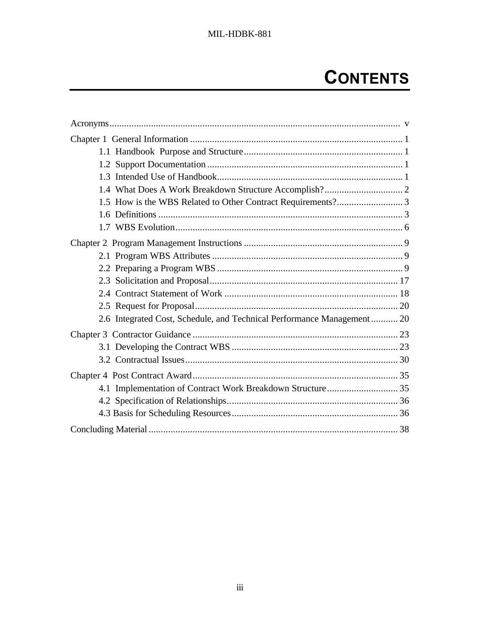# **CONTENTS**

| 2.6 Integrated Cost, Schedule, and Technical Performance Management 20 |
|------------------------------------------------------------------------|
|                                                                        |
|                                                                        |
|                                                                        |
|                                                                        |
|                                                                        |
|                                                                        |
|                                                                        |
|                                                                        |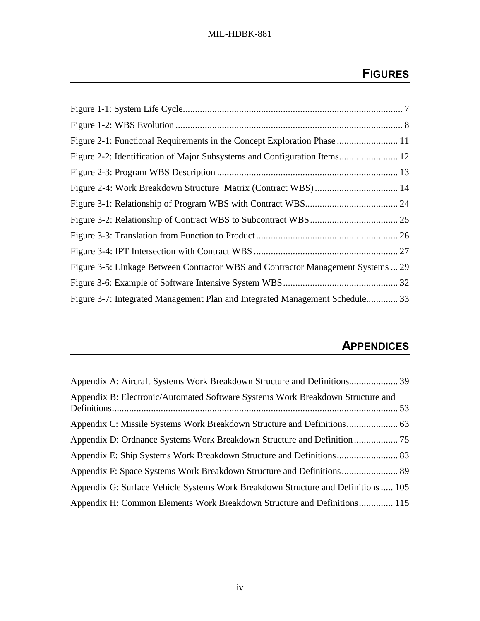# **FIGURES**

| Figure 3-5: Linkage Between Contractor WBS and Contractor Management Systems  29 |  |
|----------------------------------------------------------------------------------|--|
|                                                                                  |  |
| Figure 3-7: Integrated Management Plan and Integrated Management Schedule 33     |  |
|                                                                                  |  |

## **APPENDICES**

| Appendix B: Electronic/Automated Software Systems Work Breakdown Structure and    |  |
|-----------------------------------------------------------------------------------|--|
|                                                                                   |  |
|                                                                                   |  |
|                                                                                   |  |
|                                                                                   |  |
| Appendix G: Surface Vehicle Systems Work Breakdown Structure and Definitions  105 |  |
| Appendix H: Common Elements Work Breakdown Structure and Definitions 115          |  |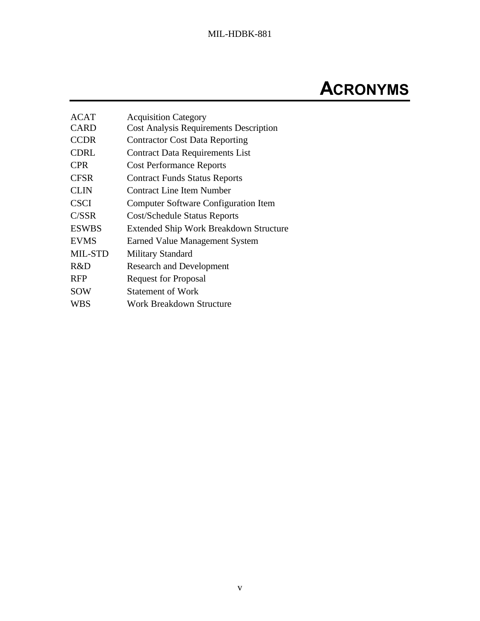# **ACRONYMS**

| <b>ACAT</b>    | <b>Acquisition Category</b>                   |
|----------------|-----------------------------------------------|
| <b>CARD</b>    | <b>Cost Analysis Requirements Description</b> |
| <b>CCDR</b>    | <b>Contractor Cost Data Reporting</b>         |
| <b>CDRL</b>    | <b>Contract Data Requirements List</b>        |
| <b>CPR</b>     | <b>Cost Performance Reports</b>               |
| <b>CFSR</b>    | <b>Contract Funds Status Reports</b>          |
| <b>CLIN</b>    | Contract Line Item Number                     |
| <b>CSCI</b>    | Computer Software Configuration Item          |
| C/SSR          | Cost/Schedule Status Reports                  |
| <b>ESWBS</b>   | Extended Ship Work Breakdown Structure        |
| <b>EVMS</b>    | <b>Earned Value Management System</b>         |
| <b>MIL-STD</b> | Military Standard                             |
| R&D            | <b>Research and Development</b>               |
| <b>RFP</b>     | <b>Request for Proposal</b>                   |
| SOW            | <b>Statement of Work</b>                      |
| WBS            | Work Breakdown Structure                      |
|                |                                               |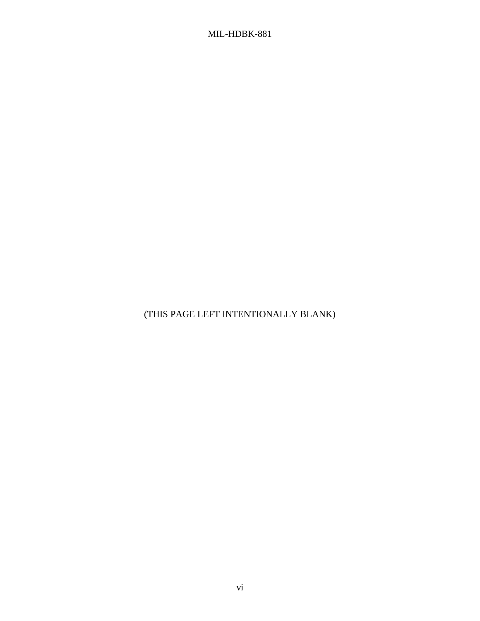(THIS PAGE LEFT INTENTIONALLY BLANK)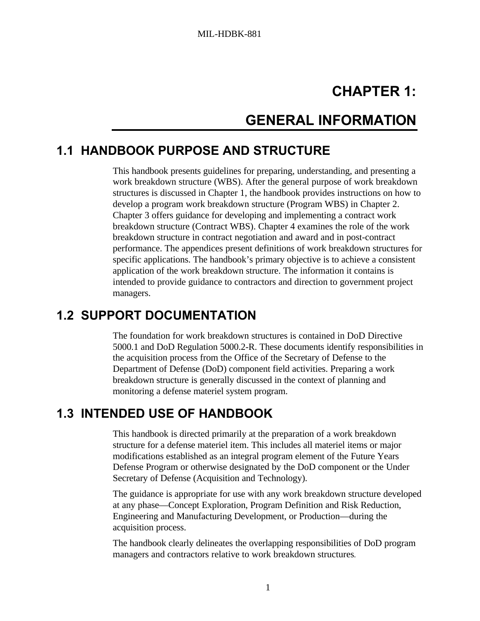# **CHAPTER 1:**

# **GENERAL INFORMATION**

## **1.1 HANDBOOK PURPOSE AND STRUCTURE**

This handbook presents guidelines for preparing, understanding, and presenting a work breakdown structure (WBS). After the general purpose of work breakdown structures is discussed in Chapter 1, the handbook provides instructions on how to develop a program work breakdown structure (Program WBS) in Chapter 2. Chapter 3 offers guidance for developing and implementing a contract work breakdown structure (Contract WBS). Chapter 4 examines the role of the work breakdown structure in contract negotiation and award and in post-contract performance. The appendices present definitions of work breakdown structures for specific applications. The handbook's primary objective is to achieve a consistent application of the work breakdown structure. The information it contains is intended to provide guidance to contractors and direction to government project managers.

# **1.2 SUPPORT DOCUMENTATION**

The foundation for work breakdown structures is contained in DoD Directive 5000.1 and DoD Regulation 5000.2-R. These documents identify responsibilities in the acquisition process from the Office of the Secretary of Defense to the Department of Defense (DoD) component field activities. Preparing a work breakdown structure is generally discussed in the context of planning and monitoring a defense materiel system program.

# **1.3 INTENDED USE OF HANDBOOK**

This handbook is directed primarily at the preparation of a work breakdown structure for a defense materiel item. This includes all materiel items or major modifications established as an integral program element of the Future Years Defense Program or otherwise designated by the DoD component or the Under Secretary of Defense (Acquisition and Technology).

The guidance is appropriate for use with any work breakdown structure developed at any phase—Concept Exploration, Program Definition and Risk Reduction, Engineering and Manufacturing Development, or Production—during the acquisition process.

The handbook clearly delineates the overlapping responsibilities of DoD program managers and contractors relative to work breakdown structures*.*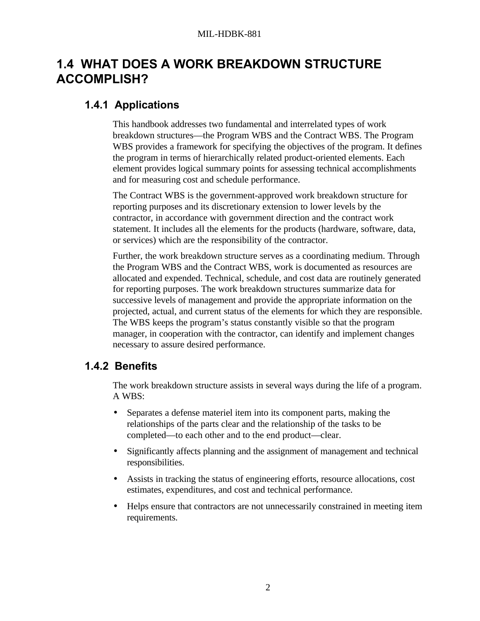# **1.4 WHAT DOES A WORK BREAKDOWN STRUCTURE ACCOMPLISH?**

#### **1.4.1 Applications**

This handbook addresses two fundamental and interrelated types of work breakdown structures—the Program WBS and the Contract WBS. The Program WBS provides a framework for specifying the objectives of the program. It defines the program in terms of hierarchically related product-oriented elements. Each element provides logical summary points for assessing technical accomplishments and for measuring cost and schedule performance.

The Contract WBS is the government-approved work breakdown structure for reporting purposes and its discretionary extension to lower levels by the contractor, in accordance with government direction and the contract work statement. It includes all the elements for the products (hardware, software, data, or services) which are the responsibility of the contractor.

Further, the work breakdown structure serves as a coordinating medium. Through the Program WBS and the Contract WBS, work is documented as resources are allocated and expended. Technical, schedule, and cost data are routinely generated for reporting purposes. The work breakdown structures summarize data for successive levels of management and provide the appropriate information on the projected, actual, and current status of the elements for which they are responsible. The WBS keeps the program's status constantly visible so that the program manager, in cooperation with the contractor, can identify and implement changes necessary to assure desired performance.

#### **1.4.2 Benefits**

The work breakdown structure assists in several ways during the life of a program. A WBS:

- Separates a defense materiel item into its component parts, making the relationships of the parts clear and the relationship of the tasks to be completed—to each other and to the end product—clear.
- Significantly affects planning and the assignment of management and technical responsibilities.
- Assists in tracking the status of engineering efforts, resource allocations, cost estimates, expenditures, and cost and technical performance.
- Helps ensure that contractors are not unnecessarily constrained in meeting item requirements.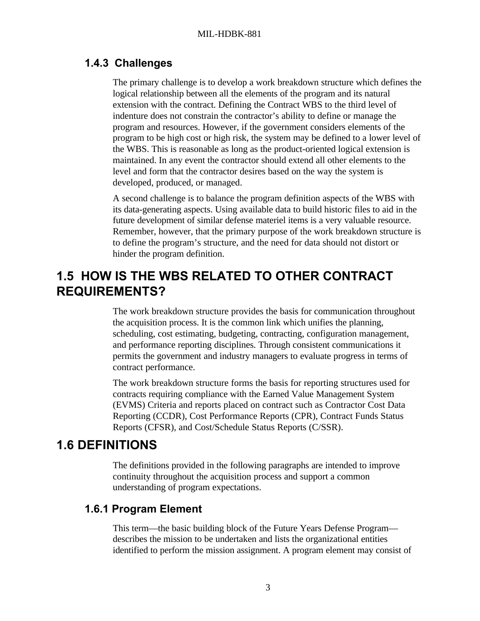#### **1.4.3 Challenges**

The primary challenge is to develop a work breakdown structure which defines the logical relationship between all the elements of the program and its natural extension with the contract. Defining the Contract WBS to the third level of indenture does not constrain the contractor's ability to define or manage the program and resources. However, if the government considers elements of the program to be high cost or high risk, the system may be defined to a lower level of the WBS. This is reasonable as long as the product-oriented logical extension is maintained. In any event the contractor should extend all other elements to the level and form that the contractor desires based on the way the system is developed, produced, or managed.

A second challenge is to balance the program definition aspects of the WBS with its data-generating aspects. Using available data to build historic files to aid in the future development of similar defense materiel items is a very valuable resource. Remember, however, that the primary purpose of the work breakdown structure is to define the program's structure, and the need for data should not distort or hinder the program definition.

## **1.5 HOW IS THE WBS RELATED TO OTHER CONTRACT REQUIREMENTS?**

The work breakdown structure provides the basis for communication throughout the acquisition process. It is the common link which unifies the planning, scheduling, cost estimating, budgeting, contracting, configuration management, and performance reporting disciplines. Through consistent communications it permits the government and industry managers to evaluate progress in terms of contract performance.

The work breakdown structure forms the basis for reporting structures used for contracts requiring compliance with the Earned Value Management System (EVMS) Criteria and reports placed on contract such as Contractor Cost Data Reporting (CCDR), Cost Performance Reports (CPR), Contract Funds Status Reports (CFSR), and Cost/Schedule Status Reports (C/SSR).

# **1.6 DEFINITIONS**

The definitions provided in the following paragraphs are intended to improve continuity throughout the acquisition process and support a common understanding of program expectations.

#### **1.6.1 Program Element**

This term—the basic building block of the Future Years Defense Program describes the mission to be undertaken and lists the organizational entities identified to perform the mission assignment. A program element may consist of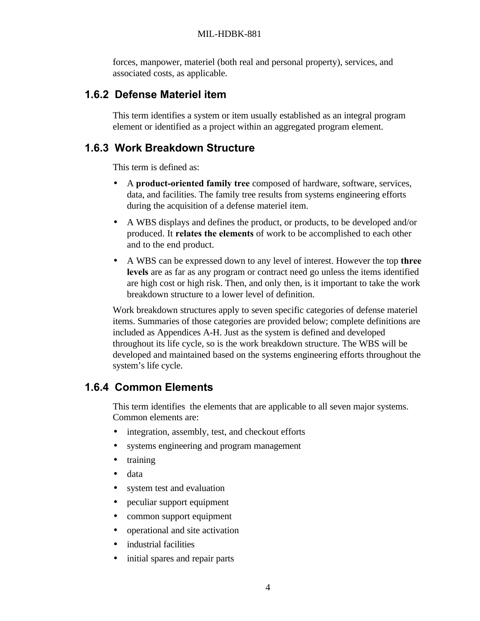forces, manpower, materiel (both real and personal property), services, and associated costs, as applicable.

#### **1.6.2 Defense Materiel item**

This term identifies a system or item usually established as an integral program element or identified as a project within an aggregated program element.

#### **1.6.3 Work Breakdown Structure**

This term is defined as:

- A **product-oriented family tree** composed of hardware, software, services, data, and facilities. The family tree results from systems engineering efforts during the acquisition of a defense materiel item.
- A WBS displays and defines the product, or products, to be developed and/or produced. It **relates the elements** of work to be accomplished to each other and to the end product.
- A WBS can be expressed down to any level of interest. However the top **three levels** are as far as any program or contract need go unless the items identified are high cost or high risk. Then, and only then, is it important to take the work breakdown structure to a lower level of definition.

Work breakdown structures apply to seven specific categories of defense materiel items. Summaries of those categories are provided below; complete definitions are included as Appendices A-H. Just as the system is defined and developed throughout its life cycle, so is the work breakdown structure. The WBS will be developed and maintained based on the systems engineering efforts throughout the system's life cycle.

#### **1.6.4 Common Elements**

This term identifies the elements that are applicable to all seven major systems. Common elements are:

- integration, assembly, test, and checkout efforts
- systems engineering and program management
- training
- data
- system test and evaluation
- peculiar support equipment
- common support equipment
- operational and site activation
- industrial facilities
- initial spares and repair parts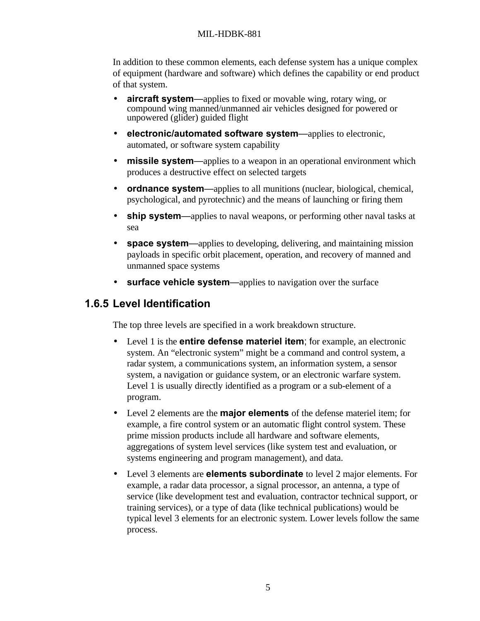In addition to these common elements, each defense system has a unique complex of equipment (hardware and software) which defines the capability or end product of that system.

- **aircraft system**—applies to fixed or movable wing, rotary wing, or compound wing manned/unmanned air vehicles designed for powered or unpowered (glider) guided flight
- **electronic/automated software system**—applies to electronic, automated, or software system capability
- **missile system**—applies to a weapon in an operational environment which produces a destructive effect on selected targets
- **ordnance system**—applies to all munitions (nuclear, biological, chemical, psychological, and pyrotechnic) and the means of launching or firing them
- **ship system**—applies to naval weapons, or performing other naval tasks at sea
- **space system**—applies to developing, delivering, and maintaining mission payloads in specific orbit placement, operation, and recovery of manned and unmanned space systems
- **surface vehicle system**—applies to navigation over the surface

#### **1.6.5 Level Identification**

The top three levels are specified in a work breakdown structure.

- Level 1 is the **entire defense materiel item**; for example, an electronic system. An "electronic system" might be a command and control system, a radar system, a communications system, an information system, a sensor system, a navigation or guidance system, or an electronic warfare system. Level 1 is usually directly identified as a program or a sub-element of a program.
- Level 2 elements are the **major elements** of the defense materiel item; for example, a fire control system or an automatic flight control system. These prime mission products include all hardware and software elements, aggregations of system level services (like system test and evaluation, or systems engineering and program management), and data.
- Level 3 elements are **elements subordinate** to level 2 major elements. For example, a radar data processor, a signal processor, an antenna, a type of service (like development test and evaluation, contractor technical support, or training services), or a type of data (like technical publications) would be typical level 3 elements for an electronic system. Lower levels follow the same process.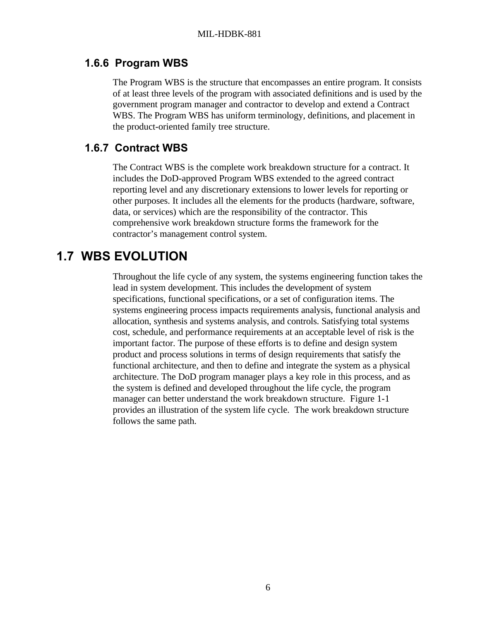#### **1.6.6 Program WBS**

The Program WBS is the structure that encompasses an entire program. It consists of at least three levels of the program with associated definitions and is used by the government program manager and contractor to develop and extend a Contract WBS. The Program WBS has uniform terminology, definitions, and placement in the product-oriented family tree structure.

#### **1.6.7 Contract WBS**

The Contract WBS is the complete work breakdown structure for a contract. It includes the DoD-approved Program WBS extended to the agreed contract reporting level and any discretionary extensions to lower levels for reporting or other purposes. It includes all the elements for the products (hardware, software, data, or services) which are the responsibility of the contractor. This comprehensive work breakdown structure forms the framework for the contractor's management control system.

## **1.7 WBS EVOLUTION**

Throughout the life cycle of any system, the systems engineering function takes the lead in system development. This includes the development of system specifications, functional specifications, or a set of configuration items. The systems engineering process impacts requirements analysis, functional analysis and allocation, synthesis and systems analysis, and controls. Satisfying total systems cost, schedule, and performance requirements at an acceptable level of risk is the important factor. The purpose of these efforts is to define and design system product and process solutions in terms of design requirements that satisfy the functional architecture, and then to define and integrate the system as a physical architecture. The DoD program manager plays a key role in this process, and as the system is defined and developed throughout the life cycle, the program manager can better understand the work breakdown structure. Figure 1-1 provides an illustration of the system life cycle. The work breakdown structure follows the same path.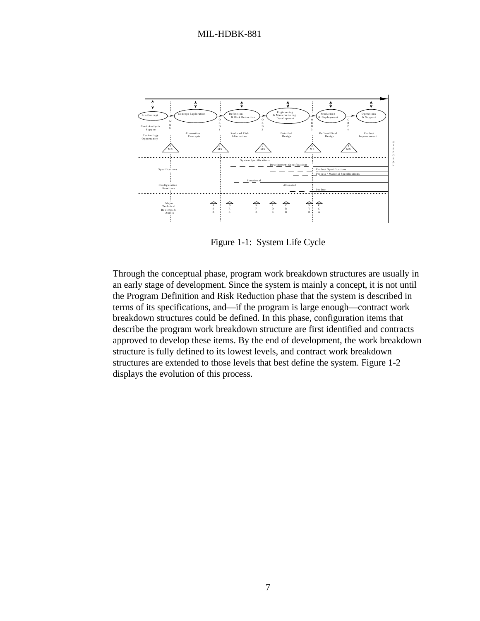

Figure 1-1: System Life Cycle

Through the conceptual phase, program work breakdown structures are usually in an early stage of development. Since the system is mainly a concept, it is not until the Program Definition and Risk Reduction phase that the system is described in terms of its specifications, and—if the program is large enough—contract work breakdown structures could be defined. In this phase, configuration items that describe the program work breakdown structure are first identified and contracts approved to develop these items. By the end of development, the work breakdown structure is fully defined to its lowest levels, and contract work breakdown structures are extended to those levels that best define the system. Figure 1-2 displays the evolution of this process.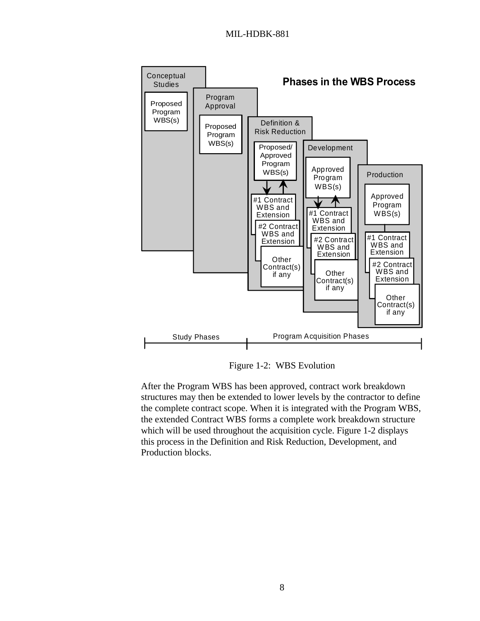

Figure 1-2: WBS Evolution

After the Program WBS has been approved, contract work breakdown structures may then be extended to lower levels by the contractor to define the complete contract scope. When it is integrated with the Program WBS, the extended Contract WBS forms a complete work breakdown structure which will be used throughout the acquisition cycle. Figure 1-2 displays this process in the Definition and Risk Reduction, Development, and Production blocks.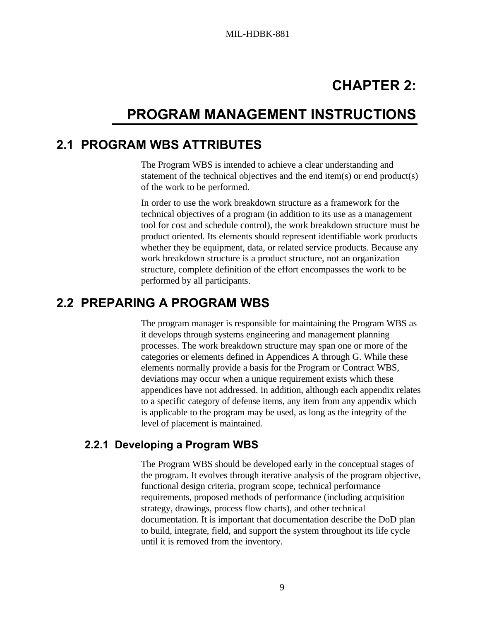# **CHAPTER 2:**

# **PROGRAM MANAGEMENT INSTRUCTIONS**

## **2.1 PROGRAM WBS ATTRIBUTES**

The Program WBS is intended to achieve a clear understanding and statement of the technical objectives and the end item(s) or end product(s) of the work to be performed.

In order to use the work breakdown structure as a framework for the technical objectives of a program (in addition to its use as a management tool for cost and schedule control), the work breakdown structure must be product oriented. Its elements should represent identifiable work products whether they be equipment, data, or related service products. Because any work breakdown structure is a product structure, not an organization structure, complete definition of the effort encompasses the work to be performed by all participants.

### **2.2 PREPARING A PROGRAM WBS**

The program manager is responsible for maintaining the Program WBS as it develops through systems engineering and management planning processes. The work breakdown structure may span one or more of the categories or elements defined in Appendices A through G. While these elements normally provide a basis for the Program or Contract WBS, deviations may occur when a unique requirement exists which these appendices have not addressed. In addition, although each appendix relates to a specific category of defense items, any item from any appendix which is applicable to the program may be used, as long as the integrity of the level of placement is maintained.

#### **2.2.1 Developing a Program WBS**

The Program WBS should be developed early in the conceptual stages of the program. It evolves through iterative analysis of the program objective, functional design criteria, program scope, technical performance requirements, proposed methods of performance (including acquisition strategy, drawings, process flow charts), and other technical documentation. It is important that documentation describe the DoD plan to build, integrate, field, and support the system throughout its life cycle until it is removed from the inventory.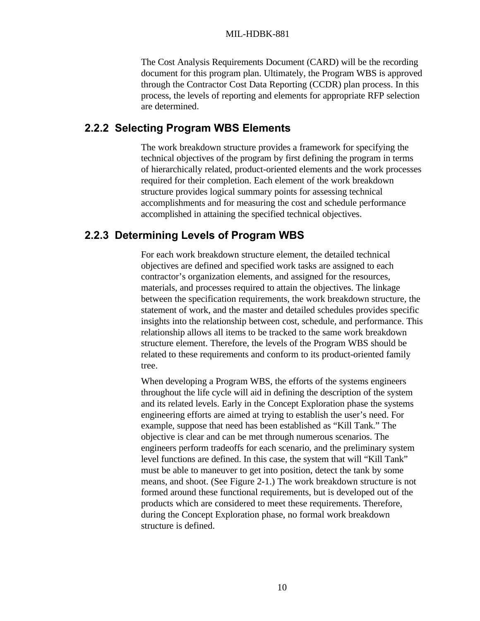The Cost Analysis Requirements Document (CARD) will be the recording document for this program plan. Ultimately, the Program WBS is approved through the Contractor Cost Data Reporting (CCDR) plan process. In this process, the levels of reporting and elements for appropriate RFP selection are determined.

#### **2.2.2 Selecting Program WBS Elements**

The work breakdown structure provides a framework for specifying the technical objectives of the program by first defining the program in terms of hierarchically related, product-oriented elements and the work processes required for their completion. Each element of the work breakdown structure provides logical summary points for assessing technical accomplishments and for measuring the cost and schedule performance accomplished in attaining the specified technical objectives.

#### **2.2.3 Determining Levels of Program WBS**

For each work breakdown structure element, the detailed technical objectives are defined and specified work tasks are assigned to each contractor's organization elements, and assigned for the resources, materials, and processes required to attain the objectives. The linkage between the specification requirements, the work breakdown structure, the statement of work, and the master and detailed schedules provides specific insights into the relationship between cost, schedule, and performance. This relationship allows all items to be tracked to the same work breakdown structure element. Therefore, the levels of the Program WBS should be related to these requirements and conform to its product-oriented family tree.

When developing a Program WBS, the efforts of the systems engineers throughout the life cycle will aid in defining the description of the system and its related levels. Early in the Concept Exploration phase the systems engineering efforts are aimed at trying to establish the user's need. For example, suppose that need has been established as "Kill Tank." The objective is clear and can be met through numerous scenarios. The engineers perform tradeoffs for each scenario, and the preliminary system level functions are defined. In this case, the system that will "Kill Tank" must be able to maneuver to get into position, detect the tank by some means, and shoot. (See Figure 2-1.) The work breakdown structure is not formed around these functional requirements, but is developed out of the products which are considered to meet these requirements. Therefore, during the Concept Exploration phase, no formal work breakdown structure is defined.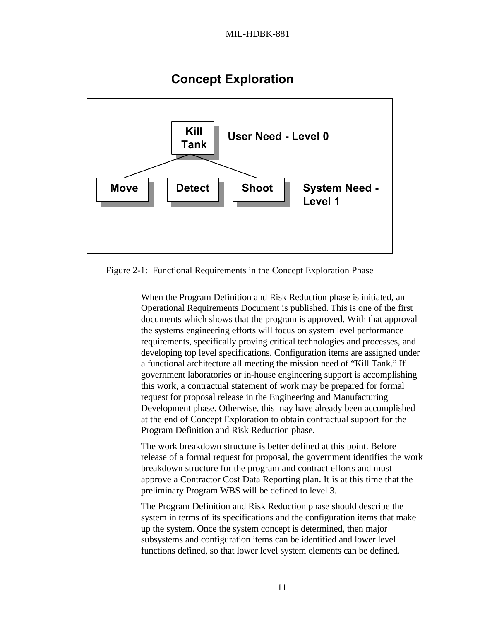



Figure 2-1: Functional Requirements in the Concept Exploration Phase

When the Program Definition and Risk Reduction phase is initiated, an Operational Requirements Document is published. This is one of the first documents which shows that the program is approved. With that approval the systems engineering efforts will focus on system level performance requirements, specifically proving critical technologies and processes, and developing top level specifications. Configuration items are assigned under a functional architecture all meeting the mission need of "Kill Tank." If government laboratories or in-house engineering support is accomplishing this work, a contractual statement of work may be prepared for formal request for proposal release in the Engineering and Manufacturing Development phase. Otherwise, this may have already been accomplished at the end of Concept Exploration to obtain contractual support for the Program Definition and Risk Reduction phase.

The work breakdown structure is better defined at this point. Before release of a formal request for proposal, the government identifies the work breakdown structure for the program and contract efforts and must approve a Contractor Cost Data Reporting plan. It is at this time that the preliminary Program WBS will be defined to level 3.

The Program Definition and Risk Reduction phase should describe the system in terms of its specifications and the configuration items that make up the system. Once the system concept is determined, then major subsystems and configuration items can be identified and lower level functions defined, so that lower level system elements can be defined.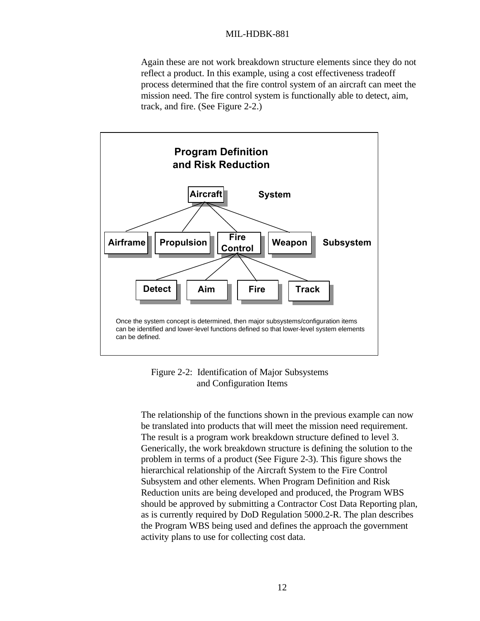Again these are not work breakdown structure elements since they do not reflect a product. In this example, using a cost effectiveness tradeoff process determined that the fire control system of an aircraft can meet the mission need. The fire control system is functionally able to detect, aim, track, and fire. (See Figure 2-2.)



#### Figure 2-2: Identification of Major Subsystems and Configuration Items

The relationship of the functions shown in the previous example can now be translated into products that will meet the mission need requirement. The result is a program work breakdown structure defined to level 3. Generically, the work breakdown structure is defining the solution to the problem in terms of a product (See Figure 2-3). This figure shows the hierarchical relationship of the Aircraft System to the Fire Control Subsystem and other elements. When Program Definition and Risk Reduction units are being developed and produced, the Program WBS should be approved by submitting a Contractor Cost Data Reporting plan, as is currently required by DoD Regulation 5000.2-R. The plan describes the Program WBS being used and defines the approach the government activity plans to use for collecting cost data.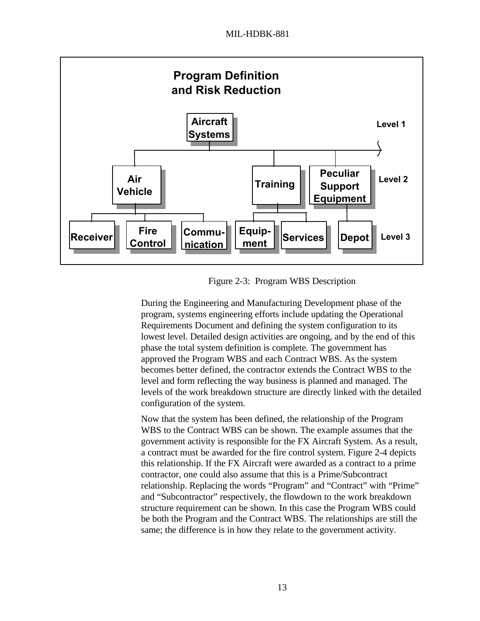

Figure 2-3: Program WBS Description

During the Engineering and Manufacturing Development phase of the program, systems engineering efforts include updating the Operational Requirements Document and defining the system configuration to its lowest level. Detailed design activities are ongoing, and by the end of this phase the total system definition is complete. The government has approved the Program WBS and each Contract WBS. As the system becomes better defined, the contractor extends the Contract WBS to the level and form reflecting the way business is planned and managed. The levels of the work breakdown structure are directly linked with the detailed configuration of the system.

Now that the system has been defined, the relationship of the Program WBS to the Contract WBS can be shown. The example assumes that the government activity is responsible for the FX Aircraft System. As a result, a contract must be awarded for the fire control system. Figure 2-4 depicts this relationship. If the FX Aircraft were awarded as a contract to a prime contractor, one could also assume that this is a Prime/Subcontract relationship. Replacing the words "Program" and "Contract" with "Prime" and "Subcontractor" respectively, the flowdown to the work breakdown structure requirement can be shown. In this case the Program WBS could be both the Program and the Contract WBS. The relationships are still the same; the difference is in how they relate to the government activity.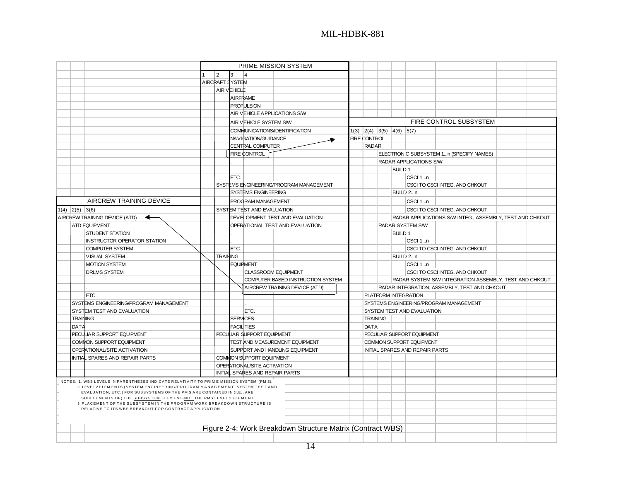|                                                                                                                                                |                  |                                                                                        | PRIME MISSION SYSTEM |                 |             |                                 |                                                                    |  |                                                                                                        |                                    |                                 |                            |                                                          |  |  |
|------------------------------------------------------------------------------------------------------------------------------------------------|------------------|----------------------------------------------------------------------------------------|----------------------|-----------------|-------------|---------------------------------|--------------------------------------------------------------------|--|--------------------------------------------------------------------------------------------------------|------------------------------------|---------------------------------|----------------------------|----------------------------------------------------------|--|--|
|                                                                                                                                                |                  |                                                                                        |                      | $\overline{2}$  | lз          | 14                              |                                                                    |  |                                                                                                        |                                    |                                 |                            |                                                          |  |  |
|                                                                                                                                                |                  |                                                                                        |                      | AIRCRAFT SYSTEM |             |                                 |                                                                    |  |                                                                                                        |                                    |                                 |                            |                                                          |  |  |
|                                                                                                                                                |                  |                                                                                        |                      |                 | AIR VEHICLE |                                 |                                                                    |  |                                                                                                        |                                    |                                 |                            |                                                          |  |  |
|                                                                                                                                                |                  |                                                                                        |                      |                 |             | AIRFRAME                        |                                                                    |  |                                                                                                        |                                    |                                 |                            |                                                          |  |  |
|                                                                                                                                                |                  |                                                                                        |                      |                 |             | <b>PROPULSION</b>               |                                                                    |  |                                                                                                        |                                    |                                 |                            |                                                          |  |  |
|                                                                                                                                                |                  |                                                                                        |                      |                 |             |                                 | AIR VEHICLE APPLICATIONS S/W                                       |  |                                                                                                        |                                    |                                 |                            |                                                          |  |  |
|                                                                                                                                                |                  |                                                                                        |                      |                 |             | AIR VEHICLE SYSTEM S/W          |                                                                    |  |                                                                                                        |                                    |                                 |                            | FIRE CONTROL SUBSYSTEM                                   |  |  |
|                                                                                                                                                |                  |                                                                                        |                      |                 |             |                                 | COMMUNICATIONS/IDENTIFICATION                                      |  |                                                                                                        | $1(3)$ $2(4)$ $3(5)$ $4(6)$ $5(7)$ |                                 |                            |                                                          |  |  |
|                                                                                                                                                |                  |                                                                                        |                      |                 |             | NAVIGATION/GUIDANCE             |                                                                    |  | FIRE CONTROL                                                                                           |                                    |                                 |                            |                                                          |  |  |
|                                                                                                                                                |                  |                                                                                        |                      |                 |             | CENTRAL COMPUTER                |                                                                    |  | RADAR                                                                                                  |                                    |                                 |                            |                                                          |  |  |
|                                                                                                                                                |                  |                                                                                        |                      |                 |             | <b>FIRE CONTROL</b>             |                                                                    |  |                                                                                                        |                                    |                                 |                            | ELECTRONIC SUBSYSTEM 1n (SPECIFY NAMES)                  |  |  |
|                                                                                                                                                |                  |                                                                                        |                      |                 |             |                                 |                                                                    |  |                                                                                                        |                                    |                                 | RADAR APPLICATIONS S/W     |                                                          |  |  |
|                                                                                                                                                |                  |                                                                                        |                      |                 |             |                                 |                                                                    |  |                                                                                                        |                                    | <b>BUILD</b> 1                  |                            |                                                          |  |  |
|                                                                                                                                                |                  |                                                                                        |                      |                 | ETC.        |                                 |                                                                    |  |                                                                                                        |                                    |                                 | CSCI 1n                    |                                                          |  |  |
|                                                                                                                                                |                  |                                                                                        |                      |                 |             |                                 | SYSTEMS ENGINEERING/PROGRAM MANAGEMENT                             |  |                                                                                                        |                                    |                                 |                            | CSCI TO CSCI INTEG. AND CHKOUT                           |  |  |
|                                                                                                                                                |                  |                                                                                        |                      |                 |             | SYSTEMS ENGINEERING             |                                                                    |  |                                                                                                        |                                    |                                 | BULD 2n                    |                                                          |  |  |
|                                                                                                                                                |                  | AIRCREW TRAINING DEVICE                                                                |                      |                 |             | PROGRAM MANAGEMENT              |                                                                    |  |                                                                                                        |                                    |                                 | CSCI 1n                    |                                                          |  |  |
|                                                                                                                                                | $1(4)$ 2(5) 3(6) |                                                                                        |                      |                 |             | SYSTEM TEST AND EVALUATION      |                                                                    |  |                                                                                                        |                                    |                                 |                            | CSCI TO CSCI INTEG. AND CHKOUT                           |  |  |
|                                                                                                                                                |                  | AIRCREW TRAINING DEVICE (ATD)<br>◀                                                     |                      |                 |             |                                 | DEVELOPMENT TEST AND EVALUATION                                    |  |                                                                                                        |                                    |                                 |                            | RADAR APPLICATIONS S/W INTEG., ASSEMBLY, TEST AND CHKOUT |  |  |
|                                                                                                                                                |                  | ATD EQUIPMENT                                                                          |                      |                 |             |                                 | OPERATIONAL TEST AND EVALUATION                                    |  |                                                                                                        |                                    |                                 | RADAR SYSTEM S/W           |                                                          |  |  |
|                                                                                                                                                |                  | STUDENT STATION                                                                        |                      |                 |             |                                 |                                                                    |  |                                                                                                        |                                    | BUILD 1                         |                            |                                                          |  |  |
|                                                                                                                                                |                  | <b>INSTRUCTOR OPERATOR STATION</b>                                                     |                      |                 |             |                                 |                                                                    |  |                                                                                                        |                                    |                                 | CSCI 1n                    |                                                          |  |  |
|                                                                                                                                                |                  | <b>COMPUTER SYSTEM</b>                                                                 |                      |                 | ETC.        |                                 |                                                                    |  |                                                                                                        |                                    |                                 |                            | CSCI TO CSCI INTEG. AND CHKOUT                           |  |  |
|                                                                                                                                                |                  | <b>VISUAL SYSTEM</b>                                                                   |                      | <b>TRAINING</b> |             |                                 |                                                                    |  |                                                                                                        |                                    |                                 | BULD 2n                    |                                                          |  |  |
|                                                                                                                                                |                  | <b>MOTION SYSTEM</b>                                                                   |                      |                 |             | <b>EQUIPMENT</b>                |                                                                    |  |                                                                                                        |                                    |                                 | CSCI 1n                    |                                                          |  |  |
|                                                                                                                                                |                  | <b>DRLMS SYSTEM</b>                                                                    |                      |                 |             |                                 | <b>CLASSROOM EQUIPMENT</b>                                         |  |                                                                                                        |                                    |                                 |                            | CSCI TO CSCI INTEG. AND CHKOUT                           |  |  |
|                                                                                                                                                |                  |                                                                                        |                      |                 |             |                                 |                                                                    |  |                                                                                                        |                                    |                                 |                            |                                                          |  |  |
|                                                                                                                                                |                  |                                                                                        |                      |                 |             |                                 | COMPUTER BASED INSTRUCTION SYSTEM<br>AIRCREW TRAINING DEVICE (ATD) |  | RADAR SYSTEM S/W INTEGRATION ASSEMBLY, TEST AND CHKOUT<br>RADAR INTEGRATION, ASSEMBLY, TEST AND CHKOUT |                                    |                                 |                            |                                                          |  |  |
|                                                                                                                                                |                  | ETC.                                                                                   |                      |                 |             |                                 |                                                                    |  |                                                                                                        |                                    |                                 | PLATFORM INTEGRATION       |                                                          |  |  |
|                                                                                                                                                |                  | SYSTEMS ENGINEERING/PROGRAM MANAGEMENT                                                 |                      |                 |             |                                 |                                                                    |  |                                                                                                        |                                    |                                 |                            | SYSTEMS ENGINEERING/PROGRAM MANAGEMENT                   |  |  |
|                                                                                                                                                |                  | SYSTEM TEST AND EVALUATION                                                             |                      |                 |             | ETC.                            |                                                                    |  |                                                                                                        |                                    |                                 | SYSTEM TEST AND EVALUATION |                                                          |  |  |
|                                                                                                                                                | <b>TRAINING</b>  |                                                                                        |                      |                 |             | <b>SERVICES</b>                 |                                                                    |  | <b>TRAINING</b>                                                                                        |                                    |                                 |                            |                                                          |  |  |
|                                                                                                                                                | DATA             |                                                                                        |                      |                 |             | <b>FACILITIES</b>               |                                                                    |  | DATA                                                                                                   |                                    |                                 |                            |                                                          |  |  |
|                                                                                                                                                |                  | PECULIAR SUPPORT EQUIPMENT                                                             |                      |                 |             | PECULIAR SUPPORT EQUIPMENT      |                                                                    |  |                                                                                                        |                                    |                                 | PECULIAR SUPPORT EQUIPMENT |                                                          |  |  |
|                                                                                                                                                |                  | COMMON SUPPORT EQUIPMENT                                                               |                      |                 |             |                                 | TEST AND MEASUREMENT EQUIPMENT                                     |  |                                                                                                        |                                    |                                 | COMMON SUPPORT EQUIPMENT   |                                                          |  |  |
|                                                                                                                                                |                  | OPERATIONAL/SITE ACTIVATION                                                            |                      |                 |             | SUPPORT AND HANDLING EQUIPMENT  |                                                                    |  |                                                                                                        |                                    | INITIAL SPARES AND REPAIR PARTS |                            |                                                          |  |  |
|                                                                                                                                                |                  | INITIAL SPARES AND REPAIR PARTS                                                        |                      |                 |             | COMMON SUPPORT EQUIPMENT        |                                                                    |  |                                                                                                        |                                    |                                 |                            |                                                          |  |  |
|                                                                                                                                                |                  |                                                                                        |                      |                 |             | OPERATIONAL/SITE ACTIVATION     |                                                                    |  |                                                                                                        |                                    |                                 |                            |                                                          |  |  |
|                                                                                                                                                |                  |                                                                                        |                      |                 |             | INITIAL SPARES AND REPAIR PARTS |                                                                    |  |                                                                                                        |                                    |                                 |                            |                                                          |  |  |
|                                                                                                                                                |                  | NOTES: 1. WBS LEVELS IN PARENTHESES INDICATE RELATIVITY TO PRIME MISSION SYSTEM (PMS). |                      |                 |             |                                 |                                                                    |  |                                                                                                        |                                    |                                 |                            |                                                          |  |  |
|                                                                                                                                                |                  | 2. LEVEL 2 ELEM ENTS (SYSTEM ENGINEERING/PROGRAM MANAGEMENT, SYSTEM TEST AND           |                      |                 |             |                                 |                                                                    |  |                                                                                                        |                                    |                                 |                            |                                                          |  |  |
| EVALUATION, ETC.) FOR SUBSYSTEMS OF THE PM S ARE CONTAINED IN (I.E., ARE<br>SUBELEMENTS OF) THE SUBSYSTEM ELEMENT-NOT THE PMS LEVEL 2 ELEMENT. |                  |                                                                                        |                      |                 |             |                                 |                                                                    |  |                                                                                                        |                                    |                                 |                            |                                                          |  |  |
|                                                                                                                                                |                  | 3. PLACEMENT OF THE SUBSYSTEM IN THE PROGRAM WORK BREAKDOWN STRUCTURE IS               |                      |                 |             |                                 |                                                                    |  |                                                                                                        |                                    |                                 |                            |                                                          |  |  |
| RELATIVE TO ITS WBS BREAKOUT FOR CONTRACT APPLICATION.                                                                                         |                  |                                                                                        |                      |                 |             |                                 |                                                                    |  |                                                                                                        |                                    |                                 |                            |                                                          |  |  |
|                                                                                                                                                |                  |                                                                                        |                      |                 |             |                                 |                                                                    |  |                                                                                                        |                                    |                                 |                            |                                                          |  |  |
|                                                                                                                                                |                  |                                                                                        |                      |                 |             |                                 | Figure 2-4: Work Breakdown Structure Matrix (Contract WBS)         |  |                                                                                                        |                                    |                                 |                            |                                                          |  |  |
|                                                                                                                                                |                  |                                                                                        |                      |                 |             |                                 |                                                                    |  |                                                                                                        |                                    |                                 |                            |                                                          |  |  |
|                                                                                                                                                |                  |                                                                                        |                      |                 |             |                                 |                                                                    |  |                                                                                                        |                                    |                                 |                            |                                                          |  |  |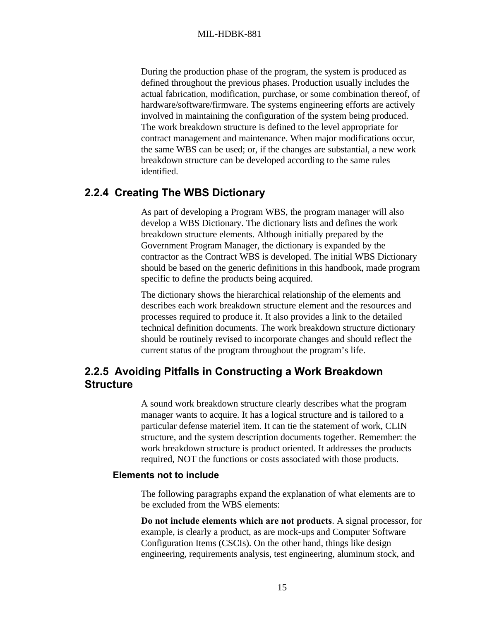During the production phase of the program, the system is produced as defined throughout the previous phases. Production usually includes the actual fabrication, modification, purchase, or some combination thereof, of hardware/software/firmware. The systems engineering efforts are actively involved in maintaining the configuration of the system being produced. The work breakdown structure is defined to the level appropriate for contract management and maintenance. When major modifications occur, the same WBS can be used; or, if the changes are substantial, a new work breakdown structure can be developed according to the same rules identified.

#### **2.2.4 Creating The WBS Dictionary**

As part of developing a Program WBS, the program manager will also develop a WBS Dictionary. The dictionary lists and defines the work breakdown structure elements. Although initially prepared by the Government Program Manager, the dictionary is expanded by the contractor as the Contract WBS is developed. The initial WBS Dictionary should be based on the generic definitions in this handbook, made program specific to define the products being acquired.

The dictionary shows the hierarchical relationship of the elements and describes each work breakdown structure element and the resources and processes required to produce it. It also provides a link to the detailed technical definition documents. The work breakdown structure dictionary should be routinely revised to incorporate changes and should reflect the current status of the program throughout the program's life.

#### **2.2.5 Avoiding Pitfalls in Constructing a Work Breakdown Structure**

A sound work breakdown structure clearly describes what the program manager wants to acquire. It has a logical structure and is tailored to a particular defense materiel item. It can tie the statement of work, CLIN structure, and the system description documents together. Remember: the work breakdown structure is product oriented. It addresses the products required, NOT the functions or costs associated with those products.

#### **Elements not to include**

The following paragraphs expand the explanation of what elements are to be excluded from the WBS elements:

**Do not include elements which are not products**. A signal processor, for example, is clearly a product, as are mock-ups and Computer Software Configuration Items (CSCIs). On the other hand, things like design engineering, requirements analysis, test engineering, aluminum stock, and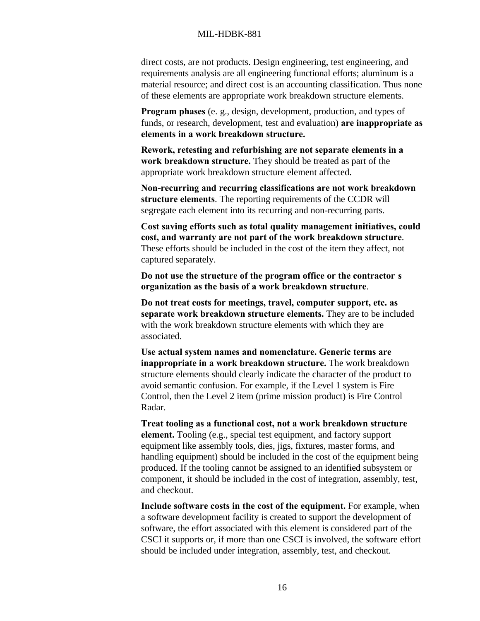direct costs, are not products. Design engineering, test engineering, and requirements analysis are all engineering functional efforts; aluminum is a material resource; and direct cost is an accounting classification. Thus none of these elements are appropriate work breakdown structure elements.

**Program phases** (e. g., design, development, production, and types of funds, or research, development, test and evaluation) **are inappropriate as elements in a work breakdown structure.**

**Rework, retesting and refurbishing are not separate elements in a work breakdown structure.** They should be treated as part of the appropriate work breakdown structure element affected.

**Non-recurring and recurring classifications are not work breakdown structure elements**. The reporting requirements of the CCDR will segregate each element into its recurring and non-recurring parts.

**Cost saving efforts such as total quality management initiatives, could cost, and warranty are not part of the work breakdown structure**. These efforts should be included in the cost of the item they affect, not captured separately.

**Do not use the structure of the program office or the contractor's organization as the basis of a work breakdown structure**.

**Do not treat costs for meetings, travel, computer support, etc. as separate work breakdown structure elements.** They are to be included with the work breakdown structure elements with which they are associated.

**Use actual system names and nomenclature. Generic terms are inappropriate in a work breakdown structure.** The work breakdown structure elements should clearly indicate the character of the product to avoid semantic confusion. For example, if the Level 1 system is Fire Control, then the Level 2 item (prime mission product) is Fire Control Radar.

**Treat tooling as a functional cost, not a work breakdown structure element.** Tooling (e.g., special test equipment, and factory support equipment like assembly tools, dies, jigs, fixtures, master forms, and handling equipment) should be included in the cost of the equipment being produced. If the tooling cannot be assigned to an identified subsystem or component, it should be included in the cost of integration, assembly, test, and checkout.

**Include software costs in the cost of the equipment.** For example, when a software development facility is created to support the development of software, the effort associated with this element is considered part of the CSCI it supports or, if more than one CSCI is involved, the software effort should be included under integration, assembly, test, and checkout.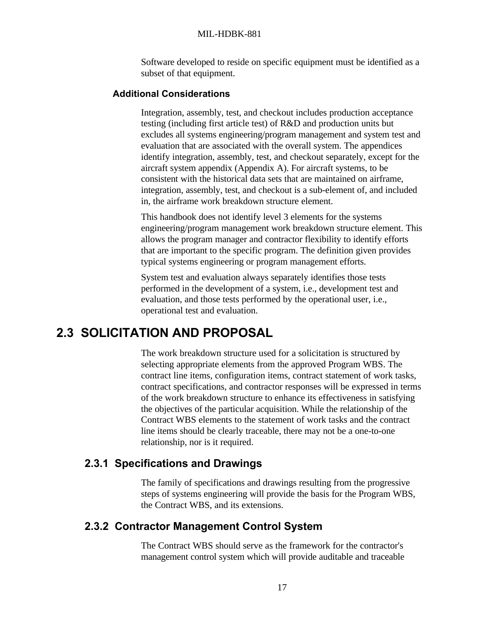Software developed to reside on specific equipment must be identified as a subset of that equipment.

#### **Additional Considerations**

Integration, assembly, test, and checkout includes production acceptance testing (including first article test) of R&D and production units but excludes all systems engineering/program management and system test and evaluation that are associated with the overall system. The appendices identify integration, assembly, test, and checkout separately, except for the aircraft system appendix (Appendix A). For aircraft systems, to be consistent with the historical data sets that are maintained on airframe, integration, assembly, test, and checkout is a sub-element of, and included in, the airframe work breakdown structure element.

This handbook does not identify level 3 elements for the systems engineering/program management work breakdown structure element. This allows the program manager and contractor flexibility to identify efforts that are important to the specific program. The definition given provides typical systems engineering or program management efforts.

System test and evaluation always separately identifies those tests performed in the development of a system, i.e., development test and evaluation, and those tests performed by the operational user, i.e., operational test and evaluation.

# **2.3 SOLICITATION AND PROPOSAL**

The work breakdown structure used for a solicitation is structured by selecting appropriate elements from the approved Program WBS. The contract line items, configuration items, contract statement of work tasks, contract specifications, and contractor responses will be expressed in terms of the work breakdown structure to enhance its effectiveness in satisfying the objectives of the particular acquisition. While the relationship of the Contract WBS elements to the statement of work tasks and the contract line items should be clearly traceable, there may not be a one-to-one relationship, nor is it required.

#### **2.3.1 Specifications and Drawings**

The family of specifications and drawings resulting from the progressive steps of systems engineering will provide the basis for the Program WBS, the Contract WBS, and its extensions.

#### **2.3.2 Contractor Management Control System**

The Contract WBS should serve as the framework for the contractor's management control system which will provide auditable and traceable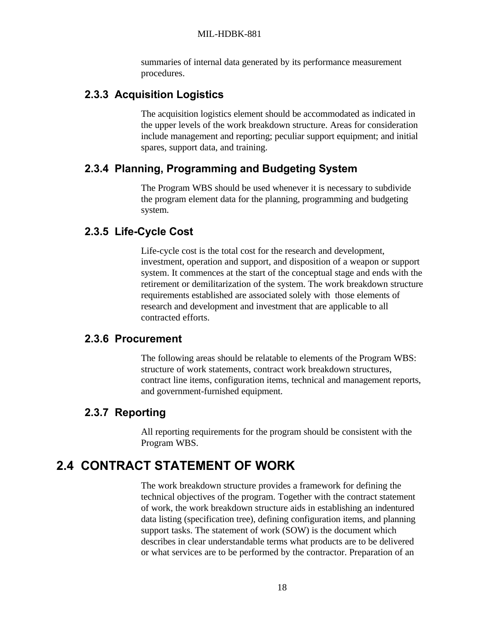summaries of internal data generated by its performance measurement procedures.

#### **2.3.3 Acquisition Logistics**

The acquisition logistics element should be accommodated as indicated in the upper levels of the work breakdown structure. Areas for consideration include management and reporting; peculiar support equipment; and initial spares, support data, and training.

#### **2.3.4 Planning, Programming and Budgeting System**

The Program WBS should be used whenever it is necessary to subdivide the program element data for the planning, programming and budgeting system.

#### **2.3.5 Life-Cycle Cost**

Life-cycle cost is the total cost for the research and development, investment, operation and support, and disposition of a weapon or support system. It commences at the start of the conceptual stage and ends with the retirement or demilitarization of the system. The work breakdown structure requirements established are associated solely with those elements of research and development and investment that are applicable to all contracted efforts.

#### **2.3.6 Procurement**

The following areas should be relatable to elements of the Program WBS: structure of work statements, contract work breakdown structures, contract line items, configuration items, technical and management reports, and government-furnished equipment.

#### **2.3.7 Reporting**

All reporting requirements for the program should be consistent with the Program WBS.

### **2.4 CONTRACT STATEMENT OF WORK**

The work breakdown structure provides a framework for defining the technical objectives of the program. Together with the contract statement of work, the work breakdown structure aids in establishing an indentured data listing (specification tree), defining configuration items, and planning support tasks. The statement of work (SOW) is the document which describes in clear understandable terms what products are to be delivered or what services are to be performed by the contractor. Preparation of an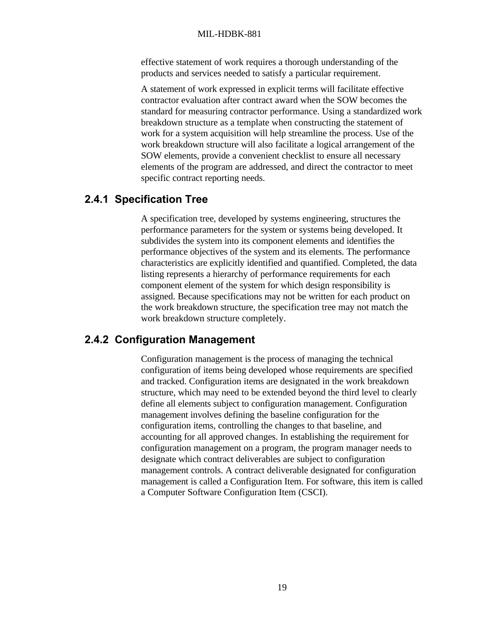effective statement of work requires a thorough understanding of the products and services needed to satisfy a particular requirement.

A statement of work expressed in explicit terms will facilitate effective contractor evaluation after contract award when the SOW becomes the standard for measuring contractor performance. Using a standardized work breakdown structure as a template when constructing the statement of work for a system acquisition will help streamline the process. Use of the work breakdown structure will also facilitate a logical arrangement of the SOW elements, provide a convenient checklist to ensure all necessary elements of the program are addressed, and direct the contractor to meet specific contract reporting needs.

#### **2.4.1 Specification Tree**

A specification tree, developed by systems engineering, structures the performance parameters for the system or systems being developed. It subdivides the system into its component elements and identifies the performance objectives of the system and its elements. The performance characteristics are explicitly identified and quantified. Completed, the data listing represents a hierarchy of performance requirements for each component element of the system for which design responsibility is assigned. Because specifications may not be written for each product on the work breakdown structure, the specification tree may not match the work breakdown structure completely.

#### **2.4.2 Configuration Management**

Configuration management is the process of managing the technical configuration of items being developed whose requirements are specified and tracked. Configuration items are designated in the work breakdown structure, which may need to be extended beyond the third level to clearly define all elements subject to configuration management. Configuration management involves defining the baseline configuration for the configuration items, controlling the changes to that baseline, and accounting for all approved changes. In establishing the requirement for configuration management on a program, the program manager needs to designate which contract deliverables are subject to configuration management controls. A contract deliverable designated for configuration management is called a Configuration Item. For software, this item is called a Computer Software Configuration Item (CSCI).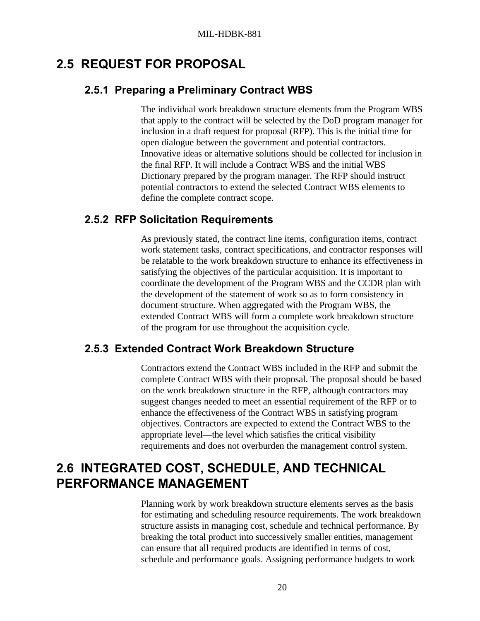## **2.5 REQUEST FOR PROPOSAL**

#### **2.5.1 Preparing a Preliminary Contract WBS**

The individual work breakdown structure elements from the Program WBS that apply to the contract will be selected by the DoD program manager for inclusion in a draft request for proposal (RFP). This is the initial time for open dialogue between the government and potential contractors. Innovative ideas or alternative solutions should be collected for inclusion in the final RFP. It will include a Contract WBS and the initial WBS Dictionary prepared by the program manager. The RFP should instruct potential contractors to extend the selected Contract WBS elements to define the complete contract scope.

#### **2.5.2 RFP Solicitation Requirements**

As previously stated, the contract line items, configuration items, contract work statement tasks, contract specifications, and contractor responses will be relatable to the work breakdown structure to enhance its effectiveness in satisfying the objectives of the particular acquisition. It is important to coordinate the development of the Program WBS and the CCDR plan with the development of the statement of work so as to form consistency in document structure. When aggregated with the Program WBS, the extended Contract WBS will form a complete work breakdown structure of the program for use throughout the acquisition cycle.

#### **2.5.3 Extended Contract Work Breakdown Structure**

Contractors extend the Contract WBS included in the RFP and submit the complete Contract WBS with their proposal. The proposal should be based on the work breakdown structure in the RFP, although contractors may suggest changes needed to meet an essential requirement of the RFP or to enhance the effectiveness of the Contract WBS in satisfying program objectives. Contractors are expected to extend the Contract WBS to the appropriate level—the level which satisfies the critical visibility requirements and does not overburden the management control system.

# **2.6 INTEGRATED COST, SCHEDULE, AND TECHNICAL PERFORMANCE MANAGEMENT**

Planning work by work breakdown structure elements serves as the basis for estimating and scheduling resource requirements. The work breakdown structure assists in managing cost, schedule and technical performance. By breaking the total product into successively smaller entities, management can ensure that all required products are identified in terms of cost, schedule and performance goals. Assigning performance budgets to work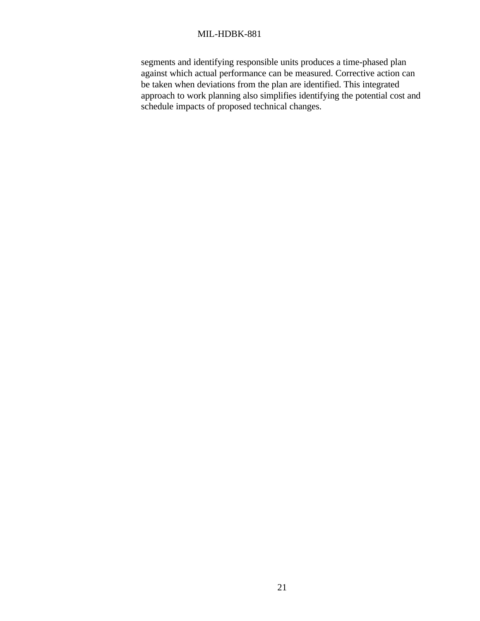segments and identifying responsible units produces a time-phased plan against which actual performance can be measured. Corrective action can be taken when deviations from the plan are identified. This integrated approach to work planning also simplifies identifying the potential cost and schedule impacts of proposed technical changes.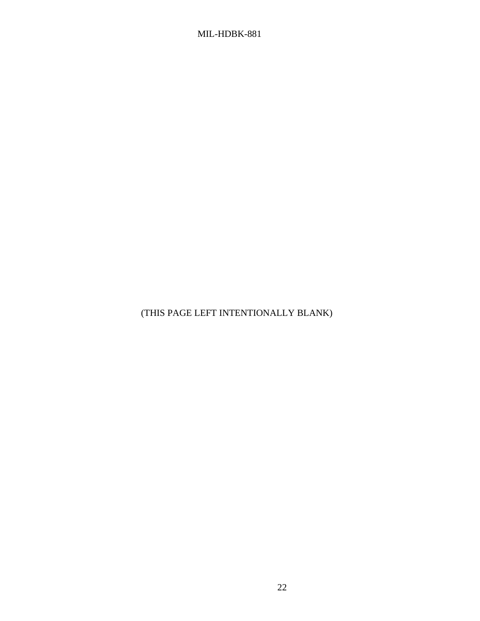(THIS PAGE LEFT INTENTIONALLY BLANK)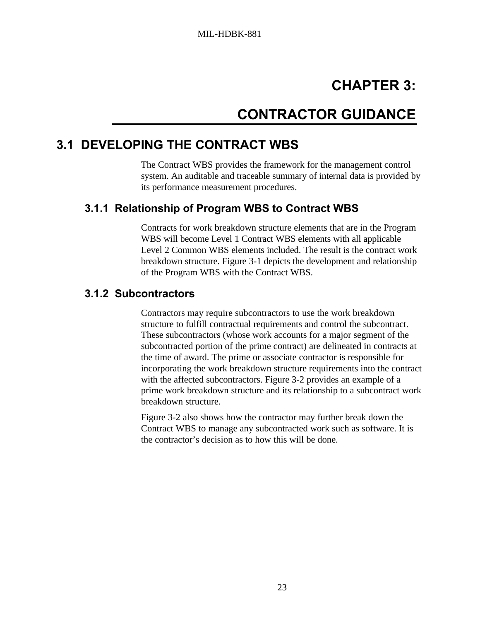# **CHAPTER 3:**

# **CONTRACTOR GUIDANCE**

## **3.1 DEVELOPING THE CONTRACT WBS**

The Contract WBS provides the framework for the management control system. An auditable and traceable summary of internal data is provided by its performance measurement procedures.

#### **3.1.1 Relationship of Program WBS to Contract WBS**

Contracts for work breakdown structure elements that are in the Program WBS will become Level 1 Contract WBS elements with all applicable Level 2 Common WBS elements included. The result is the contract work breakdown structure. Figure 3-1 depicts the development and relationship of the Program WBS with the Contract WBS.

#### **3.1.2 Subcontractors**

Contractors may require subcontractors to use the work breakdown structure to fulfill contractual requirements and control the subcontract. These subcontractors (whose work accounts for a major segment of the subcontracted portion of the prime contract) are delineated in contracts at the time of award. The prime or associate contractor is responsible for incorporating the work breakdown structure requirements into the contract with the affected subcontractors. Figure 3-2 provides an example of a prime work breakdown structure and its relationship to a subcontract work breakdown structure.

Figure 3-2 also shows how the contractor may further break down the Contract WBS to manage any subcontracted work such as software. It is the contractor's decision as to how this will be done.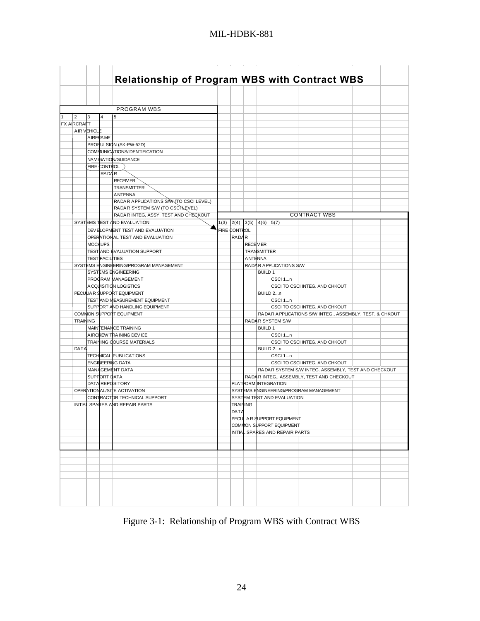|                    |                 |                        | <b>Relationship of Program WBS with Contract WBS</b>                |                                    |                 |                    |                                 |                                                         |  |
|--------------------|-----------------|------------------------|---------------------------------------------------------------------|------------------------------------|-----------------|--------------------|---------------------------------|---------------------------------------------------------|--|
|                    |                 |                        |                                                                     |                                    |                 |                    |                                 |                                                         |  |
|                    |                 |                        |                                                                     |                                    |                 |                    |                                 |                                                         |  |
|                    |                 |                        | <b>PROGRAM WBS</b>                                                  |                                    |                 |                    |                                 |                                                         |  |
| 2                  | 3               | $\overline{4}$         | 5                                                                   |                                    |                 |                    |                                 |                                                         |  |
| <b>FX AIRCRAFT</b> |                 |                        |                                                                     |                                    |                 |                    |                                 |                                                         |  |
|                    | A IR VEHICLE    |                        |                                                                     |                                    |                 |                    |                                 |                                                         |  |
|                    | <b>AIRFRAME</b> |                        |                                                                     |                                    |                 |                    |                                 |                                                         |  |
|                    |                 |                        | PROPULSION (SK-PW-52D)                                              |                                    |                 |                    |                                 |                                                         |  |
|                    |                 |                        | COMMUNICATIONS/IDENTIFICATION                                       |                                    |                 |                    |                                 |                                                         |  |
|                    |                 |                        | NAVIGATION/GUIDANCE                                                 |                                    |                 |                    |                                 |                                                         |  |
|                    |                 | FIRE CONTROL           |                                                                     |                                    |                 |                    |                                 |                                                         |  |
|                    |                 | RADAR                  |                                                                     |                                    |                 |                    |                                 |                                                         |  |
|                    |                 |                        | <b>RECEIVER</b>                                                     |                                    |                 |                    |                                 |                                                         |  |
|                    |                 |                        | <b>TRANSMITTER</b>                                                  |                                    |                 |                    |                                 |                                                         |  |
|                    |                 |                        | <b>ANTENNA</b>                                                      |                                    |                 |                    |                                 |                                                         |  |
|                    |                 |                        | RADAR APPLICATIONS S/W (TO CSCI LEVEL)                              |                                    |                 |                    |                                 |                                                         |  |
|                    |                 |                        | RADAR SYSTEM S/W (TO CSCILEVEL)                                     |                                    |                 |                    |                                 |                                                         |  |
|                    |                 |                        | RADAR INTEG, ASSY, TEST AND CHECKOUT                                |                                    |                 |                    |                                 | <b>CONTRACT WBS</b>                                     |  |
|                    |                 |                        | SYSTEMS TEST AND EVALUATION                                         | $1(3)$   2(4)   3(5)   4(6)   5(7) |                 |                    |                                 |                                                         |  |
|                    |                 |                        | DEVELOPMENT TEST AND EVALUATION                                     | <b>FIRE CONTROL</b>                |                 |                    |                                 |                                                         |  |
|                    |                 |                        | OPERATIONAL TEST AND EVALUATION                                     | RADAR                              |                 |                    |                                 |                                                         |  |
|                    | <b>MOCKUPS</b>  |                        |                                                                     |                                    | <b>RECEIVER</b> |                    |                                 |                                                         |  |
|                    |                 |                        | <b>TEST AND EVALUATION SUPPORT</b>                                  |                                    |                 | <b>TRANSMITTER</b> |                                 |                                                         |  |
|                    |                 | <b>TEST FACILITIES</b> |                                                                     |                                    | <b>ANTENNA</b>  |                    |                                 |                                                         |  |
|                    |                 |                        | SYSTEMS ENGINEERING/PROGRAM MANAGEMENT                              |                                    |                 |                    | RADAR APPLICATIONS S/W          |                                                         |  |
|                    |                 |                        | SYSTEMS ENGINEERING                                                 |                                    |                 | <b>BUILD 1</b>     |                                 |                                                         |  |
|                    |                 |                        | PROGRAM MANAGEMENT                                                  |                                    |                 |                    | CSCI 1n                         |                                                         |  |
|                    |                 |                        | A CQUISITION LOGISTICS                                              |                                    |                 |                    | BUILD <sub>2n</sub>             | CSCI TO CSCI INTEG. AND CHKOUT                          |  |
|                    |                 |                        | PECULIAR SUPPORT EQUIPMENT<br><b>TEST AND MEASUREMENT EQUIPMENT</b> |                                    |                 |                    | CSCI 1n                         |                                                         |  |
|                    |                 |                        | SUPPORT AND HANDLING EQUIPMENT                                      |                                    |                 |                    |                                 | CSCI TO CSCI INTEG. AND CHKOUT                          |  |
|                    |                 |                        | COMMON SUPPORT EQUIPMENT                                            |                                    |                 |                    |                                 | RADAR APPLICATIONS S/W INTEG., ASSEMBLY, TEST, & CHKOUT |  |
| <b>TRAINING</b>    |                 |                        |                                                                     |                                    |                 |                    | RADAR SYSTEM S/W                |                                                         |  |
|                    |                 |                        | MAINTENANCE TRAINING                                                |                                    |                 | BUILD 1            |                                 |                                                         |  |
|                    |                 |                        | A IRCREW TRAINING DEVICE                                            |                                    |                 |                    | CSCI 1n                         |                                                         |  |
|                    |                 |                        | TRAINING COURSE MATERIALS                                           |                                    |                 |                    |                                 | CSCI TO CSCI INTEG. AND CHKOUT                          |  |
| DATA               |                 |                        |                                                                     |                                    |                 |                    | BUILD 2n                        |                                                         |  |
|                    |                 |                        | <b>TECHNICAL PUBLICATIONS</b>                                       |                                    |                 |                    | CSCI 1n                         |                                                         |  |
|                    |                 |                        | <b>ENGINEERING DATA</b>                                             |                                    |                 |                    |                                 | CSCI TO CSCI INTEG. AND CHKOUT                          |  |
|                    |                 |                        | MANAGEMENT DATA                                                     |                                    |                 |                    |                                 | RADAR SYSTEM S/W INTEG. ASSEMBLY, TEST AND CHECKOUT     |  |
|                    |                 | SUPPORT DATA           |                                                                     |                                    |                 |                    |                                 | RADAR INTEG., ASSEMBLY, TEST AND CHECKOUT               |  |
|                    |                 |                        | DATA REPOSITORY                                                     |                                    |                 |                    | PLATFORM INTEGRATION            |                                                         |  |
|                    |                 |                        | OPERATIONAL/SITE ACTIVATION                                         |                                    |                 |                    |                                 | SYSTEMS ENGINEERING/PROGRAM MANAGEMENT                  |  |
|                    |                 |                        | CONTRACTOR TECHNICAL SUPPORT                                        |                                    |                 |                    | SYSTEM TEST AND EVALUATION      |                                                         |  |
|                    |                 |                        | INITIAL SPARES AND REPAIR PARTS                                     | <b>TRAINING</b>                    |                 |                    |                                 |                                                         |  |
|                    |                 |                        |                                                                     | DATA                               |                 |                    |                                 |                                                         |  |
|                    |                 |                        |                                                                     |                                    |                 |                    | PECULIAR SUPPORT EQUIPMENT      |                                                         |  |
|                    |                 |                        |                                                                     |                                    |                 |                    | COMMON SUPPORT EQUIPMENT        |                                                         |  |
|                    |                 |                        |                                                                     |                                    |                 |                    | INITIAL SPARES AND REPAIR PARTS |                                                         |  |
|                    |                 |                        |                                                                     |                                    |                 |                    |                                 |                                                         |  |
|                    |                 |                        |                                                                     |                                    |                 |                    |                                 |                                                         |  |
|                    |                 |                        |                                                                     |                                    |                 |                    |                                 |                                                         |  |
|                    |                 |                        |                                                                     |                                    |                 |                    |                                 |                                                         |  |
|                    |                 |                        |                                                                     |                                    |                 |                    |                                 |                                                         |  |
|                    |                 |                        |                                                                     |                                    |                 |                    |                                 |                                                         |  |
|                    |                 |                        |                                                                     |                                    |                 |                    |                                 |                                                         |  |
|                    |                 |                        |                                                                     |                                    |                 |                    |                                 |                                                         |  |
|                    |                 |                        |                                                                     |                                    |                 |                    |                                 |                                                         |  |

Figure 3-1: Relationship of Program WBS with Contract WBS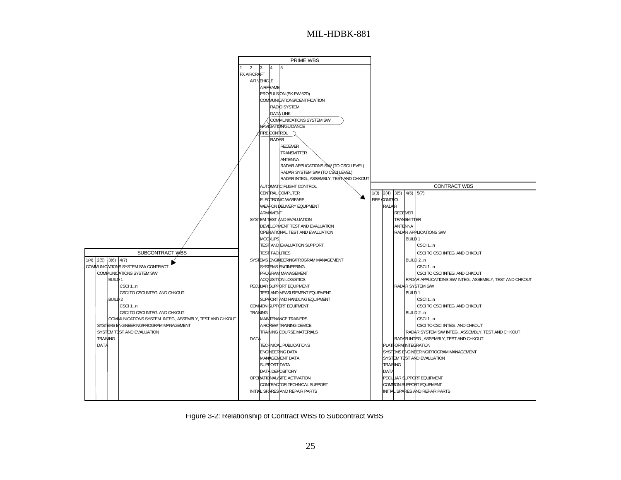

Figure 3-2: Relationship of Contract WBS to Subcontract WBS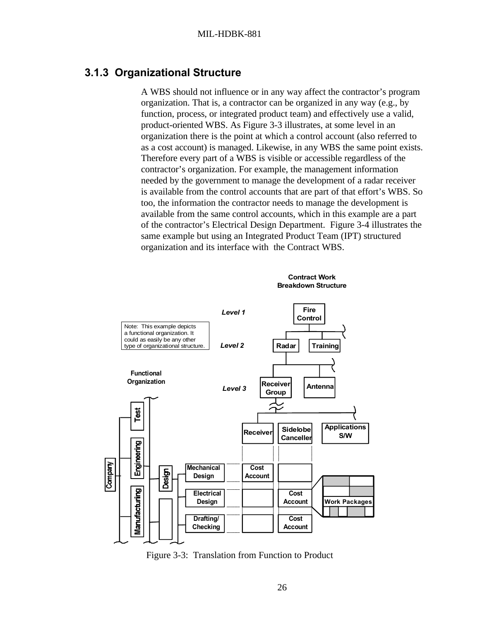#### **3.1.3 Organizational Structure**

A WBS should not influence or in any way affect the contractor's program organization. That is, a contractor can be organized in any way (e.g., by function, process, or integrated product team) and effectively use a valid, product-oriented WBS. As Figure 3-3 illustrates, at some level in an organization there is the point at which a control account (also referred to as a cost account) is managed. Likewise, in any WBS the same point exists. Therefore every part of a WBS is visible or accessible regardless of the contractor's organization. For example, the management information needed by the government to manage the development of a radar receiver is available from the control accounts that are part of that effort's WBS. So too, the information the contractor needs to manage the development is available from the same control accounts, which in this example are a part of the contractor's Electrical Design Department. Figure 3-4 illustrates the same example but using an Integrated Product Team (IPT) structured organization and its interface with the Contract WBS.



Figure 3-3: Translation from Function to Product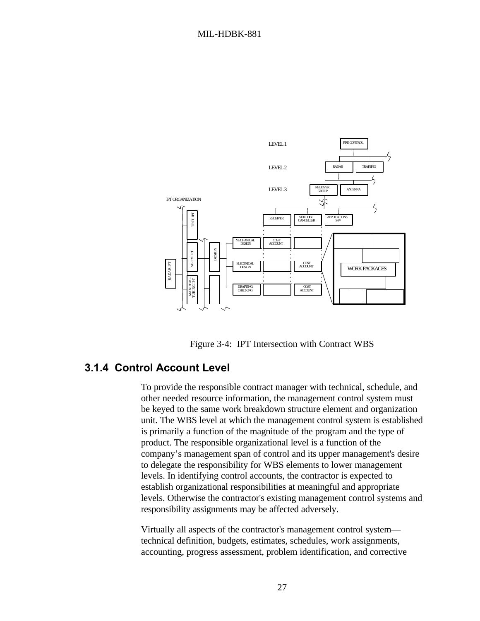

Figure 3-4: IPT Intersection with Contract WBS

#### **3.1.4 Control Account Level**

To provide the responsible contract manager with technical, schedule, and other needed resource information, the management control system must be keyed to the same work breakdown structure element and organization unit. The WBS level at which the management control system is established is primarily a function of the magnitude of the program and the type of product. The responsible organizational level is a function of the company's management span of control and its upper management's desire to delegate the responsibility for WBS elements to lower management levels. In identifying control accounts, the contractor is expected to establish organizational responsibilities at meaningful and appropriate levels. Otherwise the contractor's existing management control systems and responsibility assignments may be affected adversely.

Virtually all aspects of the contractor's management control system technical definition, budgets, estimates, schedules, work assignments, accounting, progress assessment, problem identification, and corrective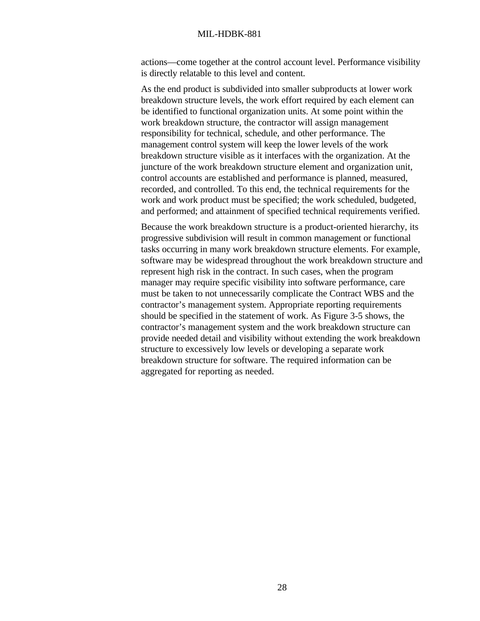actions—come together at the control account level. Performance visibility is directly relatable to this level and content.

As the end product is subdivided into smaller subproducts at lower work breakdown structure levels, the work effort required by each element can be identified to functional organization units. At some point within the work breakdown structure, the contractor will assign management responsibility for technical, schedule, and other performance. The management control system will keep the lower levels of the work breakdown structure visible as it interfaces with the organization. At the juncture of the work breakdown structure element and organization unit, control accounts are established and performance is planned, measured, recorded, and controlled. To this end, the technical requirements for the work and work product must be specified; the work scheduled, budgeted, and performed; and attainment of specified technical requirements verified.

Because the work breakdown structure is a product-oriented hierarchy, its progressive subdivision will result in common management or functional tasks occurring in many work breakdown structure elements. For example, software may be widespread throughout the work breakdown structure and represent high risk in the contract. In such cases, when the program manager may require specific visibility into software performance, care must be taken to not unnecessarily complicate the Contract WBS and the contractor's management system. Appropriate reporting requirements should be specified in the statement of work. As Figure 3-5 shows, the contractor's management system and the work breakdown structure can provide needed detail and visibility without extending the work breakdown structure to excessively low levels or developing a separate work breakdown structure for software. The required information can be aggregated for reporting as needed.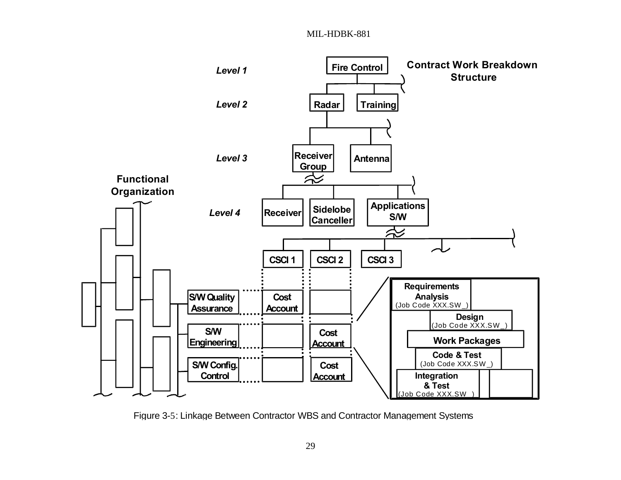

Figure 3-5: Linkage Between Contractor WBS and Contractor Management Systems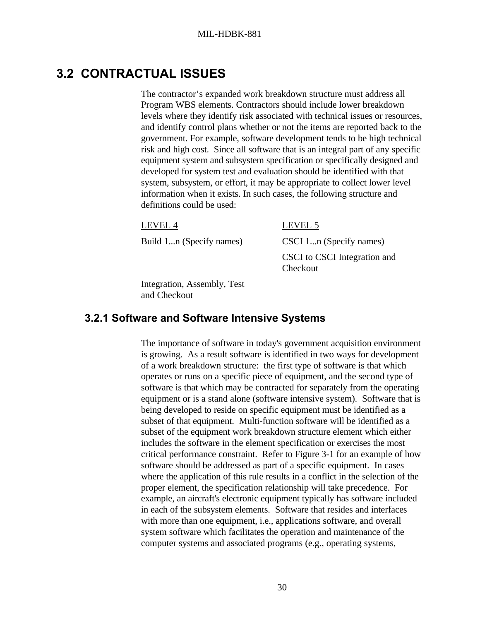## **3.2 CONTRACTUAL ISSUES**

The contractor's expanded work breakdown structure must address all Program WBS elements. Contractors should include lower breakdown levels where they identify risk associated with technical issues or resources, and identify control plans whether or not the items are reported back to the government. For example, software development tends to be high technical risk and high cost. Since all software that is an integral part of any specific equipment system and subsystem specification or specifically designed and developed for system test and evaluation should be identified with that system, subsystem, or effort, it may be appropriate to collect lower level information when it exists. In such cases, the following structure and definitions could be used:

#### LEVEL 4 LEVEL 5

Build 1...n (Specify names) CSCI 1...n (Specify names)

CSCI to CSCI Integration and Checkout

Integration, Assembly, Test and Checkout

#### **3.2.1 Software and Software Intensive Systems**

The importance of software in today's government acquisition environment is growing. As a result software is identified in two ways for development of a work breakdown structure: the first type of software is that which operates or runs on a specific piece of equipment, and the second type of software is that which may be contracted for separately from the operating equipment or is a stand alone (software intensive system). Software that is being developed to reside on specific equipment must be identified as a subset of that equipment. Multi-function software will be identified as a subset of the equipment work breakdown structure element which either includes the software in the element specification or exercises the most critical performance constraint. Refer to Figure 3-1 for an example of how software should be addressed as part of a specific equipment. In cases where the application of this rule results in a conflict in the selection of the proper element, the specification relationship will take precedence. For example, an aircraft's electronic equipment typically has software included in each of the subsystem elements. Software that resides and interfaces with more than one equipment, i.e., applications software, and overall system software which facilitates the operation and maintenance of the computer systems and associated programs (e.g., operating systems,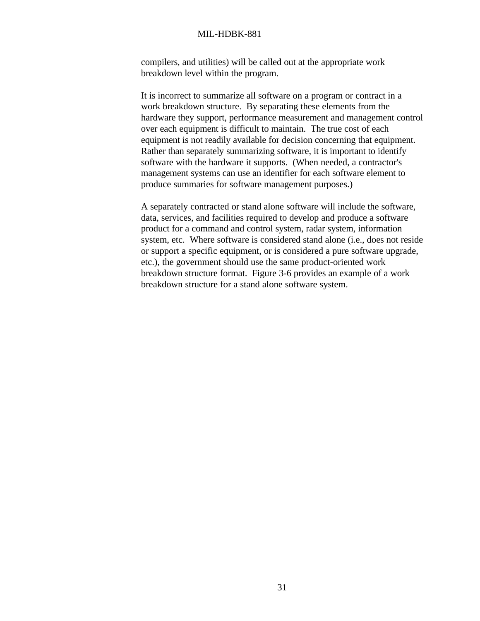compilers, and utilities) will be called out at the appropriate work breakdown level within the program.

It is incorrect to summarize all software on a program or contract in a work breakdown structure. By separating these elements from the hardware they support, performance measurement and management control over each equipment is difficult to maintain. The true cost of each equipment is not readily available for decision concerning that equipment. Rather than separately summarizing software, it is important to identify software with the hardware it supports. (When needed, a contractor's management systems can use an identifier for each software element to produce summaries for software management purposes.)

A separately contracted or stand alone software will include the software, data, services, and facilities required to develop and produce a software product for a command and control system, radar system, information system, etc. Where software is considered stand alone (i.e., does not reside or support a specific equipment, or is considered a pure software upgrade, etc.), the government should use the same product-oriented work breakdown structure format. Figure 3-6 provides an example of a work breakdown structure for a stand alone software system.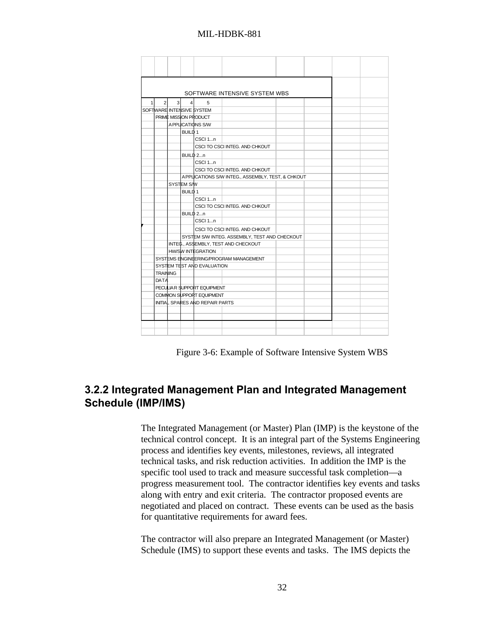|   |                                                             |                |            |                            | SOFTWARE INTENSIVE SYSTEM WBS                      |  |  |  |
|---|-------------------------------------------------------------|----------------|------------|----------------------------|----------------------------------------------------|--|--|--|
| 1 | $\overline{2}$                                              | $\overline{3}$ | $\vert$    | 5                          |                                                    |  |  |  |
|   |                                                             |                |            | SOFTWARE INTENSIVE SYSTEM  |                                                    |  |  |  |
|   |                                                             |                |            | PRIME MISSION PRODUCT      |                                                    |  |  |  |
|   |                                                             |                |            | APPLICATIONS S/W           |                                                    |  |  |  |
|   | BUILD 1                                                     |                |            |                            |                                                    |  |  |  |
|   |                                                             |                |            | CSCI 1n                    |                                                    |  |  |  |
|   |                                                             |                |            |                            | CSCI TO CSCI INTEG. AND CHKOUT                     |  |  |  |
|   |                                                             |                |            | BUILD 2n                   |                                                    |  |  |  |
|   |                                                             |                |            | CSCI 1n                    |                                                    |  |  |  |
|   |                                                             |                |            |                            | CSCI TO CSCI INTEG. AND CHKOUT                     |  |  |  |
|   |                                                             |                |            |                            | A PPLICATIONS S/W INTEG., ASSEMBLY, TEST, & CHKOUT |  |  |  |
|   |                                                             |                | SYSTEM S/W |                            |                                                    |  |  |  |
|   |                                                             |                | BUILD 1    |                            |                                                    |  |  |  |
|   |                                                             |                |            | CSCI 1n                    |                                                    |  |  |  |
|   |                                                             |                |            |                            | CSCI TO CSCI INTEG. AND CHKOUT                     |  |  |  |
|   |                                                             |                |            | BUILD 2n                   |                                                    |  |  |  |
|   |                                                             |                |            | CSCI 1n                    |                                                    |  |  |  |
|   |                                                             |                |            |                            | CSCI TO CSCI INTEG. AND CHKOUT                     |  |  |  |
|   |                                                             |                |            |                            | SYSTEM S/W INTEG. ASSEMBLY, TEST AND CHECKOUT      |  |  |  |
|   |                                                             |                |            |                            | INTEG., ASSEMBLY, TEST AND CHECKOUT                |  |  |  |
|   |                                                             |                |            | <b>HW/SW INTEGRATION</b>   |                                                    |  |  |  |
|   |                                                             |                |            |                            | SYSTEMS ENGINEERING/PROGRAM MANAGEMENT             |  |  |  |
|   |                                                             |                |            | SYSTEM TEST AND EVALUATION |                                                    |  |  |  |
|   | <b>TRAINING</b>                                             |                |            |                            |                                                    |  |  |  |
|   | DATA                                                        |                |            |                            |                                                    |  |  |  |
|   |                                                             |                |            | PECULIAR SUPPORT EQUIPMENT |                                                    |  |  |  |
|   | COMMON SUPPORT EQUIPMENT<br>INITIAL SPARES AND REPAIR PARTS |                |            |                            |                                                    |  |  |  |
|   |                                                             |                |            |                            |                                                    |  |  |  |
|   |                                                             |                |            |                            |                                                    |  |  |  |
|   |                                                             |                |            |                            |                                                    |  |  |  |
|   |                                                             |                |            |                            |                                                    |  |  |  |
|   |                                                             |                |            |                            |                                                    |  |  |  |

Figure 3-6: Example of Software Intensive System WBS

## **3.2.2 Integrated Management Plan and Integrated Management Schedule (IMP/IMS)**

The Integrated Management (or Master) Plan (IMP) is the keystone of the technical control concept. It is an integral part of the Systems Engineering process and identifies key events, milestones, reviews, all integrated technical tasks, and risk reduction activities. In addition the IMP is the specific tool used to track and measure successful task completion—a progress measurement tool. The contractor identifies key events and tasks along with entry and exit criteria. The contractor proposed events are negotiated and placed on contract. These events can be used as the basis for quantitative requirements for award fees.

The contractor will also prepare an Integrated Management (or Master) Schedule (IMS) to support these events and tasks. The IMS depicts the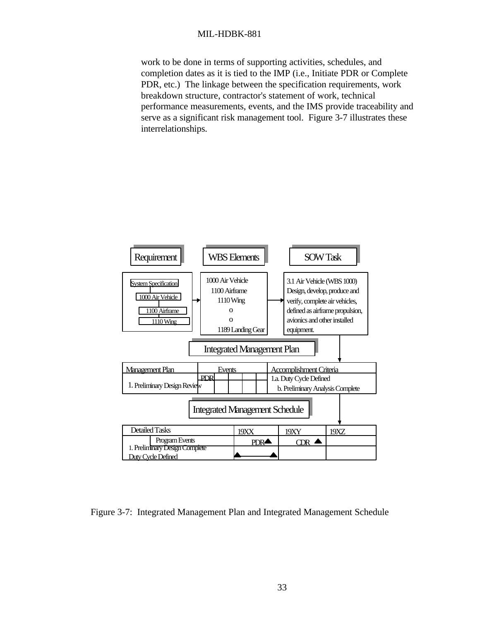work to be done in terms of supporting activities, schedules, and completion dates as it is tied to the IMP (i.e., Initiate PDR or Complete PDR, etc.) The linkage between the specification requirements, work breakdown structure, contractor's statement of work, technical performance measurements, events, and the IMS provide traceability and serve as a significant risk management tool. Figure 3-7 illustrates these interrelationships.



Figure 3-7: Integrated Management Plan and Integrated Management Schedule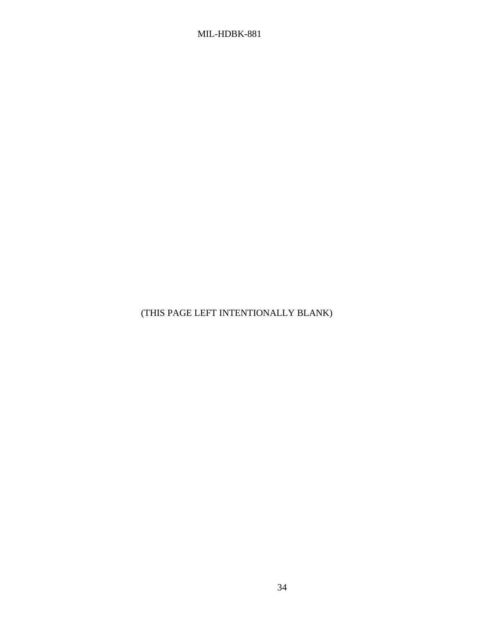(THIS PAGE LEFT INTENTIONALLY BLANK)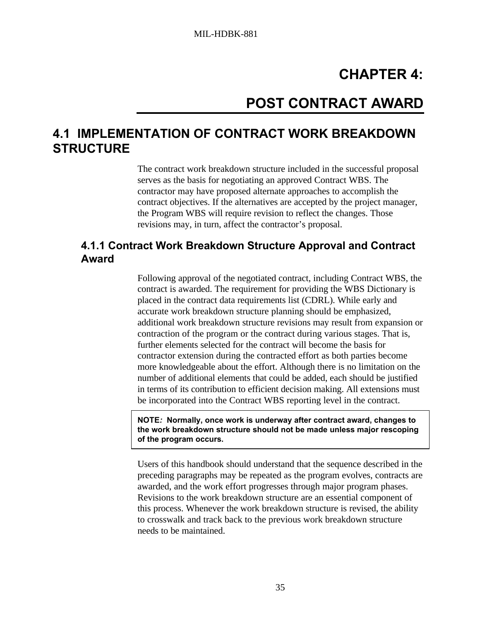# **CHAPTER 4:**

# **POST CONTRACT AWARD**

## **4.1 IMPLEMENTATION OF CONTRACT WORK BREAKDOWN STRUCTURE**

The contract work breakdown structure included in the successful proposal serves as the basis for negotiating an approved Contract WBS. The contractor may have proposed alternate approaches to accomplish the contract objectives. If the alternatives are accepted by the project manager, the Program WBS will require revision to reflect the changes. Those revisions may, in turn, affect the contractor's proposal.

## **4.1.1 Contract Work Breakdown Structure Approval and Contract Award**

Following approval of the negotiated contract, including Contract WBS, the contract is awarded. The requirement for providing the WBS Dictionary is placed in the contract data requirements list (CDRL). While early and accurate work breakdown structure planning should be emphasized, additional work breakdown structure revisions may result from expansion or contraction of the program or the contract during various stages. That is, further elements selected for the contract will become the basis for contractor extension during the contracted effort as both parties become more knowledgeable about the effort. Although there is no limitation on the number of additional elements that could be added, each should be justified in terms of its contribution to efficient decision making. All extensions must be incorporated into the Contract WBS reporting level in the contract.

**NOTE***:* **Normally, once work is underway after contract award, changes to the work breakdown structure should not be made unless major rescoping of the program occurs.**

Users of this handbook should understand that the sequence described in the preceding paragraphs may be repeated as the program evolves, contracts are awarded, and the work effort progresses through major program phases. Revisions to the work breakdown structure are an essential component of this process. Whenever the work breakdown structure is revised, the ability to crosswalk and track back to the previous work breakdown structure needs to be maintained.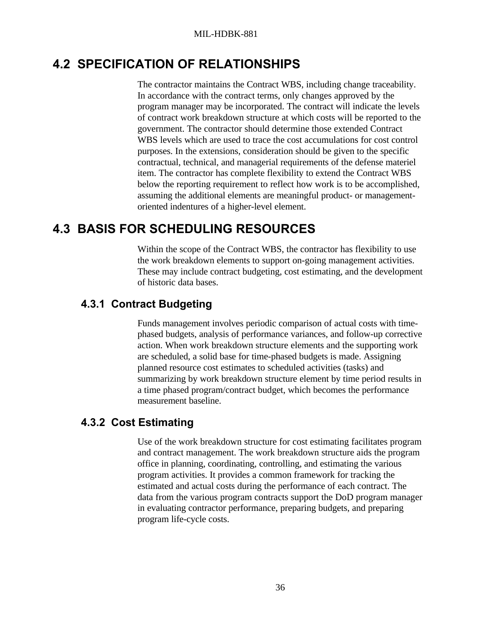## **4.2 SPECIFICATION OF RELATIONSHIPS**

The contractor maintains the Contract WBS, including change traceability. In accordance with the contract terms, only changes approved by the program manager may be incorporated. The contract will indicate the levels of contract work breakdown structure at which costs will be reported to the government. The contractor should determine those extended Contract WBS levels which are used to trace the cost accumulations for cost control purposes. In the extensions, consideration should be given to the specific contractual, technical, and managerial requirements of the defense materiel item. The contractor has complete flexibility to extend the Contract WBS below the reporting requirement to reflect how work is to be accomplished, assuming the additional elements are meaningful product- or managementoriented indentures of a higher-level element.

# **4.3 BASIS FOR SCHEDULING RESOURCES**

Within the scope of the Contract WBS, the contractor has flexibility to use the work breakdown elements to support on-going management activities. These may include contract budgeting, cost estimating, and the development of historic data bases.

## **4.3.1 Contract Budgeting**

Funds management involves periodic comparison of actual costs with timephased budgets, analysis of performance variances, and follow-up corrective action. When work breakdown structure elements and the supporting work are scheduled, a solid base for time-phased budgets is made. Assigning planned resource cost estimates to scheduled activities (tasks) and summarizing by work breakdown structure element by time period results in a time phased program/contract budget, which becomes the performance measurement baseline.

## **4.3.2 Cost Estimating**

Use of the work breakdown structure for cost estimating facilitates program and contract management. The work breakdown structure aids the program office in planning, coordinating, controlling, and estimating the various program activities. It provides a common framework for tracking the estimated and actual costs during the performance of each contract. The data from the various program contracts support the DoD program manager in evaluating contractor performance, preparing budgets, and preparing program life-cycle costs.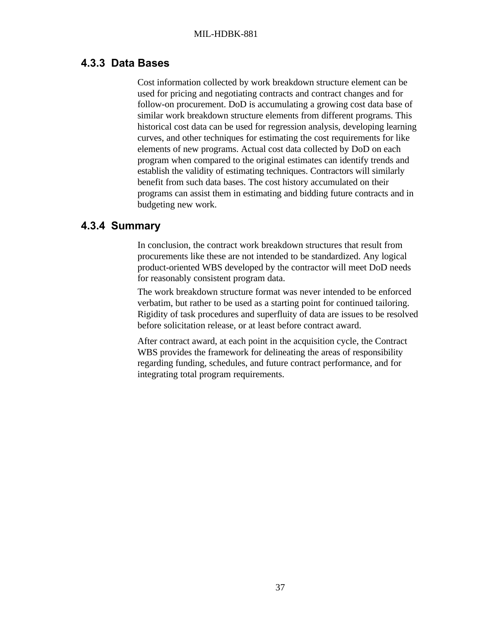## **4.3.3 Data Bases**

Cost information collected by work breakdown structure element can be used for pricing and negotiating contracts and contract changes and for follow-on procurement. DoD is accumulating a growing cost data base of similar work breakdown structure elements from different programs. This historical cost data can be used for regression analysis, developing learning curves, and other techniques for estimating the cost requirements for like elements of new programs. Actual cost data collected by DoD on each program when compared to the original estimates can identify trends and establish the validity of estimating techniques. Contractors will similarly benefit from such data bases. The cost history accumulated on their programs can assist them in estimating and bidding future contracts and in budgeting new work.

## **4.3.4 Summary**

In conclusion, the contract work breakdown structures that result from procurements like these are not intended to be standardized. Any logical product-oriented WBS developed by the contractor will meet DoD needs for reasonably consistent program data.

The work breakdown structure format was never intended to be enforced verbatim, but rather to be used as a starting point for continued tailoring. Rigidity of task procedures and superfluity of data are issues to be resolved before solicitation release, or at least before contract award.

After contract award, at each point in the acquisition cycle, the Contract WBS provides the framework for delineating the areas of responsibility regarding funding, schedules, and future contract performance, and for integrating total program requirements.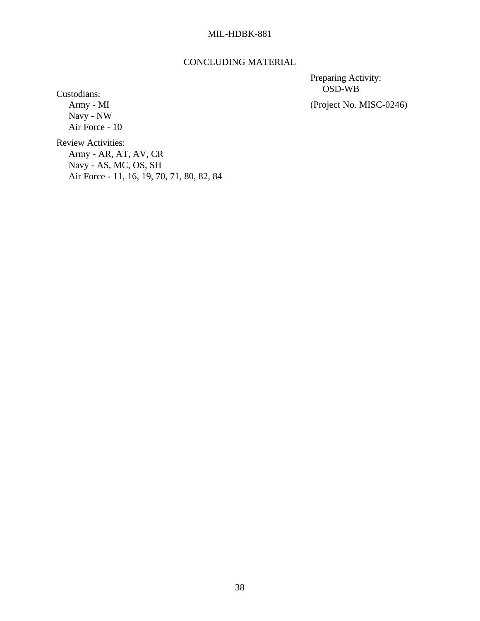#### CONCLUDING MATERIAL

Preparing Activity: OSD-WB

(Project No. MISC-0246)

Custodians:

 Army - MI Navy - NW Air Force - 10

Review Activities: Army - AR, AT, AV, CR Navy - AS, MC, OS, SH Air Force - 11, 16, 19, 70, 71, 80, 82, 84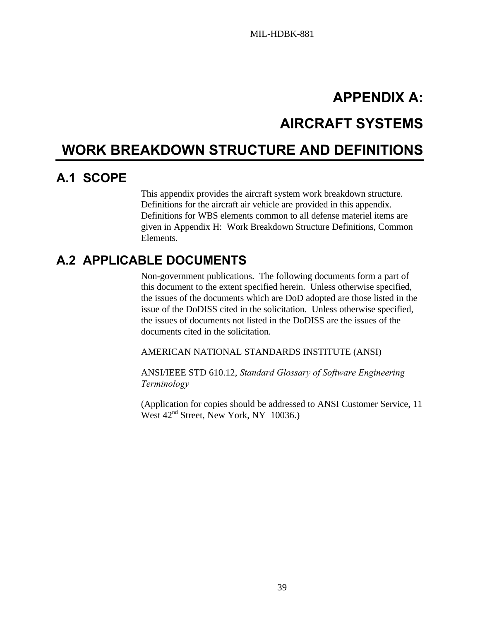# **APPENDIX A:**

# **AIRCRAFT SYSTEMS**

# **WORK BREAKDOWN STRUCTURE AND DEFINITIONS**

## **A.1 SCOPE**

This appendix provides the aircraft system work breakdown structure. Definitions for the aircraft air vehicle are provided in this appendix. Definitions for WBS elements common to all defense materiel items are given in Appendix H: Work Breakdown Structure Definitions, Common Elements.

## **A.2 APPLICABLE DOCUMENTS**

Non-government publications. The following documents form a part of this document to the extent specified herein. Unless otherwise specified, the issues of the documents which are DoD adopted are those listed in the issue of the DoDISS cited in the solicitation. Unless otherwise specified, the issues of documents not listed in the DoDISS are the issues of the documents cited in the solicitation.

AMERICAN NATIONAL STANDARDS INSTITUTE (ANSI)

ANSI/IEEE STD 610.12, *Standard Glossary of Software Engineering Terminology*

(Application for copies should be addressed to ANSI Customer Service, 11 West  $42<sup>nd</sup>$  Street, New York, NY 10036.)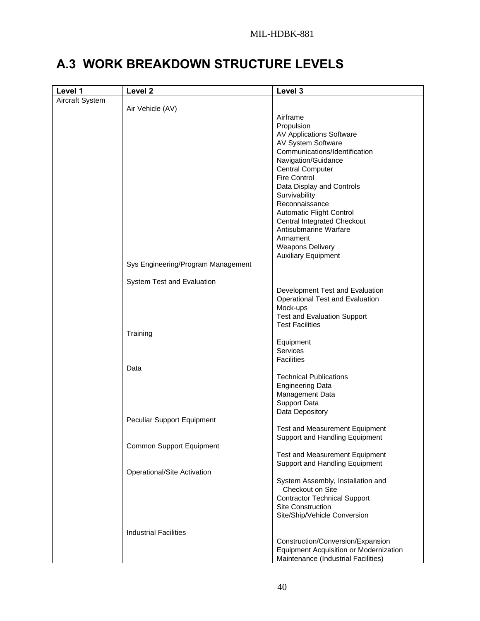# **A.3 WORK BREAKDOWN STRUCTURE LEVELS**

| Level 1                | Level 2                            | Level 3                                                                                                            |
|------------------------|------------------------------------|--------------------------------------------------------------------------------------------------------------------|
| <b>Aircraft System</b> |                                    |                                                                                                                    |
|                        | Air Vehicle (AV)                   | Airframe                                                                                                           |
|                        |                                    | Propulsion                                                                                                         |
|                        |                                    | <b>AV Applications Software</b>                                                                                    |
|                        |                                    | AV System Software                                                                                                 |
|                        |                                    | Communications/Identification                                                                                      |
|                        |                                    | Navigation/Guidance<br><b>Central Computer</b>                                                                     |
|                        |                                    | <b>Fire Control</b>                                                                                                |
|                        |                                    | Data Display and Controls                                                                                          |
|                        |                                    | Survivability                                                                                                      |
|                        |                                    | Reconnaissance                                                                                                     |
|                        |                                    | Automatic Flight Control<br>Central Integrated Checkout                                                            |
|                        |                                    | Antisubmarine Warfare                                                                                              |
|                        |                                    | Armament                                                                                                           |
|                        |                                    | <b>Weapons Delivery</b>                                                                                            |
|                        |                                    | <b>Auxiliary Equipment</b>                                                                                         |
|                        | Sys Engineering/Program Management |                                                                                                                    |
|                        | System Test and Evaluation         |                                                                                                                    |
|                        |                                    | Development Test and Evaluation                                                                                    |
|                        |                                    | Operational Test and Evaluation<br>Mock-ups                                                                        |
|                        |                                    | <b>Test and Evaluation Support</b>                                                                                 |
|                        |                                    | <b>Test Facilities</b>                                                                                             |
|                        | Training                           |                                                                                                                    |
|                        |                                    | Equipment<br><b>Services</b>                                                                                       |
|                        |                                    | <b>Facilities</b>                                                                                                  |
|                        | Data                               |                                                                                                                    |
|                        |                                    | <b>Technical Publications</b>                                                                                      |
|                        |                                    | <b>Engineering Data</b>                                                                                            |
|                        |                                    | Management Data<br><b>Support Data</b>                                                                             |
|                        |                                    | Data Depository                                                                                                    |
|                        | <b>Peculiar Support Equipment</b>  |                                                                                                                    |
|                        |                                    | Test and Measurement Equipment                                                                                     |
|                        | <b>Common Support Equipment</b>    | Support and Handling Equipment                                                                                     |
|                        |                                    | Test and Measurement Equipment                                                                                     |
|                        |                                    | Support and Handling Equipment                                                                                     |
|                        | Operational/Site Activation        |                                                                                                                    |
|                        |                                    | System Assembly, Installation and<br>Checkout on Site                                                              |
|                        |                                    | <b>Contractor Technical Support</b><br>Site Construction                                                           |
|                        |                                    | Site/Ship/Vehicle Conversion                                                                                       |
|                        | <b>Industrial Facilities</b>       |                                                                                                                    |
|                        |                                    | Construction/Conversion/Expansion<br>Equipment Acquisition or Modernization<br>Maintenance (Industrial Facilities) |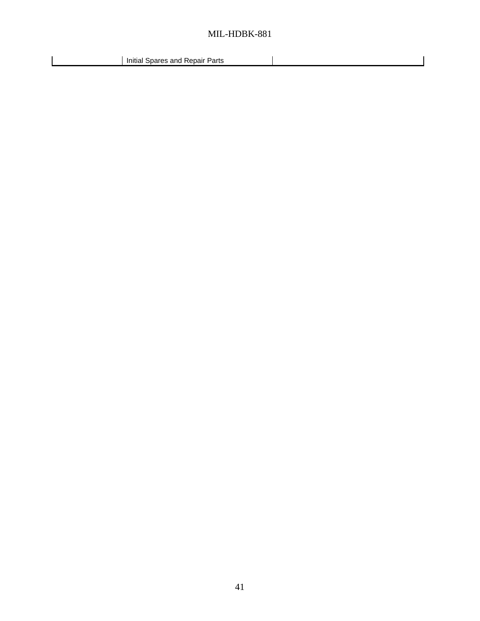41

Initial Spares and Repair Parts

I

 $\overline{\phantom{a}}$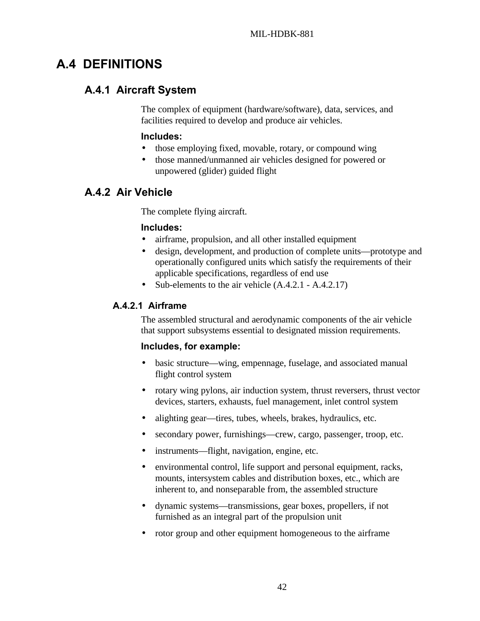# **A.4 DEFINITIONS**

## **A.4.1 Aircraft System**

The complex of equipment (hardware/software), data, services, and facilities required to develop and produce air vehicles.

#### **Includes:**

- those employing fixed, movable, rotary, or compound wing
- those manned/unmanned air vehicles designed for powered or unpowered (glider) guided flight

## **A.4.2 Air Vehicle**

The complete flying aircraft.

#### **Includes:**

- airframe, propulsion, and all other installed equipment
- design, development, and production of complete units—prototype and operationally configured units which satisfy the requirements of their applicable specifications, regardless of end use
- Sub-elements to the air vehicle  $(A.4.2.1 A.4.2.17)$

#### **A.4.2.1 Airframe**

The assembled structural and aerodynamic components of the air vehicle that support subsystems essential to designated mission requirements.

#### **Includes, for example:**

- basic structure—wing, empennage, fuselage, and associated manual flight control system
- rotary wing pylons, air induction system, thrust reversers, thrust vector devices, starters, exhausts, fuel management, inlet control system
- alighting gear—tires, tubes, wheels, brakes, hydraulics, etc.
- secondary power, furnishings—crew, cargo, passenger, troop, etc.
- instruments—flight, navigation, engine, etc.
- environmental control, life support and personal equipment, racks, mounts, intersystem cables and distribution boxes, etc., which are inherent to, and nonseparable from, the assembled structure
- dynamic systems—transmissions, gear boxes, propellers, if not furnished as an integral part of the propulsion unit
- rotor group and other equipment homogeneous to the airframe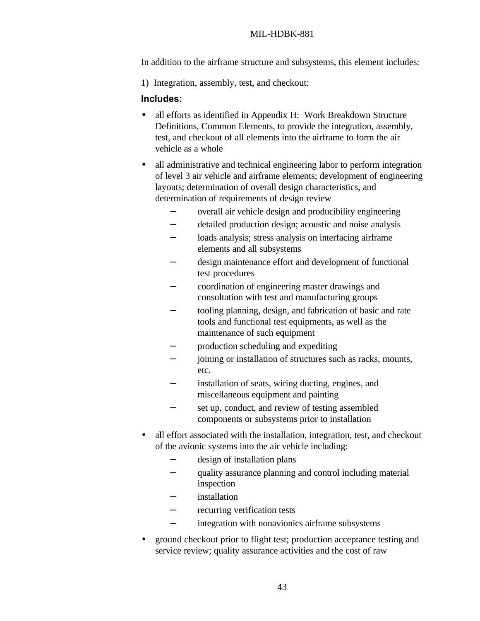In addition to the airframe structure and subsystems, this element includes:

1) Integration, assembly, test, and checkout:

#### **Includes:**

- all efforts as identified in Appendix H: Work Breakdown Structure Definitions, Common Elements, to provide the integration, assembly, test, and checkout of all elements into the airframe to form the air vehicle as a whole
- all administrative and technical engineering labor to perform integration of level 3 air vehicle and airframe elements; development of engineering layouts; determination of overall design characteristics, and determination of requirements of design review
	- − overall air vehicle design and producibility engineering
	- − detailed production design; acoustic and noise analysis
	- loads analysis; stress analysis on interfacing airframe elements and all subsystems
	- design maintenance effort and development of functional test procedures
	- − coordination of engineering master drawings and consultation with test and manufacturing groups
	- − tooling planning, design, and fabrication of basic and rate tools and functional test equipments, as well as the maintenance of such equipment
	- production scheduling and expediting
	- − joining or installation of structures such as racks, mounts, etc.
	- installation of seats, wiring ducting, engines, and miscellaneous equipment and painting
	- set up, conduct, and review of testing assembled components or subsystems prior to installation
- all effort associated with the installation, integration, test, and checkout of the avionic systems into the air vehicle including:
	- design of installation plans
	- quality assurance planning and control including material inspection
	- − installation
	- − recurring verification tests
	- integration with nonavionics airframe subsystems
- ground checkout prior to flight test; production acceptance testing and service review; quality assurance activities and the cost of raw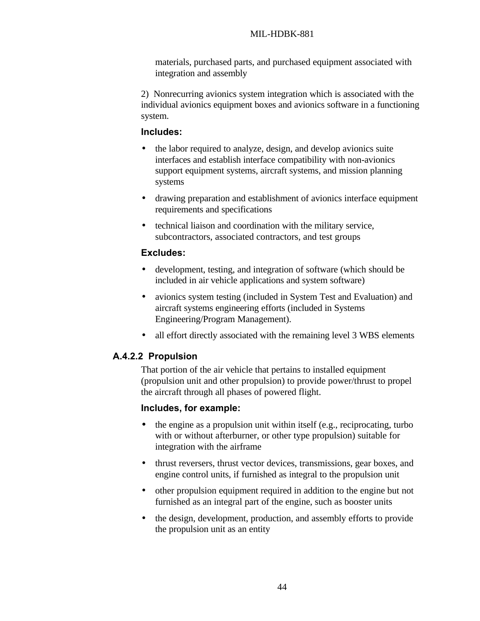materials, purchased parts, and purchased equipment associated with integration and assembly

2) Nonrecurring avionics system integration which is associated with the individual avionics equipment boxes and avionics software in a functioning system.

#### **Includes:**

- the labor required to analyze, design, and develop avionics suite interfaces and establish interface compatibility with non-avionics support equipment systems, aircraft systems, and mission planning systems
- drawing preparation and establishment of avionics interface equipment requirements and specifications
- technical liaison and coordination with the military service, subcontractors, associated contractors, and test groups

#### **Excludes:**

- development, testing, and integration of software (which should be included in air vehicle applications and system software)
- avionics system testing (included in System Test and Evaluation) and aircraft systems engineering efforts (included in Systems Engineering/Program Management).
- all effort directly associated with the remaining level 3 WBS elements

#### **A.4.2.2 Propulsion**

That portion of the air vehicle that pertains to installed equipment (propulsion unit and other propulsion) to provide power/thrust to propel the aircraft through all phases of powered flight.

#### **Includes, for example:**

- the engine as a propulsion unit within itself (e.g., reciprocating, turbo with or without afterburner, or other type propulsion) suitable for integration with the airframe
- thrust reversers, thrust vector devices, transmissions, gear boxes, and engine control units, if furnished as integral to the propulsion unit
- other propulsion equipment required in addition to the engine but not furnished as an integral part of the engine, such as booster units
- the design, development, production, and assembly efforts to provide the propulsion unit as an entity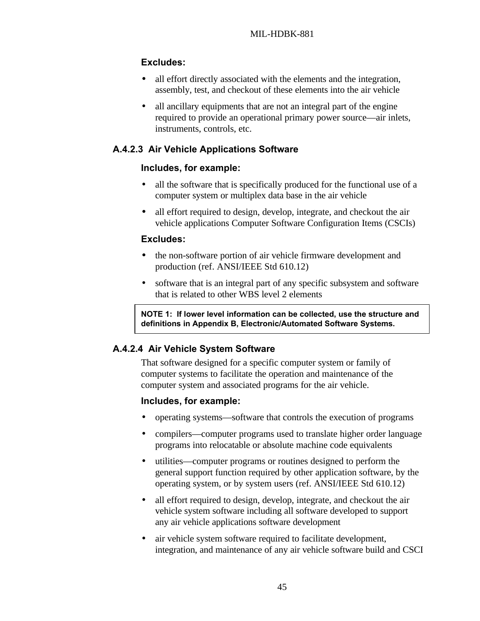#### **Excludes:**

- all effort directly associated with the elements and the integration, assembly, test, and checkout of these elements into the air vehicle
- all ancillary equipments that are not an integral part of the engine required to provide an operational primary power source—air inlets, instruments, controls, etc.

#### **A.4.2.3 Air Vehicle Applications Software**

#### **Includes, for example:**

- all the software that is specifically produced for the functional use of a computer system or multiplex data base in the air vehicle
- all effort required to design, develop, integrate, and checkout the air vehicle applications Computer Software Configuration Items (CSCIs)

#### **Excludes:**

- the non-software portion of air vehicle firmware development and production (ref. ANSI/IEEE Std 610.12)
- software that is an integral part of any specific subsystem and software that is related to other WBS level 2 elements

**NOTE 1: If lower level information can be collected, use the structure and definitions in Appendix B, Electronic/Automated Software Systems.**

#### **A.4.2.4 Air Vehicle System Software**

That software designed for a specific computer system or family of computer systems to facilitate the operation and maintenance of the computer system and associated programs for the air vehicle.

#### **Includes, for example:**

- operating systems—software that controls the execution of programs
- compilers—computer programs used to translate higher order language programs into relocatable or absolute machine code equivalents
- utilities—computer programs or routines designed to perform the general support function required by other application software, by the operating system, or by system users (ref. ANSI/IEEE Std 610.12)
- all effort required to design, develop, integrate, and checkout the air vehicle system software including all software developed to support any air vehicle applications software development
- air vehicle system software required to facilitate development, integration, and maintenance of any air vehicle software build and CSCI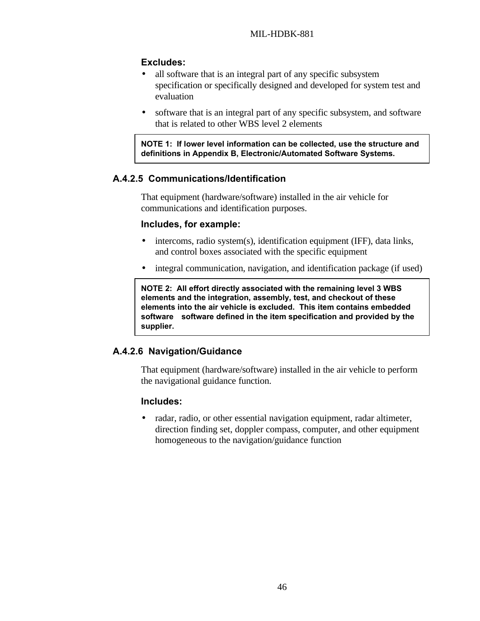#### **Excludes:**

- all software that is an integral part of any specific subsystem specification or specifically designed and developed for system test and evaluation
- software that is an integral part of any specific subsystem, and software that is related to other WBS level 2 elements

**NOTE 1: If lower level information can be collected, use the structure and definitions in Appendix B, Electronic/Automated Software Systems.**

#### **A.4.2.5 Communications/Identification**

That equipment (hardware/software) installed in the air vehicle for communications and identification purposes.

#### **Includes, for example:**

- intercoms, radio system(s), identification equipment (IFF), data links, and control boxes associated with the specific equipment
- integral communication, navigation, and identification package (if used)

**NOTE 2: All effort directly associated with the remaining level 3 WBS elements and the integration, assembly, test, and checkout of these elements into the air vehicle is excluded. This item contains embedded software—software defined in the item specification and provided by the supplier.**

#### **A.4.2.6 Navigation/Guidance**

That equipment (hardware/software) installed in the air vehicle to perform the navigational guidance function.

#### **Includes:**

• radar, radio, or other essential navigation equipment, radar altimeter, direction finding set, doppler compass, computer, and other equipment homogeneous to the navigation/guidance function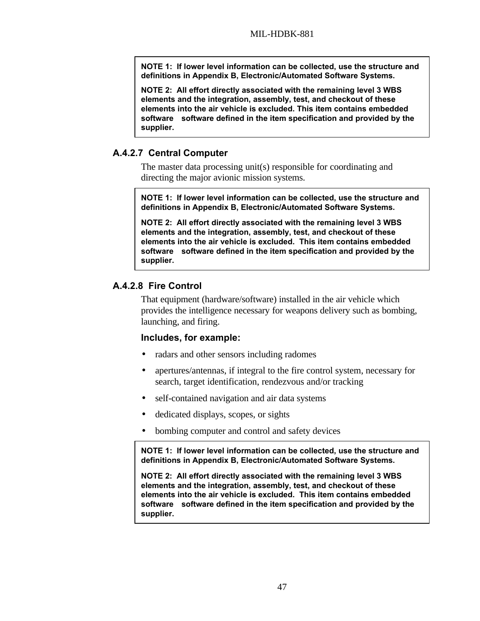**NOTE 1: If lower level information can be collected, use the structure and definitions in Appendix B, Electronic/Automated Software Systems.**

**NOTE 2: All effort directly associated with the remaining level 3 WBS elements and the integration, assembly, test, and checkout of these elements into the air vehicle is excluded. This item contains embedded software—software defined in the item specification and provided by the supplier.**

#### **A.4.2.7 Central Computer**

The master data processing unit(s) responsible for coordinating and directing the major avionic mission systems.

**NOTE 1: If lower level information can be collected, use the structure and definitions in Appendix B, Electronic/Automated Software Systems.**

**NOTE 2: All effort directly associated with the remaining level 3 WBS elements and the integration, assembly, test, and checkout of these elements into the air vehicle is excluded. This item contains embedded software—software defined in the item specification and provided by the supplier.**

#### **A.4.2.8 Fire Control**

That equipment (hardware/software) installed in the air vehicle which provides the intelligence necessary for weapons delivery such as bombing, launching, and firing.

#### **Includes, for example:**

- radars and other sensors including radomes
- apertures/antennas, if integral to the fire control system, necessary for search, target identification, rendezvous and/or tracking
- self-contained navigation and air data systems
- dedicated displays, scopes, or sights
- bombing computer and control and safety devices

**NOTE 1: If lower level information can be collected, use the structure and definitions in Appendix B, Electronic/Automated Software Systems.**

**NOTE 2: All effort directly associated with the remaining level 3 WBS elements and the integration, assembly, test, and checkout of these elements into the air vehicle is excluded. This item contains embedded software—software defined in the item specification and provided by the supplier.**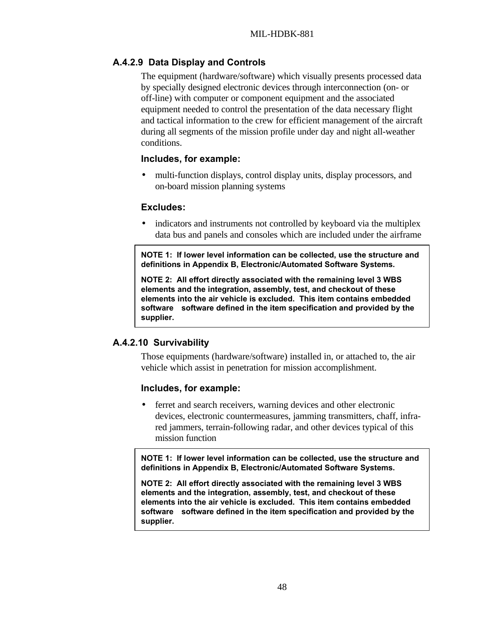#### **A.4.2.9 Data Display and Controls**

The equipment (hardware/software) which visually presents processed data by specially designed electronic devices through interconnection (on- or off-line) with computer or component equipment and the associated equipment needed to control the presentation of the data necessary flight and tactical information to the crew for efficient management of the aircraft during all segments of the mission profile under day and night all-weather conditions.

#### **Includes, for example:**

• multi-function displays, control display units, display processors, and on-board mission planning systems

#### **Excludes:**

• indicators and instruments not controlled by keyboard via the multiplex data bus and panels and consoles which are included under the airframe

**NOTE 1: If lower level information can be collected, use the structure and definitions in Appendix B, Electronic/Automated Software Systems.**

**NOTE 2: All effort directly associated with the remaining level 3 WBS elements and the integration, assembly, test, and checkout of these elements into the air vehicle is excluded. This item contains embedded software—software defined in the item specification and provided by the supplier.**

#### **A.4.2.10 Survivability**

Those equipments (hardware/software) installed in, or attached to, the air vehicle which assist in penetration for mission accomplishment.

#### **Includes, for example:**

• ferret and search receivers, warning devices and other electronic devices, electronic countermeasures, jamming transmitters, chaff, infrared jammers, terrain-following radar, and other devices typical of this mission function

**NOTE 1: If lower level information can be collected, use the structure and definitions in Appendix B, Electronic/Automated Software Systems.**

**NOTE 2: All effort directly associated with the remaining level 3 WBS elements and the integration, assembly, test, and checkout of these elements into the air vehicle is excluded. This item contains embedded software—software defined in the item specification and provided by the supplier.**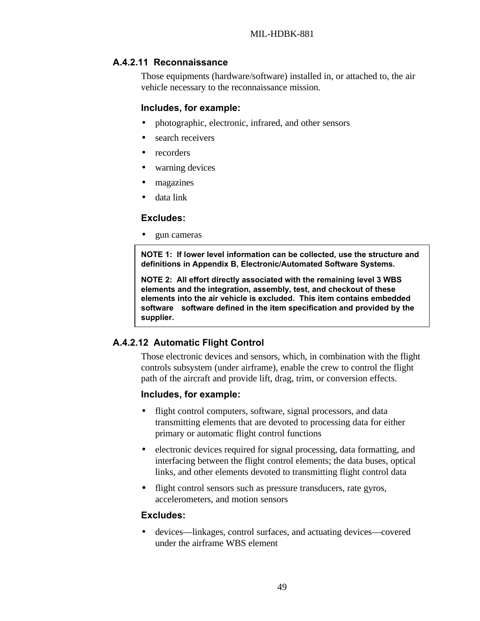#### **A.4.2.11 Reconnaissance**

Those equipments (hardware/software) installed in, or attached to, the air vehicle necessary to the reconnaissance mission.

#### **Includes, for example:**

- photographic, electronic, infrared, and other sensors
- search receivers
- recorders
- warning devices
- magazines
- data link

#### **Excludes:**

• gun cameras

**NOTE 1: If lower level information can be collected, use the structure and definitions in Appendix B, Electronic/Automated Software Systems.**

**NOTE 2: All effort directly associated with the remaining level 3 WBS elements and the integration, assembly, test, and checkout of these elements into the air vehicle is excluded. This item contains embedded software—software defined in the item specification and provided by the supplier.**

## **A.4.2.12 Automatic Flight Control**

Those electronic devices and sensors, which, in combination with the flight controls subsystem (under airframe), enable the crew to control the flight path of the aircraft and provide lift, drag, trim, or conversion effects.

#### **Includes, for example:**

- flight control computers, software, signal processors, and data transmitting elements that are devoted to processing data for either primary or automatic flight control functions
- electronic devices required for signal processing, data formatting, and interfacing between the flight control elements; the data buses, optical links, and other elements devoted to transmitting flight control data
- flight control sensors such as pressure transducers, rate gyros, accelerometers, and motion sensors

#### **Excludes:**

• devices—linkages, control surfaces, and actuating devices—covered under the airframe WBS element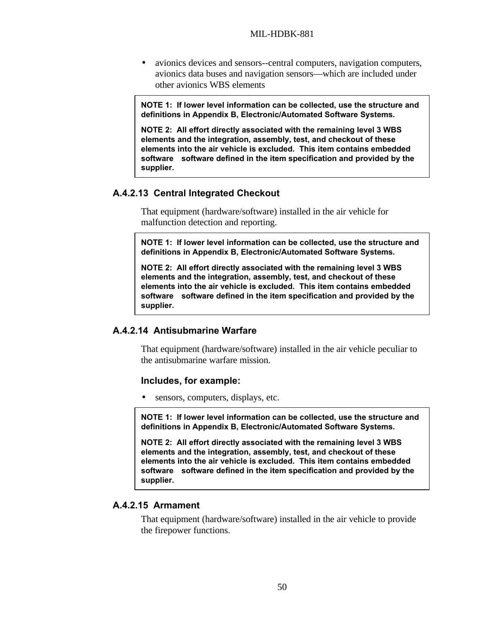• avionics devices and sensors--central computers, navigation computers, avionics data buses and navigation sensors—which are included under other avionics WBS elements

**NOTE 1: If lower level information can be collected, use the structure and definitions in Appendix B, Electronic/Automated Software Systems.**

**NOTE 2: All effort directly associated with the remaining level 3 WBS elements and the integration, assembly, test, and checkout of these elements into the air vehicle is excluded. This item contains embedded software—software defined in the item specification and provided by the supplier.**

#### **A.4.2.13 Central Integrated Checkout**

That equipment (hardware/software) installed in the air vehicle for malfunction detection and reporting.

**NOTE 1: If lower level information can be collected, use the structure and definitions in Appendix B, Electronic/Automated Software Systems.**

**NOTE 2: All effort directly associated with the remaining level 3 WBS elements and the integration, assembly, test, and checkout of these elements into the air vehicle is excluded. This item contains embedded software—software defined in the item specification and provided by the supplier.**

#### **A.4.2.14 Antisubmarine Warfare**

That equipment (hardware/software) installed in the air vehicle peculiar to the antisubmarine warfare mission.

#### **Includes, for example:**

• sensors, computers, displays, etc.

**NOTE 1: If lower level information can be collected, use the structure and definitions in Appendix B, Electronic/Automated Software Systems.**

**NOTE 2: All effort directly associated with the remaining level 3 WBS elements and the integration, assembly, test, and checkout of these elements into the air vehicle is excluded. This item contains embedded software—software defined in the item specification and provided by the supplier.**

#### **A.4.2.15 Armament**

That equipment (hardware/software) installed in the air vehicle to provide the firepower functions.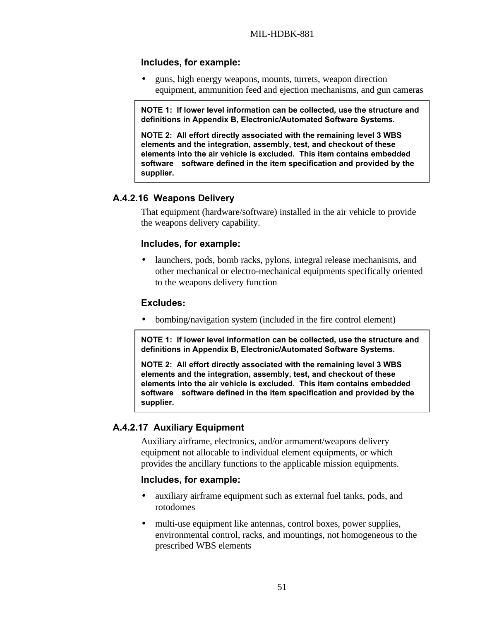#### **Includes, for example:**

• guns, high energy weapons, mounts, turrets, weapon direction equipment, ammunition feed and ejection mechanisms, and gun cameras

**NOTE 1: If lower level information can be collected, use the structure and definitions in Appendix B, Electronic/Automated Software Systems.**

**NOTE 2: All effort directly associated with the remaining level 3 WBS elements and the integration, assembly, test, and checkout of these elements into the air vehicle is excluded. This item contains embedded software—software defined in the item specification and provided by the supplier.**

#### **A.4.2.16 Weapons Delivery**

That equipment (hardware/software) installed in the air vehicle to provide the weapons delivery capability.

#### **Includes, for example:**

• launchers, pods, bomb racks, pylons, integral release mechanisms, and other mechanical or electro-mechanical equipments specifically oriented to the weapons delivery function

#### **Excludes:**

• bombing/navigation system (included in the fire control element)

**NOTE 1: If lower level information can be collected, use the structure and definitions in Appendix B, Electronic/Automated Software Systems.**

**NOTE 2: All effort directly associated with the remaining level 3 WBS elements and the integration, assembly, test, and checkout of these elements into the air vehicle is excluded. This item contains embedded software—software defined in the item specification and provided by the supplier.**

#### **A.4.2.17 Auxiliary Equipment**

Auxiliary airframe, electronics, and/or armament/weapons delivery equipment not allocable to individual element equipments, or which provides the ancillary functions to the applicable mission equipments.

#### **Includes, for example:**

- auxiliary airframe equipment such as external fuel tanks, pods, and rotodomes
- multi-use equipment like antennas, control boxes, power supplies, environmental control, racks, and mountings, not homogeneous to the prescribed WBS elements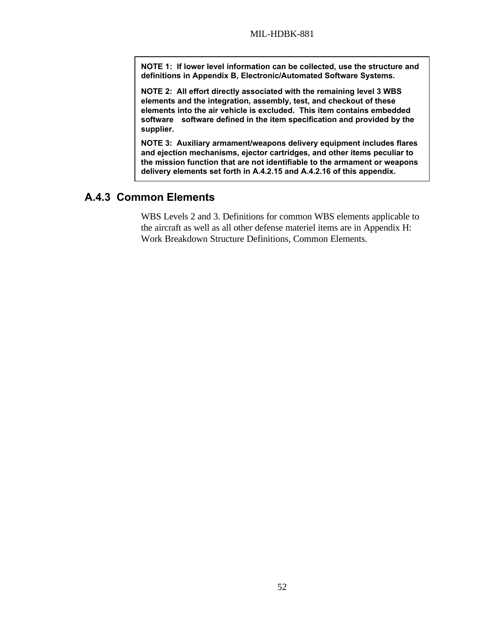**NOTE 1: If lower level information can be collected, use the structure and definitions in Appendix B, Electronic/Automated Software Systems.**

**NOTE 2: All effort directly associated with the remaining level 3 WBS elements and the integration, assembly, test, and checkout of these elements into the air vehicle is excluded. This item contains embedded software—software defined in the item specification and provided by the supplier.**

**NOTE 3: Auxiliary armament/weapons delivery equipment includes flares and ejection mechanisms, ejector cartridges, and other items peculiar to the mission function that are not identifiable to the armament or weapons delivery elements set forth in A.4.2.15 and A.4.2.16 of this appendix.**

## **A.4.3 Common Elements**

WBS Levels 2 and 3. Definitions for common WBS elements applicable to the aircraft as well as all other defense materiel items are in Appendix H: Work Breakdown Structure Definitions, Common Elements.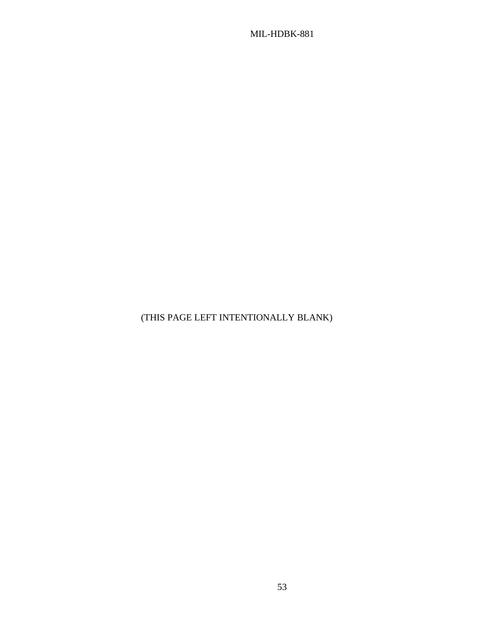(THIS PAGE LEFT INTENTIONALLY BLANK)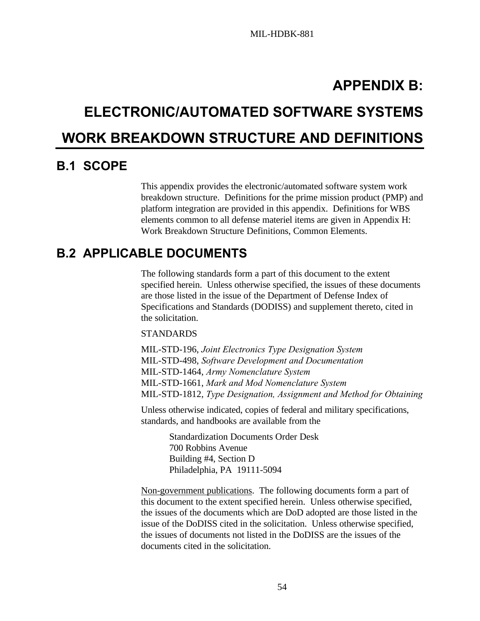# **APPENDIX B:**

# **ELECTRONIC/AUTOMATED SOFTWARE SYSTEMS WORK BREAKDOWN STRUCTURE AND DEFINITIONS**

## **B.1 SCOPE**

This appendix provides the electronic/automated software system work breakdown structure. Definitions for the prime mission product (PMP) and platform integration are provided in this appendix. Definitions for WBS elements common to all defense materiel items are given in Appendix H: Work Breakdown Structure Definitions, Common Elements.

## **B.2 APPLICABLE DOCUMENTS**

The following standards form a part of this document to the extent specified herein. Unless otherwise specified, the issues of these documents are those listed in the issue of the Department of Defense Index of Specifications and Standards (DODISS) and supplement thereto, cited in the solicitation.

#### STANDARDS

MIL-STD-196, *Joint Electronics Type Designation System* MIL-STD-498, *Software Development and Documentation* MIL-STD-1464, *Army Nomenclature System* MIL-STD-1661, *Mark and Mod Nomenclature System* MIL-STD-1812, *Type Designation, Assignment and Method for Obtaining*

Unless otherwise indicated, copies of federal and military specifications, standards, and handbooks are available from the

Standardization Documents Order Desk 700 Robbins Avenue Building #4, Section D Philadelphia, PA 19111-5094

Non-government publications. The following documents form a part of this document to the extent specified herein. Unless otherwise specified, the issues of the documents which are DoD adopted are those listed in the issue of the DoDISS cited in the solicitation. Unless otherwise specified, the issues of documents not listed in the DoDISS are the issues of the documents cited in the solicitation.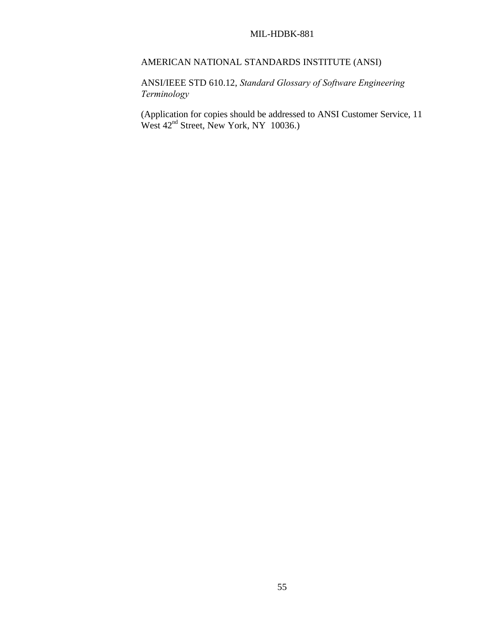### AMERICAN NATIONAL STANDARDS INSTITUTE (ANSI)

ANSI/IEEE STD 610.12, *Standard Glossary of Software Engineering Terminology*

(Application for copies should be addressed to ANSI Customer Service, 11 West  $42<sup>nd</sup>$  Street, New York, NY 10036.)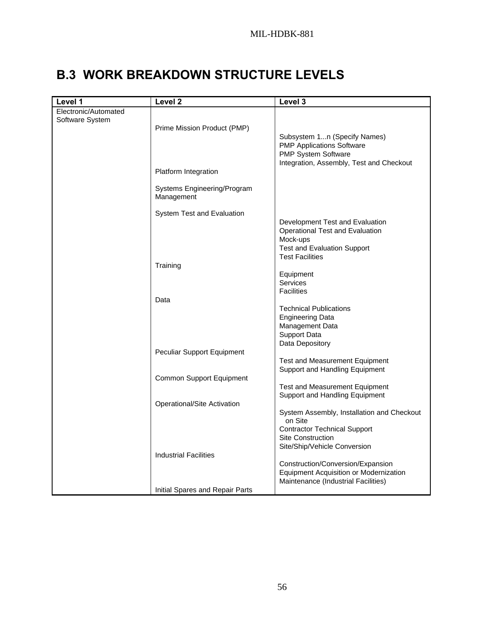# **B.3 WORK BREAKDOWN STRUCTURE LEVELS**

| Level 1              | Level <sub>2</sub>              | Level 3                                               |
|----------------------|---------------------------------|-------------------------------------------------------|
| Electronic/Automated |                                 |                                                       |
| Software System      |                                 |                                                       |
|                      | Prime Mission Product (PMP)     |                                                       |
|                      |                                 | Subsystem 1n (Specify Names)                          |
|                      |                                 | <b>PMP Applications Software</b>                      |
|                      |                                 | <b>PMP System Software</b>                            |
|                      |                                 | Integration, Assembly, Test and Checkout              |
|                      | Platform Integration            |                                                       |
|                      | Systems Engineering/Program     |                                                       |
|                      | Management                      |                                                       |
|                      |                                 |                                                       |
|                      | System Test and Evaluation      |                                                       |
|                      |                                 | Development Test and Evaluation                       |
|                      |                                 | <b>Operational Test and Evaluation</b>                |
|                      |                                 | Mock-ups                                              |
|                      |                                 | <b>Test and Evaluation Support</b>                    |
|                      |                                 | <b>Test Facilities</b>                                |
|                      | Training                        | Equipment                                             |
|                      |                                 | <b>Services</b>                                       |
|                      |                                 | <b>Facilities</b>                                     |
|                      | Data                            |                                                       |
|                      |                                 | <b>Technical Publications</b>                         |
|                      |                                 | <b>Engineering Data</b>                               |
|                      |                                 | Management Data                                       |
|                      |                                 | <b>Support Data</b>                                   |
|                      |                                 | Data Depository                                       |
|                      | Peculiar Support Equipment      |                                                       |
|                      |                                 | <b>Test and Measurement Equipment</b>                 |
|                      |                                 | Support and Handling Equipment                        |
|                      | Common Support Equipment        |                                                       |
|                      |                                 | <b>Test and Measurement Equipment</b>                 |
|                      |                                 | Support and Handling Equipment                        |
|                      | Operational/Site Activation     |                                                       |
|                      |                                 | System Assembly, Installation and Checkout<br>on Site |
|                      |                                 | <b>Contractor Technical Support</b>                   |
|                      |                                 | <b>Site Construction</b>                              |
|                      |                                 | Site/Ship/Vehicle Conversion                          |
|                      | <b>Industrial Facilities</b>    |                                                       |
|                      |                                 | Construction/Conversion/Expansion                     |
|                      |                                 | Equipment Acquisition or Modernization                |
|                      |                                 | Maintenance (Industrial Facilities)                   |
|                      | Initial Spares and Repair Parts |                                                       |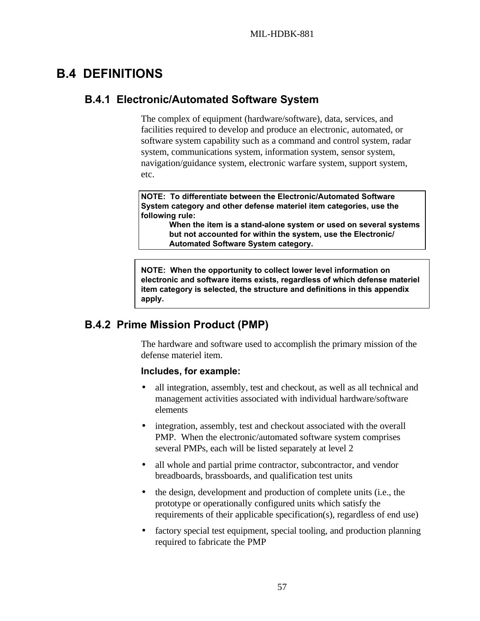# **B.4 DEFINITIONS**

## **B.4.1 Electronic/Automated Software System**

The complex of equipment (hardware/software), data, services, and facilities required to develop and produce an electronic, automated, or software system capability such as a command and control system, radar system, communications system, information system, sensor system, navigation/guidance system, electronic warfare system, support system, etc.

**NOTE: To differentiate between the Electronic/Automated Software System category and other defense materiel item categories, use the following rule:**

**When the item is a stand-alone system or used on several systems but not accounted for within the system, use the Electronic/ Automated Software System category.**

**NOTE: When the opportunity to collect lower level information on electronic and software items exists, regardless of which defense materiel item category is selected, the structure and definitions in this appendix apply.**

## **B.4.2 Prime Mission Product (PMP)**

The hardware and software used to accomplish the primary mission of the defense materiel item.

#### **Includes, for example:**

- all integration, assembly, test and checkout, as well as all technical and management activities associated with individual hardware/software elements
- integration, assembly, test and checkout associated with the overall PMP. When the electronic/automated software system comprises several PMPs, each will be listed separately at level 2
- all whole and partial prime contractor, subcontractor, and vendor breadboards, brassboards, and qualification test units
- the design, development and production of complete units (i.e., the prototype or operationally configured units which satisfy the requirements of their applicable specification(s), regardless of end use)
- factory special test equipment, special tooling, and production planning required to fabricate the PMP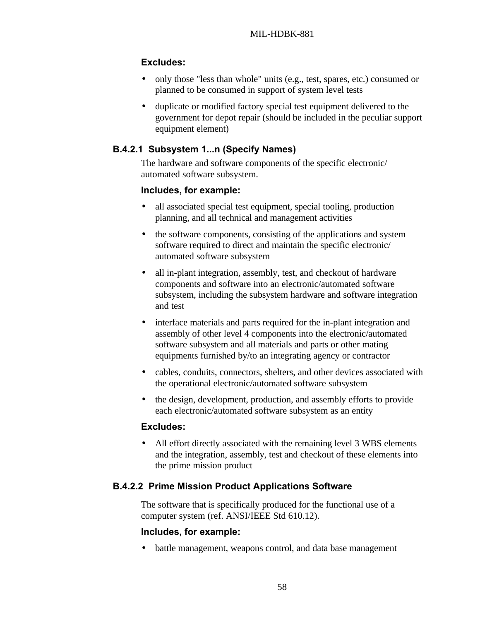#### **Excludes:**

- only those "less than whole" units (e.g., test, spares, etc.) consumed or planned to be consumed in support of system level tests
- duplicate or modified factory special test equipment delivered to the government for depot repair (should be included in the peculiar support equipment element)

#### **B.4.2.1 Subsystem 1...n (Specify Names)**

The hardware and software components of the specific electronic/ automated software subsystem.

#### **Includes, for example:**

- all associated special test equipment, special tooling, production planning, and all technical and management activities
- the software components, consisting of the applications and system software required to direct and maintain the specific electronic/ automated software subsystem
- all in-plant integration, assembly, test, and checkout of hardware components and software into an electronic/automated software subsystem, including the subsystem hardware and software integration and test
- interface materials and parts required for the in-plant integration and assembly of other level 4 components into the electronic/automated software subsystem and all materials and parts or other mating equipments furnished by/to an integrating agency or contractor
- cables, conduits, connectors, shelters, and other devices associated with the operational electronic/automated software subsystem
- the design, development, production, and assembly efforts to provide each electronic/automated software subsystem as an entity

#### **Excludes:**

• All effort directly associated with the remaining level 3 WBS elements and the integration, assembly, test and checkout of these elements into the prime mission product

#### **B.4.2.2 Prime Mission Product Applications Software**

The software that is specifically produced for the functional use of a computer system (ref. ANSI/IEEE Std 610.12).

#### **Includes, for example:**

• battle management, weapons control, and data base management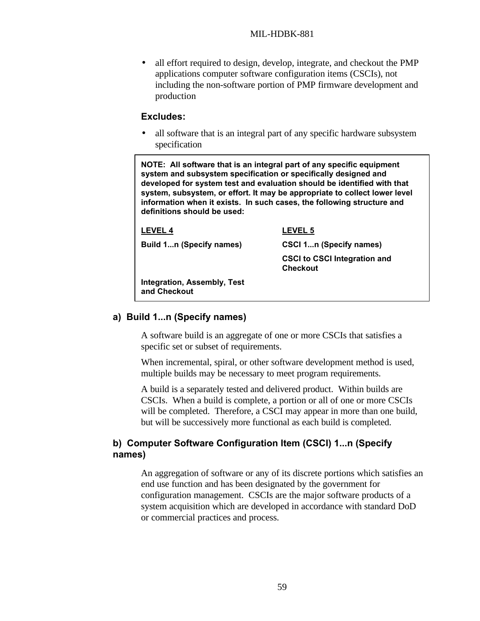• all effort required to design, develop, integrate, and checkout the PMP applications computer software configuration items (CSCIs), not including the non-software portion of PMP firmware development and production

#### **Excludes:**

all software that is an integral part of any specific hardware subsystem specification

**NOTE: All software that is an integral part of any specific equipment system and subsystem specification or specifically designed and developed for system test and evaluation should be identified with that system, subsystem, or effort. It may be appropriate to collect lower level information when it exists. In such cases, the following structure and definitions should be used:**

| LEVEL 4                                     | LEVEL 5                                                |
|---------------------------------------------|--------------------------------------------------------|
| Build 1n (Specify names)                    | <b>CSCI 1n (Specify names)</b>                         |
|                                             | <b>CSCI to CSCI Integration and</b><br><b>Checkout</b> |
| Integration, Assembly, Test<br>and Checkout |                                                        |

#### **a) Build 1...n (Specify names)**

A software build is an aggregate of one or more CSCIs that satisfies a specific set or subset of requirements.

When incremental, spiral, or other software development method is used, multiple builds may be necessary to meet program requirements.

A build is a separately tested and delivered product. Within builds are CSCIs. When a build is complete, a portion or all of one or more CSCIs will be completed. Therefore, a CSCI may appear in more than one build, but will be successively more functional as each build is completed.

#### **b) Computer Software Configuration Item (CSCI) 1...n (Specify names)**

An aggregation of software or any of its discrete portions which satisfies an end use function and has been designated by the government for configuration management. CSCIs are the major software products of a system acquisition which are developed in accordance with standard DoD or commercial practices and process.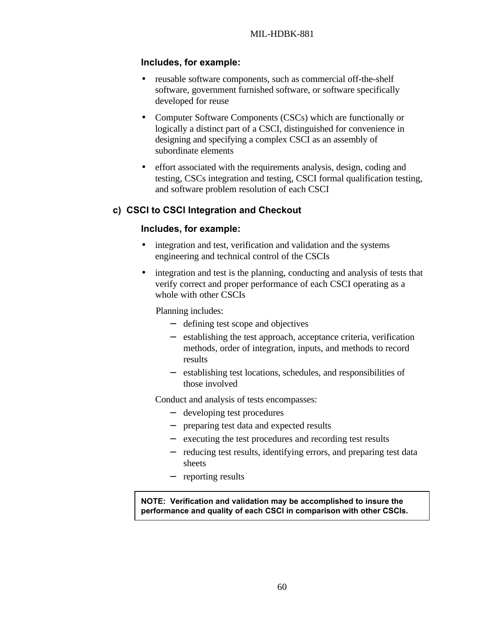#### **Includes, for example:**

- reusable software components, such as commercial off-the-shelf software, government furnished software, or software specifically developed for reuse
- Computer Software Components (CSCs) which are functionally or logically a distinct part of a CSCI, distinguished for convenience in designing and specifying a complex CSCI as an assembly of subordinate elements
- effort associated with the requirements analysis, design, coding and testing, CSCs integration and testing, CSCI formal qualification testing, and software problem resolution of each CSCI

## **c) CSCI to CSCI Integration and Checkout**

#### **Includes, for example:**

- integration and test, verification and validation and the systems engineering and technical control of the CSCIs
- integration and test is the planning, conducting and analysis of tests that verify correct and proper performance of each CSCI operating as a whole with other CSCIs

Planning includes:

- − defining test scope and objectives
- − establishing the test approach, acceptance criteria, verification methods, order of integration, inputs, and methods to record results
- establishing test locations, schedules, and responsibilities of those involved

Conduct and analysis of tests encompasses:

- − developing test procedures
- − preparing test data and expected results
- − executing the test procedures and recording test results
- reducing test results, identifying errors, and preparing test data sheets
- − reporting results

**NOTE: Verification and validation may be accomplished to insure the performance and quality of each CSCI in comparison with other CSCIs.**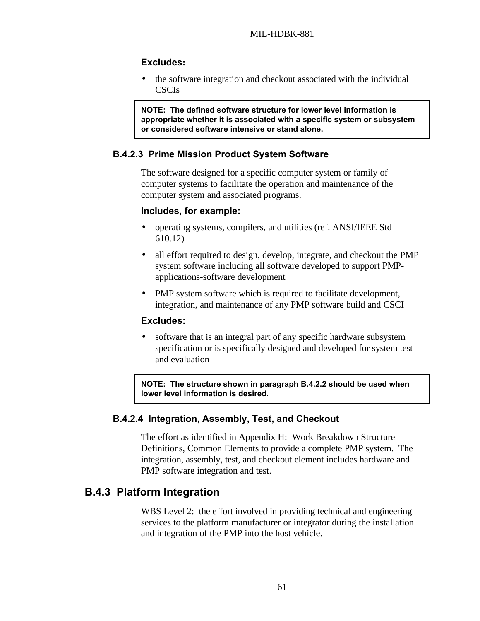#### **Excludes:**

• the software integration and checkout associated with the individual **CSCIs** 

**NOTE: The defined software structure for lower level information is appropriate whether it is associated with a specific system or subsystem or considered software intensive or stand alone.**

#### **B.4.2.3 Prime Mission Product System Software**

The software designed for a specific computer system or family of computer systems to facilitate the operation and maintenance of the computer system and associated programs.

#### **Includes, for example:**

- operating systems, compilers, and utilities (ref. ANSI/IEEE Std. 610.12)
- all effort required to design, develop, integrate, and checkout the PMP system software including all software developed to support PMPapplications-software development
- PMP system software which is required to facilitate development, integration, and maintenance of any PMP software build and CSCI

#### **Excludes:**

software that is an integral part of any specific hardware subsystem specification or is specifically designed and developed for system test and evaluation

**NOTE: The structure shown in paragraph B.4.2.2 should be used when lower level information is desired.**

#### **B.4.2.4 Integration, Assembly, Test, and Checkout**

The effort as identified in Appendix H: Work Breakdown Structure Definitions, Common Elements to provide a complete PMP system. The integration, assembly, test, and checkout element includes hardware and PMP software integration and test.

## **B.4.3 Platform Integration**

WBS Level 2: the effort involved in providing technical and engineering services to the platform manufacturer or integrator during the installation and integration of the PMP into the host vehicle.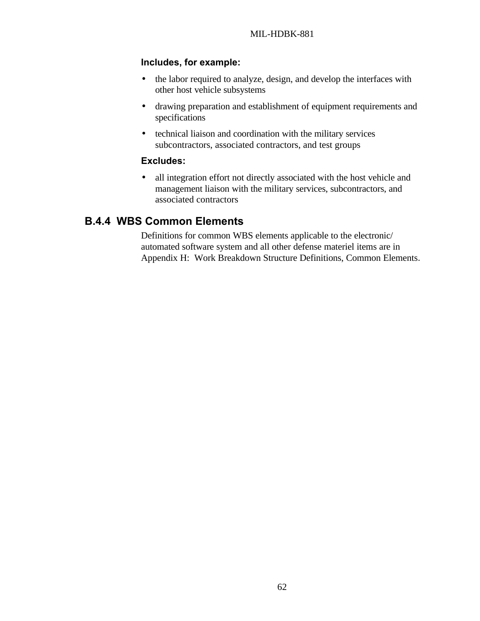#### **Includes, for example:**

- the labor required to analyze, design, and develop the interfaces with other host vehicle subsystems
- drawing preparation and establishment of equipment requirements and specifications
- technical liaison and coordination with the military services subcontractors, associated contractors, and test groups

#### **Excludes:**

• all integration effort not directly associated with the host vehicle and management liaison with the military services, subcontractors, and associated contractors

## **B.4.4 WBS Common Elements**

Definitions for common WBS elements applicable to the electronic/ automated software system and all other defense materiel items are in Appendix H: Work Breakdown Structure Definitions, Common Elements.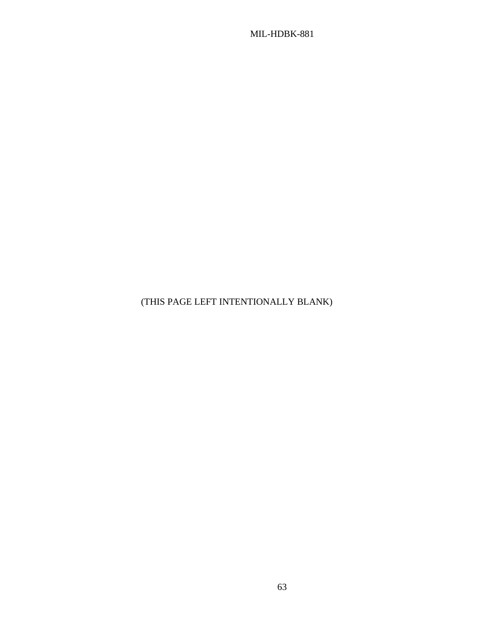(THIS PAGE LEFT INTENTIONALLY BLANK)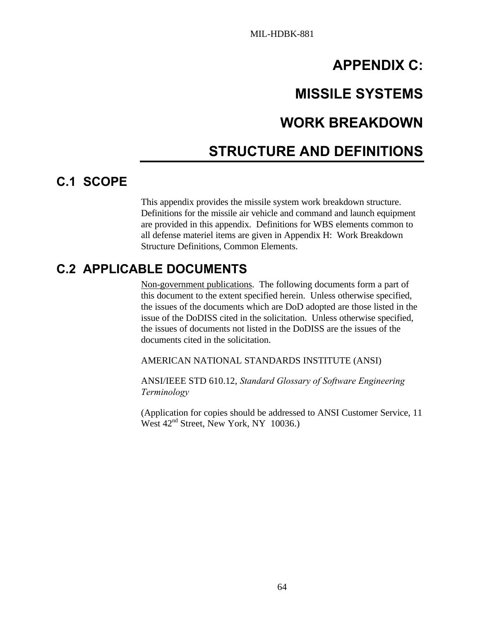# **APPENDIX C:**

# **MISSILE SYSTEMS**

# **WORK BREAKDOWN**

# **STRUCTURE AND DEFINITIONS**

## **C.1 SCOPE**

This appendix provides the missile system work breakdown structure. Definitions for the missile air vehicle and command and launch equipment are provided in this appendix. Definitions for WBS elements common to all defense materiel items are given in Appendix H: Work Breakdown Structure Definitions, Common Elements.

## **C.2 APPLICABLE DOCUMENTS**

Non-government publications. The following documents form a part of this document to the extent specified herein. Unless otherwise specified, the issues of the documents which are DoD adopted are those listed in the issue of the DoDISS cited in the solicitation. Unless otherwise specified, the issues of documents not listed in the DoDISS are the issues of the documents cited in the solicitation.

AMERICAN NATIONAL STANDARDS INSTITUTE (ANSI)

ANSI/IEEE STD 610.12, *Standard Glossary of Software Engineering Terminology*

(Application for copies should be addressed to ANSI Customer Service, 11 West  $42<sup>nd</sup>$  Street, New York, NY 10036.)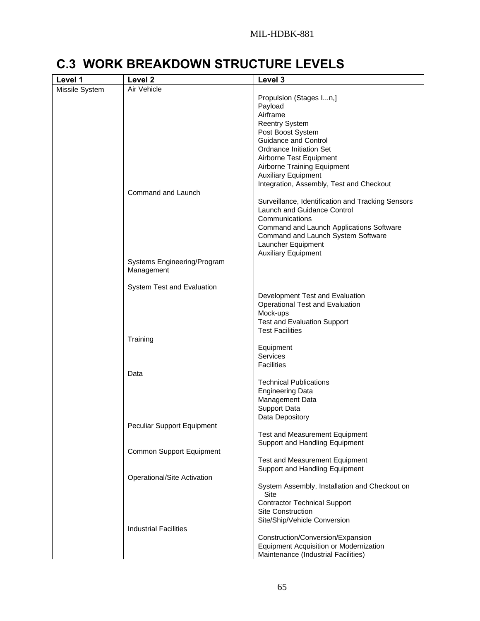# **C.3 WORK BREAKDOWN STRUCTURE LEVELS**

| Level 1        | Level <sub>2</sub>           | Level 3                                                      |
|----------------|------------------------------|--------------------------------------------------------------|
| Missile System | Air Vehicle                  |                                                              |
|                |                              | Propulsion (Stages In,]                                      |
|                |                              | Payload                                                      |
|                |                              | Airframe                                                     |
|                |                              | <b>Reentry System</b>                                        |
|                |                              | Post Boost System                                            |
|                |                              | <b>Guidance and Control</b>                                  |
|                |                              | <b>Ordnance Initiation Set</b>                               |
|                |                              | Airborne Test Equipment<br>Airborne Training Equipment       |
|                |                              | <b>Auxiliary Equipment</b>                                   |
|                |                              | Integration, Assembly, Test and Checkout                     |
|                | Command and Launch           |                                                              |
|                |                              | Surveillance, Identification and Tracking Sensors            |
|                |                              | Launch and Guidance Control                                  |
|                |                              | Communications                                               |
|                |                              | Command and Launch Applications Software                     |
|                |                              | Command and Launch System Software                           |
|                |                              | Launcher Equipment                                           |
|                |                              | <b>Auxiliary Equipment</b>                                   |
|                | Systems Engineering/Program  |                                                              |
|                | Management                   |                                                              |
|                | System Test and Evaluation   |                                                              |
|                |                              | Development Test and Evaluation                              |
|                |                              | Operational Test and Evaluation                              |
|                |                              | Mock-ups                                                     |
|                |                              | <b>Test and Evaluation Support</b>                           |
|                |                              | <b>Test Facilities</b>                                       |
|                | Training                     |                                                              |
|                |                              | Equipment                                                    |
|                |                              | Services                                                     |
|                |                              | <b>Facilities</b>                                            |
|                | Data                         |                                                              |
|                |                              | <b>Technical Publications</b>                                |
|                |                              | <b>Engineering Data</b><br>Management Data                   |
|                |                              | Support Data                                                 |
|                |                              | Data Depository                                              |
|                | Peculiar Support Equipment   |                                                              |
|                |                              | Test and Measurement Equipment                               |
|                |                              | Support and Handling Equipment                               |
|                | Common Support Equipment     |                                                              |
|                |                              | <b>Test and Measurement Equipment</b>                        |
|                |                              | Support and Handling Equipment                               |
|                | Operational/Site Activation  |                                                              |
|                |                              | System Assembly, Installation and Checkout on<br><b>Site</b> |
|                |                              | <b>Contractor Technical Support</b>                          |
|                |                              | <b>Site Construction</b>                                     |
|                |                              | Site/Ship/Vehicle Conversion                                 |
|                | <b>Industrial Facilities</b> |                                                              |
|                |                              | Construction/Conversion/Expansion                            |
|                |                              | <b>Equipment Acquisition or Modernization</b>                |
|                |                              | Maintenance (Industrial Facilities)                          |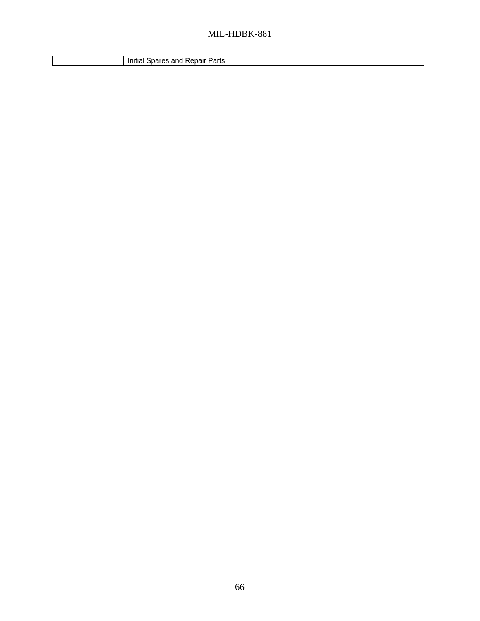| Initial Spares and Repair Parts

 $\begin{array}{c} \hline \end{array}$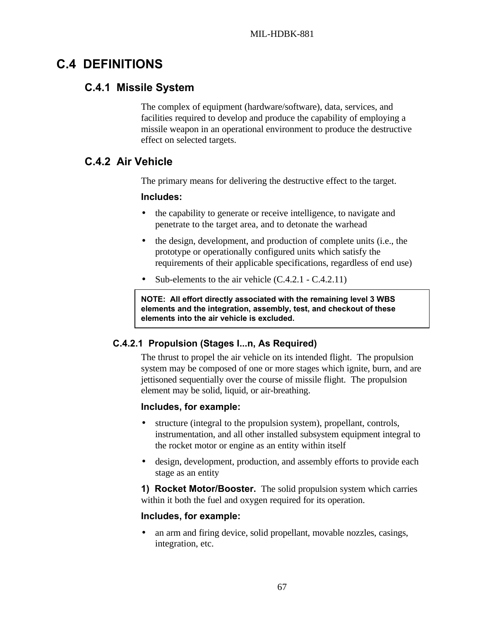# **C.4 DEFINITIONS**

# **C.4.1 Missile System**

The complex of equipment (hardware/software), data, services, and facilities required to develop and produce the capability of employing a missile weapon in an operational environment to produce the destructive effect on selected targets.

# **C.4.2 Air Vehicle**

The primary means for delivering the destructive effect to the target.

#### **Includes:**

- the capability to generate or receive intelligence, to navigate and penetrate to the target area, and to detonate the warhead
- the design, development, and production of complete units (i.e., the prototype or operationally configured units which satisfy the requirements of their applicable specifications, regardless of end use)
- Sub-elements to the air vehicle  $(C.4.2.1 C.4.2.11)$

**NOTE: All effort directly associated with the remaining level 3 WBS elements and the integration, assembly, test, and checkout of these elements into the air vehicle is excluded.**

### **C.4.2.1 Propulsion (Stages I...n, As Required)**

The thrust to propel the air vehicle on its intended flight. The propulsion system may be composed of one or more stages which ignite, burn, and are jettisoned sequentially over the course of missile flight. The propulsion element may be solid, liquid, or air-breathing.

#### **Includes, for example:**

- structure (integral to the propulsion system), propellant, controls, instrumentation, and all other installed subsystem equipment integral to the rocket motor or engine as an entity within itself
- design, development, production, and assembly efforts to provide each stage as an entity

**1) Rocket Motor/Booster.** The solid propulsion system which carries within it both the fuel and oxygen required for its operation.

#### **Includes, for example:**

• an arm and firing device, solid propellant, movable nozzles, casings, integration, etc.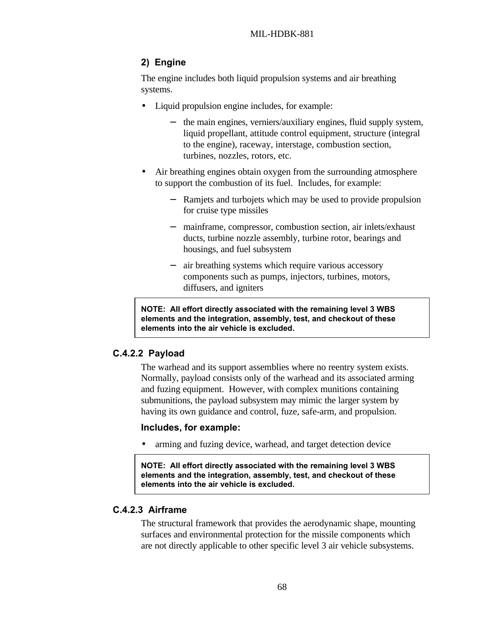### **2) Engine**

The engine includes both liquid propulsion systems and air breathing systems.

- Liquid propulsion engine includes, for example:
	- the main engines, verniers/auxiliary engines, fluid supply system, liquid propellant, attitude control equipment, structure (integral to the engine), raceway, interstage, combustion section, turbines, nozzles, rotors, etc.
- Air breathing engines obtain oxygen from the surrounding atmosphere to support the combustion of its fuel. Includes, for example:
	- − Ramjets and turbojets which may be used to provide propulsion for cruise type missiles
	- − mainframe, compressor, combustion section, air inlets/exhaust ducts, turbine nozzle assembly, turbine rotor, bearings and housings, and fuel subsystem
	- air breathing systems which require various accessory components such as pumps, injectors, turbines, motors, diffusers, and igniters

**NOTE: All effort directly associated with the remaining level 3 WBS elements and the integration, assembly, test, and checkout of these elements into the air vehicle is excluded.**

#### **C.4.2.2 Payload**

The warhead and its support assemblies where no reentry system exists. Normally, payload consists only of the warhead and its associated arming and fuzing equipment. However, with complex munitions containing submunitions, the payload subsystem may mimic the larger system by having its own guidance and control, fuze, safe-arm, and propulsion.

#### **Includes, for example:**

arming and fuzing device, warhead, and target detection device

**NOTE: All effort directly associated with the remaining level 3 WBS elements and the integration, assembly, test, and checkout of these elements into the air vehicle is excluded.**

#### **C.4.2.3 Airframe**

The structural framework that provides the aerodynamic shape, mounting surfaces and environmental protection for the missile components which are not directly applicable to other specific level 3 air vehicle subsystems.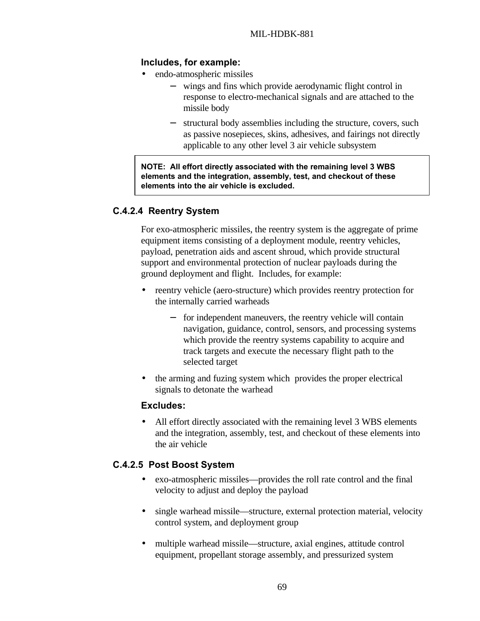#### **Includes, for example:**

- endo-atmospheric missiles
	- − wings and fins which provide aerodynamic flight control in response to electro-mechanical signals and are attached to the missile body
	- − structural body assemblies including the structure, covers, such as passive nosepieces, skins, adhesives, and fairings not directly applicable to any other level 3 air vehicle subsystem

**NOTE: All effort directly associated with the remaining level 3 WBS elements and the integration, assembly, test, and checkout of these elements into the air vehicle is excluded.**

#### **C.4.2.4 Reentry System**

For exo-atmospheric missiles, the reentry system is the aggregate of prime equipment items consisting of a deployment module, reentry vehicles, payload, penetration aids and ascent shroud, which provide structural support and environmental protection of nuclear payloads during the ground deployment and flight. Includes, for example:

- reentry vehicle (aero-structure) which provides reentry protection for the internally carried warheads
	- − for independent maneuvers, the reentry vehicle will contain navigation, guidance, control, sensors, and processing systems which provide the reentry systems capability to acquire and track targets and execute the necessary flight path to the selected target
- the arming and fuzing system which provides the proper electrical signals to detonate the warhead

#### **Excludes:**

• All effort directly associated with the remaining level 3 WBS elements and the integration, assembly, test, and checkout of these elements into the air vehicle

#### **C.4.2.5 Post Boost System**

- exo-atmospheric missiles—provides the roll rate control and the final velocity to adjust and deploy the payload
- single warhead missile—structure, external protection material, velocity control system, and deployment group
- multiple warhead missile—structure, axial engines, attitude control equipment, propellant storage assembly, and pressurized system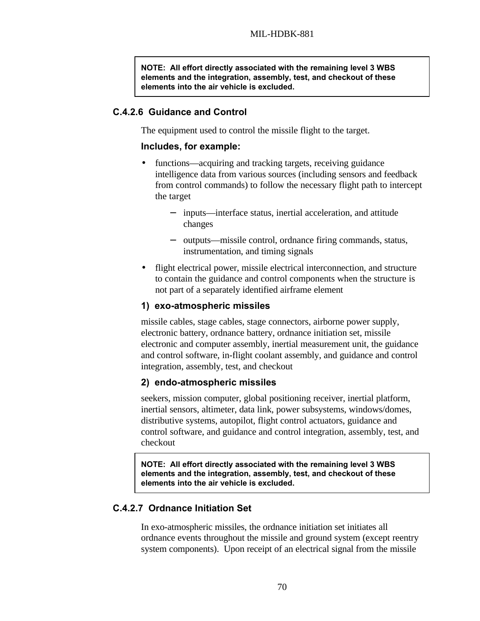**NOTE: All effort directly associated with the remaining level 3 WBS elements and the integration, assembly, test, and checkout of these elements into the air vehicle is excluded.**

#### **C.4.2.6 Guidance and Control**

The equipment used to control the missile flight to the target.

#### **Includes, for example:**

- functions—acquiring and tracking targets, receiving guidance intelligence data from various sources (including sensors and feedback from control commands) to follow the necessary flight path to intercept the target
	- − inputs—interface status, inertial acceleration, and attitude changes
	- − outputs—missile control, ordnance firing commands, status, instrumentation, and timing signals
- flight electrical power, missile electrical interconnection, and structure to contain the guidance and control components when the structure is not part of a separately identified airframe element

#### **1) exo-atmospheric missiles**

missile cables, stage cables, stage connectors, airborne power supply, electronic battery, ordnance battery, ordnance initiation set, missile electronic and computer assembly, inertial measurement unit, the guidance and control software, in-flight coolant assembly, and guidance and control integration, assembly, test, and checkout

#### **2) endo-atmospheric missiles**

seekers, mission computer, global positioning receiver, inertial platform, inertial sensors, altimeter, data link, power subsystems, windows/domes, distributive systems, autopilot, flight control actuators, guidance and control software, and guidance and control integration, assembly, test, and checkout

**NOTE: All effort directly associated with the remaining level 3 WBS elements and the integration, assembly, test, and checkout of these elements into the air vehicle is excluded.**

#### **C.4.2.7 Ordnance Initiation Set**

In exo-atmospheric missiles, the ordnance initiation set initiates all ordnance events throughout the missile and ground system (except reentry system components). Upon receipt of an electrical signal from the missile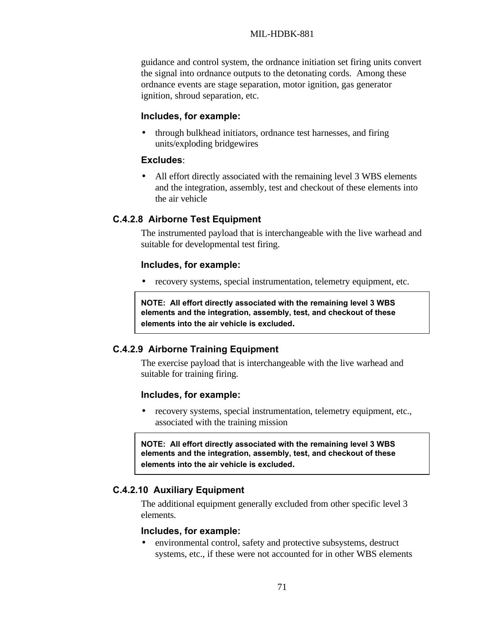guidance and control system, the ordnance initiation set firing units convert the signal into ordnance outputs to the detonating cords. Among these ordnance events are stage separation, motor ignition, gas generator ignition, shroud separation, etc.

#### **Includes, for example:**

• through bulkhead initiators, ordnance test harnesses, and firing units/exploding bridgewires

#### **Excludes**:

• All effort directly associated with the remaining level 3 WBS elements and the integration, assembly, test and checkout of these elements into the air vehicle

#### **C.4.2.8 Airborne Test Equipment**

The instrumented payload that is interchangeable with the live warhead and suitable for developmental test firing.

#### **Includes, for example:**

• recovery systems, special instrumentation, telemetry equipment, etc.

**NOTE: All effort directly associated with the remaining level 3 WBS elements and the integration, assembly, test, and checkout of these elements into the air vehicle is excluded.**

#### **C.4.2.9 Airborne Training Equipment**

The exercise payload that is interchangeable with the live warhead and suitable for training firing.

#### **Includes, for example:**

• recovery systems, special instrumentation, telemetry equipment, etc., associated with the training mission

**NOTE: All effort directly associated with the remaining level 3 WBS elements and the integration, assembly, test, and checkout of these elements into the air vehicle is excluded.**

#### **C.4.2.10 Auxiliary Equipment**

The additional equipment generally excluded from other specific level 3 elements.

#### **Includes, for example:**

• environmental control, safety and protective subsystems, destruct systems, etc., if these were not accounted for in other WBS elements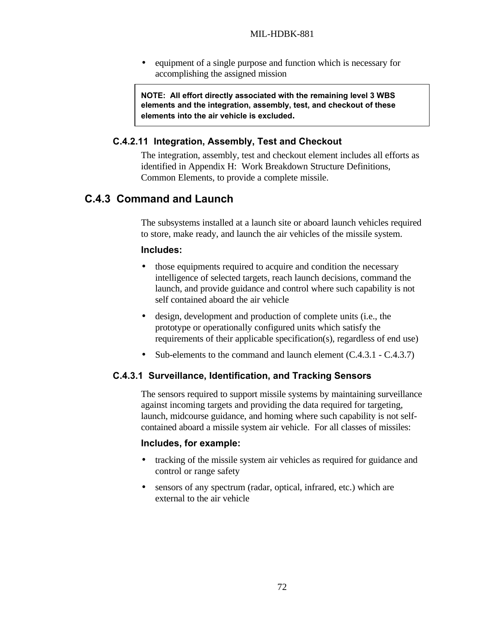• equipment of a single purpose and function which is necessary for accomplishing the assigned mission

**NOTE: All effort directly associated with the remaining level 3 WBS elements and the integration, assembly, test, and checkout of these elements into the air vehicle is excluded.**

#### **C.4.2.11 Integration, Assembly, Test and Checkout**

The integration, assembly, test and checkout element includes all efforts as identified in Appendix H: Work Breakdown Structure Definitions, Common Elements, to provide a complete missile.

### **C.4.3 Command and Launch**

The subsystems installed at a launch site or aboard launch vehicles required to store, make ready, and launch the air vehicles of the missile system.

#### **Includes:**

- those equipments required to acquire and condition the necessary intelligence of selected targets, reach launch decisions, command the launch, and provide guidance and control where such capability is not self contained aboard the air vehicle
- design, development and production of complete units (i.e., the prototype or operationally configured units which satisfy the requirements of their applicable specification(s), regardless of end use)
- Sub-elements to the command and launch element (C.4.3.1 C.4.3.7)

#### **C.4.3.1 Surveillance, Identification, and Tracking Sensors**

The sensors required to support missile systems by maintaining surveillance against incoming targets and providing the data required for targeting, launch, midcourse guidance, and homing where such capability is not selfcontained aboard a missile system air vehicle. For all classes of missiles:

#### **Includes, for example:**

- tracking of the missile system air vehicles as required for guidance and control or range safety
- sensors of any spectrum (radar, optical, infrared, etc.) which are external to the air vehicle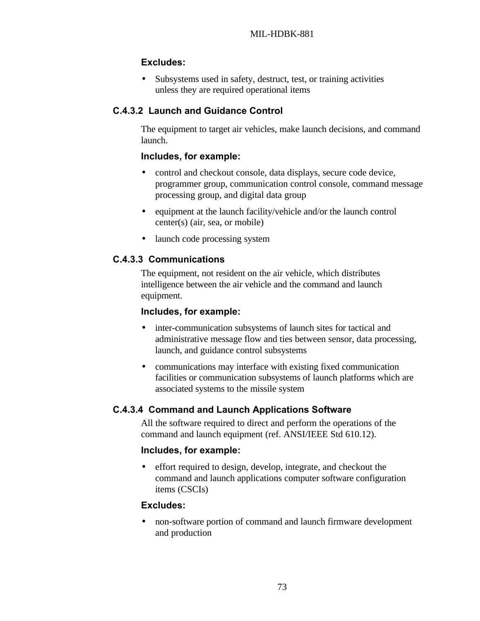#### **Excludes:**

• Subsystems used in safety, destruct, test, or training activities unless they are required operational items

#### **C.4.3.2 Launch and Guidance Control**

The equipment to target air vehicles, make launch decisions, and command launch.

#### **Includes, for example:**

- control and checkout console, data displays, secure code device, programmer group, communication control console, command message processing group, and digital data group
- equipment at the launch facility/vehicle and/or the launch control center(s) (air, sea, or mobile)
- launch code processing system

#### **C.4.3.3 Communications**

The equipment, not resident on the air vehicle, which distributes intelligence between the air vehicle and the command and launch equipment.

#### **Includes, for example:**

- inter-communication subsystems of launch sites for tactical and administrative message flow and ties between sensor, data processing, launch, and guidance control subsystems
- communications may interface with existing fixed communication facilities or communication subsystems of launch platforms which are associated systems to the missile system

#### **C.4.3.4 Command and Launch Applications Software**

All the software required to direct and perform the operations of the command and launch equipment (ref. ANSI/IEEE Std 610.12).

#### **Includes, for example:**

• effort required to design, develop, integrate, and checkout the command and launch applications computer software configuration items (CSCIs)

#### **Excludes:**

• non-software portion of command and launch firmware development and production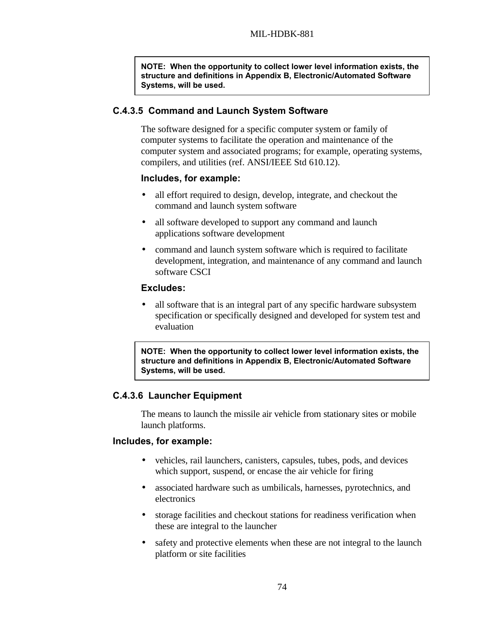**NOTE: When the opportunity to collect lower level information exists, the structure and definitions in Appendix B, Electronic/Automated Software Systems, will be used.**

#### **C.4.3.5 Command and Launch System Software**

The software designed for a specific computer system or family of computer systems to facilitate the operation and maintenance of the computer system and associated programs; for example, operating systems, compilers, and utilities (ref. ANSI/IEEE Std 610.12).

#### **Includes, for example:**

- all effort required to design, develop, integrate, and checkout the command and launch system software
- all software developed to support any command and launch applications software development
- command and launch system software which is required to facilitate development, integration, and maintenance of any command and launch software CSCI

#### **Excludes:**

all software that is an integral part of any specific hardware subsystem specification or specifically designed and developed for system test and evaluation

**NOTE: When the opportunity to collect lower level information exists, the structure and definitions in Appendix B, Electronic/Automated Software Systems, will be used.**

#### **C.4.3.6 Launcher Equipment**

The means to launch the missile air vehicle from stationary sites or mobile launch platforms.

#### **Includes, for example:**

- vehicles, rail launchers, canisters, capsules, tubes, pods, and devices which support, suspend, or encase the air vehicle for firing
- associated hardware such as umbilicals, harnesses, pyrotechnics, and electronics
- storage facilities and checkout stations for readiness verification when these are integral to the launcher
- safety and protective elements when these are not integral to the launch platform or site facilities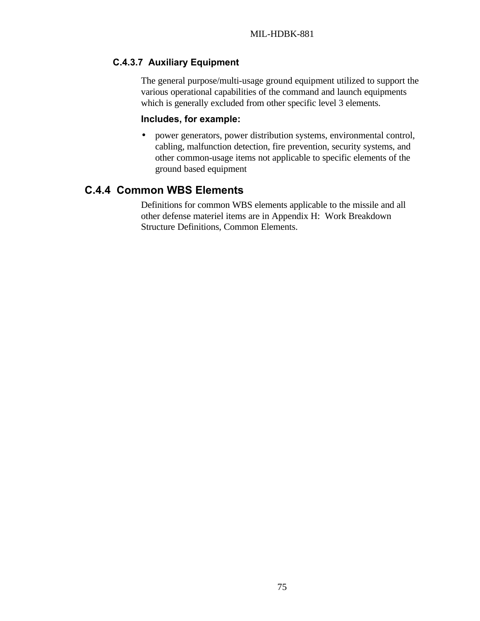#### **C.4.3.7 Auxiliary Equipment**

The general purpose/multi-usage ground equipment utilized to support the various operational capabilities of the command and launch equipments which is generally excluded from other specific level 3 elements.

#### **Includes, for example:**

• power generators, power distribution systems, environmental control, cabling, malfunction detection, fire prevention, security systems, and other common-usage items not applicable to specific elements of the ground based equipment

### **C.4.4 Common WBS Elements**

Definitions for common WBS elements applicable to the missile and all other defense materiel items are in Appendix H: Work Breakdown Structure Definitions, Common Elements.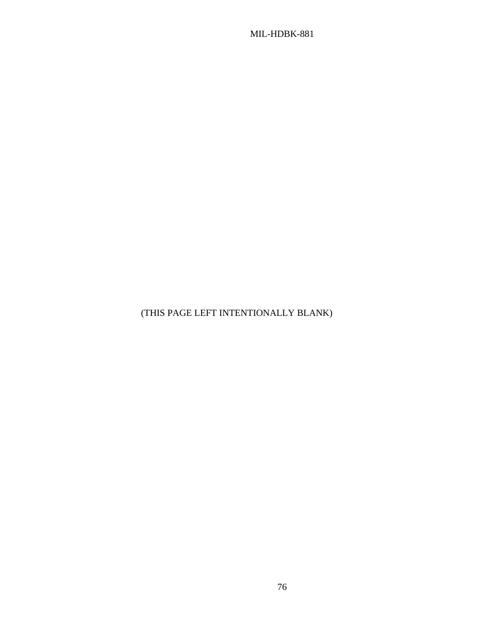MIL-HDBK-881

(THIS PAGE LEFT INTENTIONALLY BLANK)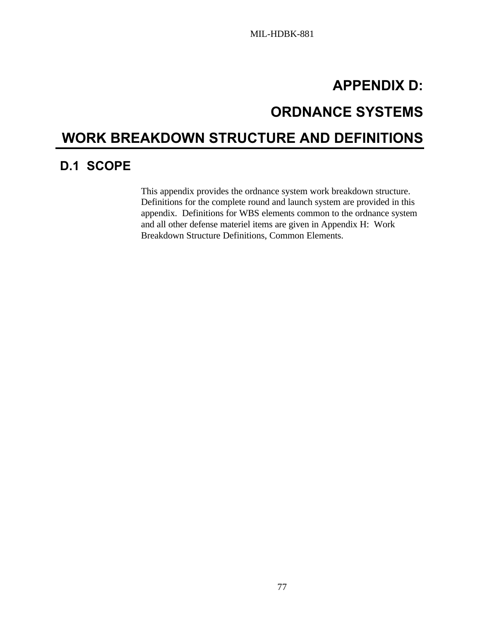# **APPENDIX D: ORDNANCE SYSTEMS**

# **WORK BREAKDOWN STRUCTURE AND DEFINITIONS**

# **D.1 SCOPE**

This appendix provides the ordnance system work breakdown structure. Definitions for the complete round and launch system are provided in this appendix. Definitions for WBS elements common to the ordnance system and all other defense materiel items are given in Appendix H: Work Breakdown Structure Definitions, Common Elements.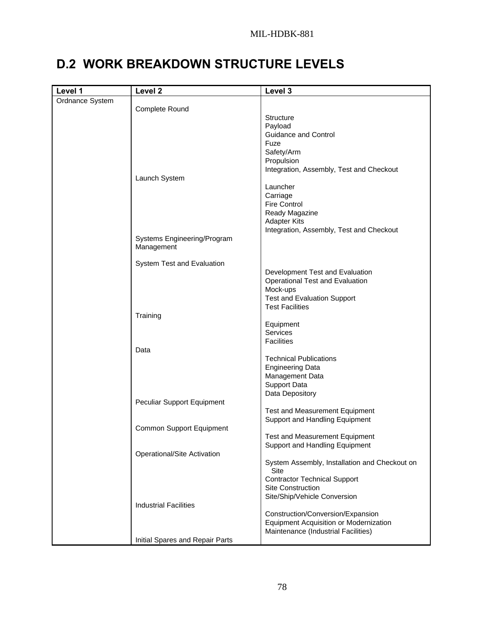# **D.2 WORK BREAKDOWN STRUCTURE LEVELS**

| Level 1         | Level <sub>2</sub>              | Level 3                                                                            |
|-----------------|---------------------------------|------------------------------------------------------------------------------------|
| Ordnance System |                                 |                                                                                    |
|                 | Complete Round                  |                                                                                    |
|                 |                                 | Structure<br>Payload                                                               |
|                 |                                 | <b>Guidance and Control</b>                                                        |
|                 |                                 | Fuze                                                                               |
|                 |                                 | Safety/Arm                                                                         |
|                 |                                 | Propulsion                                                                         |
|                 |                                 | Integration, Assembly, Test and Checkout                                           |
|                 | Launch System                   | Launcher                                                                           |
|                 |                                 | Carriage                                                                           |
|                 |                                 | <b>Fire Control</b>                                                                |
|                 |                                 | Ready Magazine                                                                     |
|                 |                                 | <b>Adapter Kits</b>                                                                |
|                 | Systems Engineering/Program     | Integration, Assembly, Test and Checkout                                           |
|                 | Management                      |                                                                                    |
|                 |                                 |                                                                                    |
|                 | System Test and Evaluation      |                                                                                    |
|                 |                                 | Development Test and Evaluation<br>Operational Test and Evaluation                 |
|                 |                                 | Mock-ups                                                                           |
|                 |                                 | <b>Test and Evaluation Support</b>                                                 |
|                 |                                 | <b>Test Facilities</b>                                                             |
|                 | Training                        |                                                                                    |
|                 |                                 | Equipment<br>Services                                                              |
|                 |                                 | Facilities                                                                         |
|                 | Data                            |                                                                                    |
|                 |                                 | <b>Technical Publications</b>                                                      |
|                 |                                 | <b>Engineering Data</b><br>Management Data                                         |
|                 |                                 | <b>Support Data</b>                                                                |
|                 |                                 | Data Depository                                                                    |
|                 | Peculiar Support Equipment      |                                                                                    |
|                 |                                 | Test and Measurement Equipment                                                     |
|                 | Common Support Equipment        | Support and Handling Equipment                                                     |
|                 |                                 | Test and Measurement Equipment                                                     |
|                 |                                 | Support and Handling Equipment                                                     |
|                 | Operational/Site Activation     |                                                                                    |
|                 |                                 | System Assembly, Installation and Checkout on<br>Site                              |
|                 |                                 | <b>Contractor Technical Support</b>                                                |
|                 |                                 | Site Construction                                                                  |
|                 |                                 | Site/Ship/Vehicle Conversion                                                       |
|                 | <b>Industrial Facilities</b>    |                                                                                    |
|                 |                                 | Construction/Conversion/Expansion<br><b>Equipment Acquisition or Modernization</b> |
|                 |                                 | Maintenance (Industrial Facilities)                                                |
|                 | Initial Spares and Repair Parts |                                                                                    |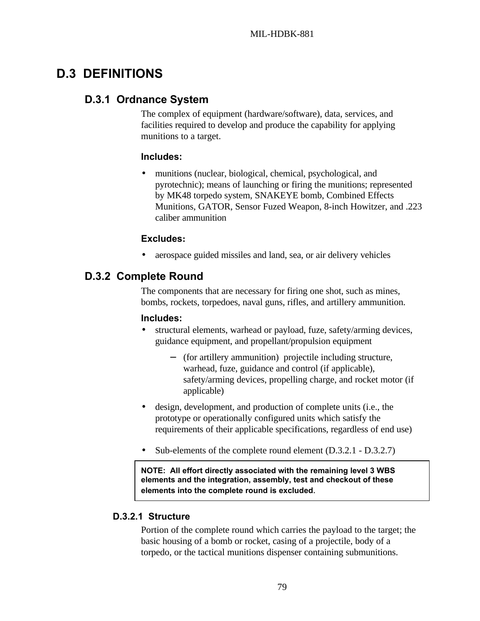# **D.3 DEFINITIONS**

### **D.3.1 Ordnance System**

The complex of equipment (hardware/software), data, services, and facilities required to develop and produce the capability for applying munitions to a target.

#### **Includes:**

• munitions (nuclear, biological, chemical, psychological, and pyrotechnic); means of launching or firing the munitions; represented by MK48 torpedo system, SNAKEYE bomb, Combined Effects Munitions, GATOR, Sensor Fuzed Weapon, 8-inch Howitzer, and .223 caliber ammunition

#### **Excludes:**

• aerospace guided missiles and land, sea, or air delivery vehicles

### **D.3.2 Complete Round**

The components that are necessary for firing one shot, such as mines, bombs, rockets, torpedoes, naval guns, rifles, and artillery ammunition.

#### **Includes:**

- structural elements, warhead or payload, fuze, safety/arming devices, guidance equipment, and propellant/propulsion equipment
	- − (for artillery ammunition) projectile including structure, warhead, fuze, guidance and control (if applicable), safety/arming devices, propelling charge, and rocket motor (if applicable)
- design, development, and production of complete units (i.e., the prototype or operationally configured units which satisfy the requirements of their applicable specifications, regardless of end use)
- Sub-elements of the complete round element (D.3.2.1 D.3.2.7)

**NOTE: All effort directly associated with the remaining level 3 WBS elements and the integration, assembly, test and checkout of these elements into the complete round is excluded**.

#### **D.3.2.1 Structure**

Portion of the complete round which carries the payload to the target; the basic housing of a bomb or rocket, casing of a projectile, body of a torpedo, or the tactical munitions dispenser containing submunitions.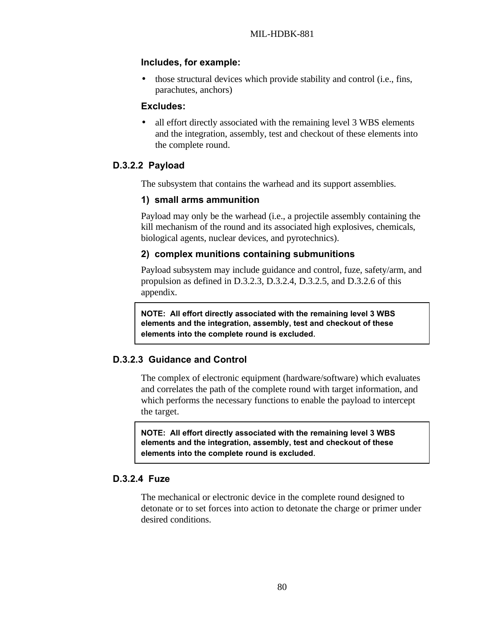#### **Includes, for example:**

• those structural devices which provide stability and control (i.e., fins, parachutes, anchors)

#### **Excludes:**

• all effort directly associated with the remaining level 3 WBS elements and the integration, assembly, test and checkout of these elements into the complete round.

#### **D.3.2.2 Payload**

The subsystem that contains the warhead and its support assemblies.

#### **1) small arms ammunition**

Payload may only be the warhead (i.e., a projectile assembly containing the kill mechanism of the round and its associated high explosives, chemicals, biological agents, nuclear devices, and pyrotechnics).

#### **2) complex munitions containing submunitions**

Payload subsystem may include guidance and control, fuze, safety/arm, and propulsion as defined in D.3.2.3, D.3.2.4, D.3.2.5, and D.3.2.6 of this appendix.

**NOTE: All effort directly associated with the remaining level 3 WBS elements and the integration, assembly, test and checkout of these elements into the complete round is excluded**.

#### **D.3.2.3 Guidance and Control**

The complex of electronic equipment (hardware/software) which evaluates and correlates the path of the complete round with target information, and which performs the necessary functions to enable the payload to intercept the target.

**NOTE: All effort directly associated with the remaining level 3 WBS elements and the integration, assembly, test and checkout of these elements into the complete round is excluded**.

#### **D.3.2.4 Fuze**

The mechanical or electronic device in the complete round designed to detonate or to set forces into action to detonate the charge or primer under desired conditions.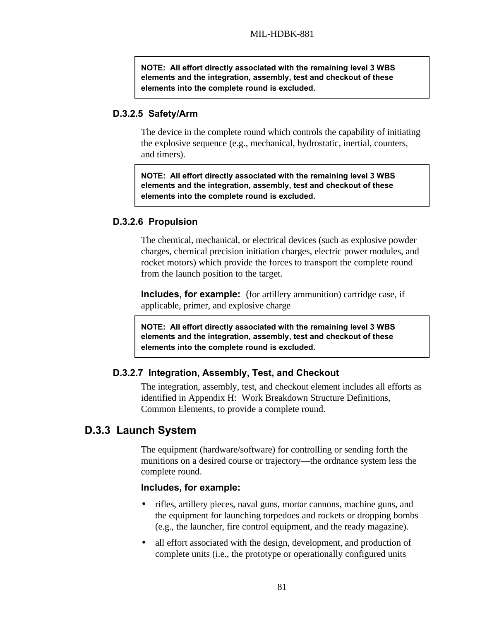**NOTE: All effort directly associated with the remaining level 3 WBS elements and the integration, assembly, test and checkout of these elements into the complete round is excluded**.

#### **D.3.2.5 Safety/Arm**

The device in the complete round which controls the capability of initiating the explosive sequence (e.g., mechanical, hydrostatic, inertial, counters, and timers).

**NOTE: All effort directly associated with the remaining level 3 WBS elements and the integration, assembly, test and checkout of these elements into the complete round is excluded**.

#### **D.3.2.6 Propulsion**

The chemical, mechanical, or electrical devices (such as explosive powder charges, chemical precision initiation charges, electric power modules, and rocket motors) which provide the forces to transport the complete round from the launch position to the target.

**Includes, for example:** (for artillery ammunition) cartridge case, if applicable, primer, and explosive charge

**NOTE: All effort directly associated with the remaining level 3 WBS elements and the integration, assembly, test and checkout of these elements into the complete round is excluded**.

#### **D.3.2.7 Integration, Assembly, Test, and Checkout**

The integration, assembly, test, and checkout element includes all efforts as identified in Appendix H: Work Breakdown Structure Definitions, Common Elements, to provide a complete round.

### **D.3.3 Launch System**

The equipment (hardware/software) for controlling or sending forth the munitions on a desired course or trajectory—the ordnance system less the complete round.

#### **Includes, for example:**

- rifles, artillery pieces, naval guns, mortar cannons, machine guns, and the equipment for launching torpedoes and rockets or dropping bombs (e.g., the launcher, fire control equipment, and the ready magazine).
- all effort associated with the design, development, and production of complete units (i.e., the prototype or operationally configured units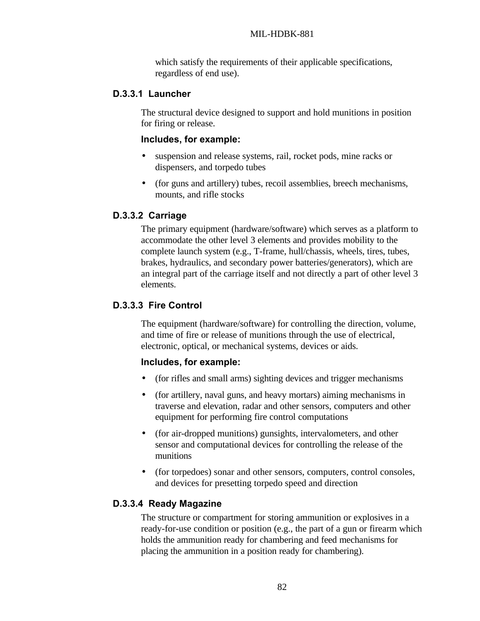which satisfy the requirements of their applicable specifications, regardless of end use).

#### **D.3.3.1 Launcher**

The structural device designed to support and hold munitions in position for firing or release.

#### **Includes, for example:**

- suspension and release systems, rail, rocket pods, mine racks or dispensers, and torpedo tubes
- (for guns and artillery) tubes, recoil assemblies, breech mechanisms, mounts, and rifle stocks

#### **D.3.3.2 Carriage**

The primary equipment (hardware/software) which serves as a platform to accommodate the other level 3 elements and provides mobility to the complete launch system (e.g., T-frame, hull/chassis, wheels, tires, tubes, brakes, hydraulics, and secondary power batteries/generators), which are an integral part of the carriage itself and not directly a part of other level 3 elements.

#### **D.3.3.3 Fire Control**

The equipment (hardware/software) for controlling the direction, volume, and time of fire or release of munitions through the use of electrical, electronic, optical, or mechanical systems, devices or aids.

#### **Includes, for example:**

- (for rifles and small arms) sighting devices and trigger mechanisms
- (for artillery, naval guns, and heavy mortars) aiming mechanisms in traverse and elevation, radar and other sensors, computers and other equipment for performing fire control computations
- (for air-dropped munitions) gunsights, intervalometers, and other sensor and computational devices for controlling the release of the munitions
- (for torpedoes) sonar and other sensors, computers, control consoles, and devices for presetting torpedo speed and direction

#### **D.3.3.4 Ready Magazine**

The structure or compartment for storing ammunition or explosives in a ready-for-use condition or position (e.g., the part of a gun or firearm which holds the ammunition ready for chambering and feed mechanisms for placing the ammunition in a position ready for chambering).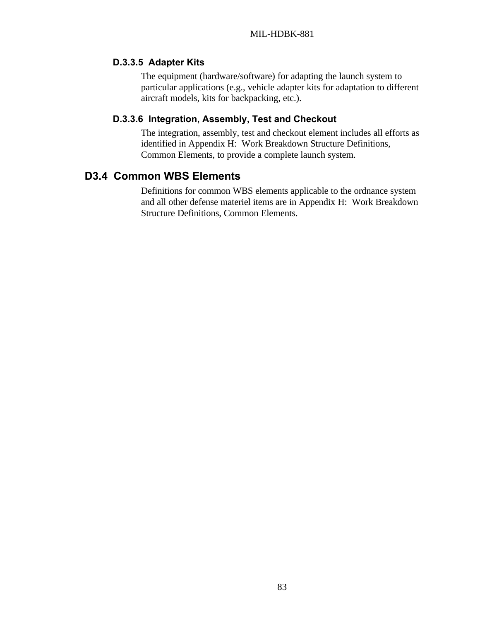#### **D.3.3.5 Adapter Kits**

The equipment (hardware/software) for adapting the launch system to particular applications (e.g., vehicle adapter kits for adaptation to different aircraft models, kits for backpacking, etc.).

#### **D.3.3.6 Integration, Assembly, Test and Checkout**

The integration, assembly, test and checkout element includes all efforts as identified in Appendix H: Work Breakdown Structure Definitions, Common Elements, to provide a complete launch system.

### **D3.4 Common WBS Elements**

Definitions for common WBS elements applicable to the ordnance system and all other defense materiel items are in Appendix H: Work Breakdown Structure Definitions, Common Elements.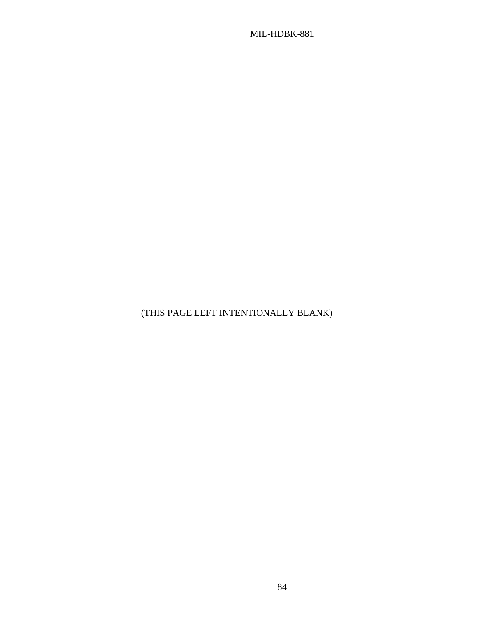MIL-HDBK-881

(THIS PAGE LEFT INTENTIONALLY BLANK)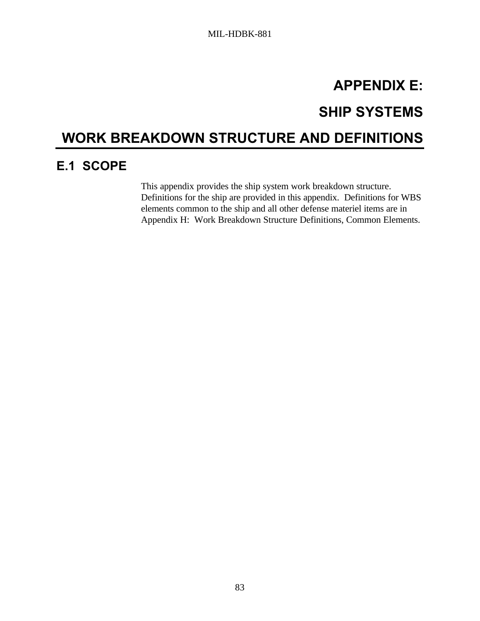# **APPENDIX E: SHIP SYSTEMS**

# **WORK BREAKDOWN STRUCTURE AND DEFINITIONS**

# **E.1 SCOPE**

This appendix provides the ship system work breakdown structure. Definitions for the ship are provided in this appendix. Definitions for WBS elements common to the ship and all other defense materiel items are in Appendix H: Work Breakdown Structure Definitions, Common Elements.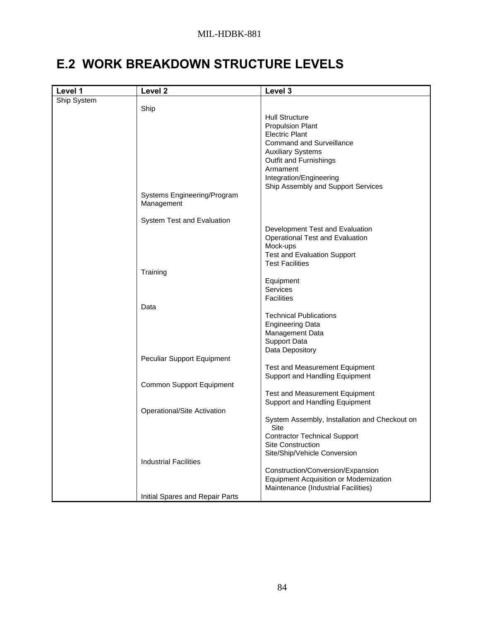# **E.2 WORK BREAKDOWN STRUCTURE LEVELS**

| Level 1     | Level <sub>2</sub>              | Level 3                                                                       |
|-------------|---------------------------------|-------------------------------------------------------------------------------|
| Ship System |                                 |                                                                               |
|             | Ship                            |                                                                               |
|             |                                 | <b>Hull Structure</b>                                                         |
|             |                                 | <b>Propulsion Plant</b>                                                       |
|             |                                 | <b>Electric Plant</b>                                                         |
|             |                                 | <b>Command and Surveillance</b>                                               |
|             |                                 | <b>Auxiliary Systems</b>                                                      |
|             |                                 | Outfit and Furnishings                                                        |
|             |                                 | Armament<br>Integration/Engineering                                           |
|             |                                 | Ship Assembly and Support Services                                            |
|             | Systems Engineering/Program     |                                                                               |
|             | Management                      |                                                                               |
|             | System Test and Evaluation      |                                                                               |
|             |                                 | Development Test and Evaluation                                               |
|             |                                 | <b>Operational Test and Evaluation</b>                                        |
|             |                                 | Mock-ups                                                                      |
|             |                                 | <b>Test and Evaluation Support</b>                                            |
|             |                                 | <b>Test Facilities</b>                                                        |
|             | Training                        |                                                                               |
|             |                                 | Equipment<br>Services                                                         |
|             |                                 | <b>Facilities</b>                                                             |
|             | Data                            |                                                                               |
|             |                                 | <b>Technical Publications</b>                                                 |
|             |                                 | <b>Engineering Data</b>                                                       |
|             |                                 | Management Data                                                               |
|             |                                 | <b>Support Data</b>                                                           |
|             |                                 | Data Depository                                                               |
|             | Peculiar Support Equipment      |                                                                               |
|             |                                 | Test and Measurement Equipment                                                |
|             |                                 | Support and Handling Equipment                                                |
|             | <b>Common Support Equipment</b> |                                                                               |
|             |                                 | Test and Measurement Equipment                                                |
|             |                                 | Support and Handling Equipment                                                |
|             | Operational/Site Activation     |                                                                               |
|             |                                 | System Assembly, Installation and Checkout on<br>Site                         |
|             |                                 | <b>Contractor Technical Support</b>                                           |
|             |                                 | <b>Site Construction</b>                                                      |
|             |                                 | Site/Ship/Vehicle Conversion                                                  |
|             | <b>Industrial Facilities</b>    |                                                                               |
|             |                                 | Construction/Conversion/Expansion                                             |
|             |                                 | Equipment Acquisition or Modernization<br>Maintenance (Industrial Facilities) |
|             | Initial Spares and Repair Parts |                                                                               |
|             |                                 |                                                                               |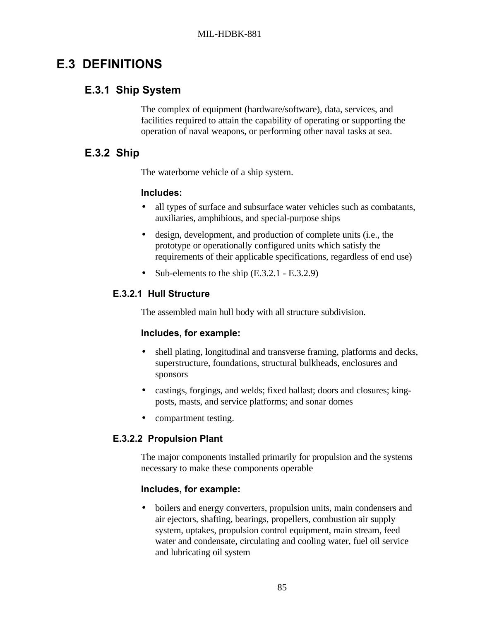# **E.3 DEFINITIONS**

## **E.3.1 Ship System**

The complex of equipment (hardware/software), data, services, and facilities required to attain the capability of operating or supporting the operation of naval weapons, or performing other naval tasks at sea.

### **E.3.2 Ship**

The waterborne vehicle of a ship system.

#### **Includes:**

- all types of surface and subsurface water vehicles such as combatants, auxiliaries, amphibious, and special-purpose ships
- design, development, and production of complete units (i.e., the prototype or operationally configured units which satisfy the requirements of their applicable specifications, regardless of end use)
- Sub-elements to the ship  $(E.3.2.1 E.3.2.9)$

#### **E.3.2.1 Hull Structure**

The assembled main hull body with all structure subdivision.

#### **Includes, for example:**

- shell plating, longitudinal and transverse framing, platforms and decks, superstructure, foundations, structural bulkheads, enclosures and sponsors
- castings, forgings, and welds; fixed ballast; doors and closures; kingposts, masts, and service platforms; and sonar domes
- compartment testing.

#### **E.3.2.2 Propulsion Plant**

The major components installed primarily for propulsion and the systems necessary to make these components operable

#### **Includes, for example:**

• boilers and energy converters, propulsion units, main condensers and air ejectors, shafting, bearings, propellers, combustion air supply system, uptakes, propulsion control equipment, main stream, feed water and condensate, circulating and cooling water, fuel oil service and lubricating oil system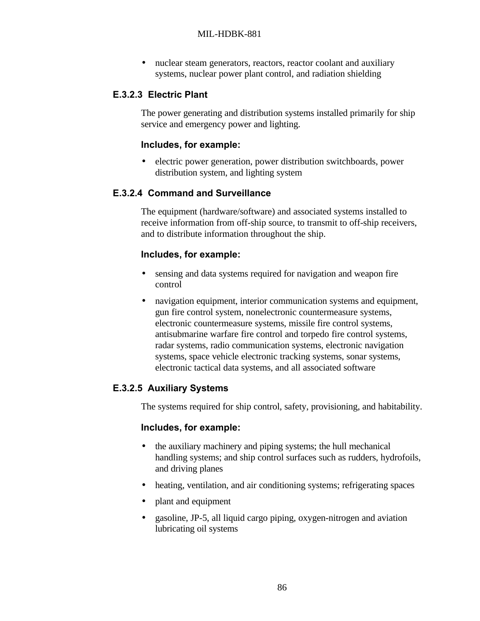• nuclear steam generators, reactors, reactor coolant and auxiliary systems, nuclear power plant control, and radiation shielding

#### **E.3.2.3 Electric Plant**

The power generating and distribution systems installed primarily for ship service and emergency power and lighting.

#### **Includes, for example:**

• electric power generation, power distribution switchboards, power distribution system, and lighting system

#### **E.3.2.4 Command and Surveillance**

The equipment (hardware/software) and associated systems installed to receive information from off-ship source, to transmit to off-ship receivers, and to distribute information throughout the ship.

#### **Includes, for example:**

- sensing and data systems required for navigation and weapon fire control
- navigation equipment, interior communication systems and equipment, gun fire control system, nonelectronic countermeasure systems, electronic countermeasure systems, missile fire control systems, antisubmarine warfare fire control and torpedo fire control systems, radar systems, radio communication systems, electronic navigation systems, space vehicle electronic tracking systems, sonar systems, electronic tactical data systems, and all associated software

#### **E.3.2.5 Auxiliary Systems**

The systems required for ship control, safety, provisioning, and habitability.

#### **Includes, for example:**

- the auxiliary machinery and piping systems; the hull mechanical handling systems; and ship control surfaces such as rudders, hydrofoils, and driving planes
- heating, ventilation, and air conditioning systems; refrigerating spaces
- plant and equipment
- gasoline, JP-5, all liquid cargo piping, oxygen-nitrogen and aviation lubricating oil systems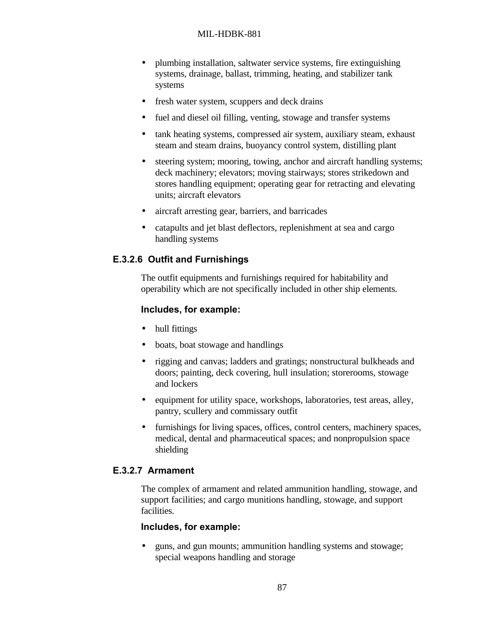#### MIL-HDBK-881

- plumbing installation, saltwater service systems, fire extinguishing systems, drainage, ballast, trimming, heating, and stabilizer tank systems
- fresh water system, scuppers and deck drains
- fuel and diesel oil filling, venting, stowage and transfer systems
- tank heating systems, compressed air system, auxiliary steam, exhaust steam and steam drains, buoyancy control system, distilling plant
- steering system; mooring, towing, anchor and aircraft handling systems; deck machinery; elevators; moving stairways; stores strikedown and stores handling equipment; operating gear for retracting and elevating units; aircraft elevators
- aircraft arresting gear, barriers, and barricades
- catapults and jet blast deflectors, replenishment at sea and cargo handling systems

#### **E.3.2.6 Outfit and Furnishings**

The outfit equipments and furnishings required for habitability and operability which are not specifically included in other ship elements.

#### **Includes, for example:**

- hull fittings
- boats, boat stowage and handlings
- rigging and canvas; ladders and gratings; nonstructural bulkheads and doors; painting, deck covering, hull insulation; storerooms, stowage and lockers
- equipment for utility space, workshops, laboratories, test areas, alley, pantry, scullery and commissary outfit
- furnishings for living spaces, offices, control centers, machinery spaces, medical, dental and pharmaceutical spaces; and nonpropulsion space shielding

#### **E.3.2.7 Armament**

The complex of armament and related ammunition handling, stowage, and support facilities; and cargo munitions handling, stowage, and support facilities.

#### **Includes, for example:**

• guns, and gun mounts; ammunition handling systems and stowage; special weapons handling and storage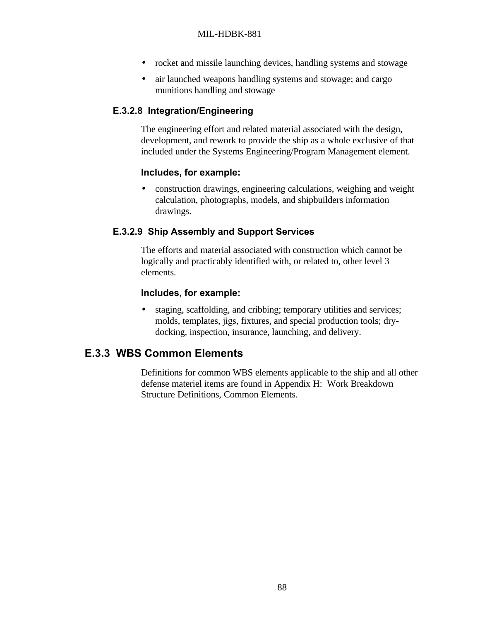- rocket and missile launching devices, handling systems and stowage
- air launched weapons handling systems and stowage; and cargo munitions handling and stowage

#### **E.3.2.8 Integration/Engineering**

The engineering effort and related material associated with the design, development, and rework to provide the ship as a whole exclusive of that included under the Systems Engineering/Program Management element.

#### **Includes, for example:**

• construction drawings, engineering calculations, weighing and weight calculation, photographs, models, and shipbuilders information drawings.

#### **E.3.2.9 Ship Assembly and Support Services**

The efforts and material associated with construction which cannot be logically and practicably identified with, or related to, other level 3 elements.

#### **Includes, for example:**

• staging, scaffolding, and cribbing; temporary utilities and services; molds, templates, jigs, fixtures, and special production tools; drydocking, inspection, insurance, launching, and delivery.

# **E.3.3 WBS Common Elements**

Definitions for common WBS elements applicable to the ship and all other defense materiel items are found in Appendix H: Work Breakdown Structure Definitions, Common Elements.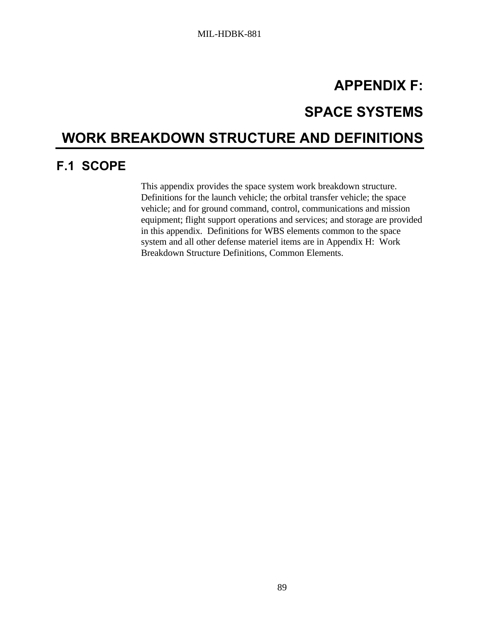# **APPENDIX F: SPACE SYSTEMS**

# **WORK BREAKDOWN STRUCTURE AND DEFINITIONS**

# **F.1 SCOPE**

This appendix provides the space system work breakdown structure. Definitions for the launch vehicle; the orbital transfer vehicle; the space vehicle; and for ground command, control, communications and mission equipment; flight support operations and services; and storage are provided in this appendix. Definitions for WBS elements common to the space system and all other defense materiel items are in Appendix H: Work Breakdown Structure Definitions, Common Elements.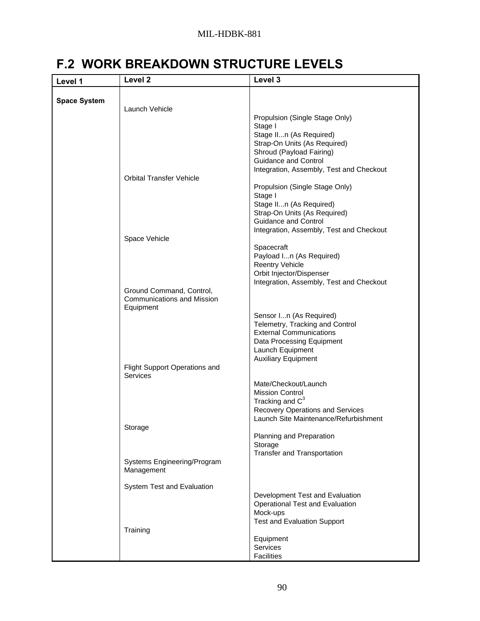# **F.2 WORK BREAKDOWN STRUCTURE LEVELS**

| Level 1             | Level <sub>2</sub>                | Level 3                                                 |
|---------------------|-----------------------------------|---------------------------------------------------------|
|                     |                                   |                                                         |
| <b>Space System</b> | Launch Vehicle                    |                                                         |
|                     |                                   | Propulsion (Single Stage Only)                          |
|                     |                                   | Stage I                                                 |
|                     |                                   | Stage IIn (As Required)                                 |
|                     |                                   | Strap-On Units (As Required)                            |
|                     |                                   | Shroud (Payload Fairing)<br>Guidance and Control        |
|                     |                                   | Integration, Assembly, Test and Checkout                |
|                     | <b>Orbital Transfer Vehicle</b>   |                                                         |
|                     |                                   | Propulsion (Single Stage Only)                          |
|                     |                                   | Stage I                                                 |
|                     |                                   | Stage IIn (As Required)<br>Strap-On Units (As Required) |
|                     |                                   | <b>Guidance and Control</b>                             |
|                     |                                   | Integration, Assembly, Test and Checkout                |
|                     | Space Vehicle                     |                                                         |
|                     |                                   | Spacecraft                                              |
|                     |                                   | Payload In (As Required)<br><b>Reentry Vehicle</b>      |
|                     |                                   | Orbit Injector/Dispenser                                |
|                     |                                   | Integration, Assembly, Test and Checkout                |
|                     | Ground Command, Control,          |                                                         |
|                     | <b>Communications and Mission</b> |                                                         |
|                     | Equipment                         | Sensor In (As Required)                                 |
|                     |                                   | Telemetry, Tracking and Control                         |
|                     |                                   | <b>External Communications</b>                          |
|                     |                                   | Data Processing Equipment                               |
|                     |                                   | Launch Equipment<br><b>Auxiliary Equipment</b>          |
|                     | Flight Support Operations and     |                                                         |
|                     | Services                          |                                                         |
|                     |                                   | Mate/Checkout/Launch                                    |
|                     |                                   | <b>Mission Control</b><br>Tracking and $C^3$            |
|                     |                                   | Recovery Operations and Services                        |
|                     |                                   | Launch Site Maintenance/Refurbishment                   |
|                     | Storage                           |                                                         |
|                     |                                   | Planning and Preparation                                |
|                     |                                   | Storage<br>Transfer and Transportation                  |
|                     | Systems Engineering/Program       |                                                         |
|                     | Management                        |                                                         |
|                     |                                   |                                                         |
|                     | System Test and Evaluation        | Development Test and Evaluation                         |
|                     |                                   | Operational Test and Evaluation                         |
|                     |                                   | Mock-ups                                                |
|                     |                                   | <b>Test and Evaluation Support</b>                      |
|                     | Training                          |                                                         |
|                     |                                   | Equipment<br>Services                                   |
|                     |                                   | <b>Facilities</b>                                       |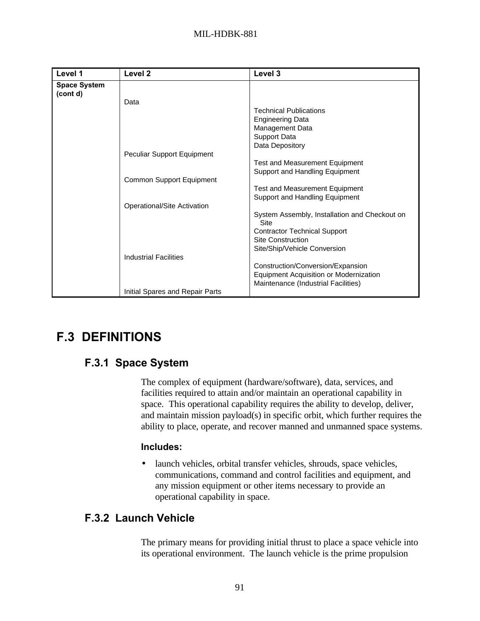| Level 1             | Level <sub>2</sub>              | Level 3                                               |
|---------------------|---------------------------------|-------------------------------------------------------|
| <b>Space System</b> |                                 |                                                       |
| (cont d)            |                                 |                                                       |
|                     | Data                            |                                                       |
|                     |                                 | <b>Technical Publications</b>                         |
|                     |                                 | <b>Engineering Data</b>                               |
|                     |                                 | Management Data                                       |
|                     |                                 | Support Data                                          |
|                     |                                 | Data Depository                                       |
|                     | Peculiar Support Equipment      |                                                       |
|                     |                                 | <b>Test and Measurement Equipment</b>                 |
|                     |                                 | Support and Handling Equipment                        |
|                     | <b>Common Support Equipment</b> |                                                       |
|                     |                                 | <b>Test and Measurement Equipment</b>                 |
|                     |                                 | Support and Handling Equipment                        |
|                     | Operational/Site Activation     |                                                       |
|                     |                                 | System Assembly, Installation and Checkout on<br>Site |
|                     |                                 | <b>Contractor Technical Support</b>                   |
|                     |                                 | <b>Site Construction</b>                              |
|                     |                                 | Site/Ship/Vehicle Conversion                          |
|                     | <b>Industrial Facilities</b>    |                                                       |
|                     |                                 | Construction/Conversion/Expansion                     |
|                     |                                 | <b>Equipment Acquisition or Modernization</b>         |
|                     |                                 | Maintenance (Industrial Facilities)                   |
|                     | Initial Spares and Repair Parts |                                                       |

# **F.3 DEFINITIONS**

# **F.3.1 Space System**

The complex of equipment (hardware/software), data, services, and facilities required to attain and/or maintain an operational capability in space. This operational capability requires the ability to develop, deliver, and maintain mission payload(s) in specific orbit, which further requires the ability to place, operate, and recover manned and unmanned space systems.

#### **Includes:**

• launch vehicles, orbital transfer vehicles, shrouds, space vehicles, communications, command and control facilities and equipment, and any mission equipment or other items necessary to provide an operational capability in space.

# **F.3.2 Launch Vehicle**

The primary means for providing initial thrust to place a space vehicle into its operational environment. The launch vehicle is the prime propulsion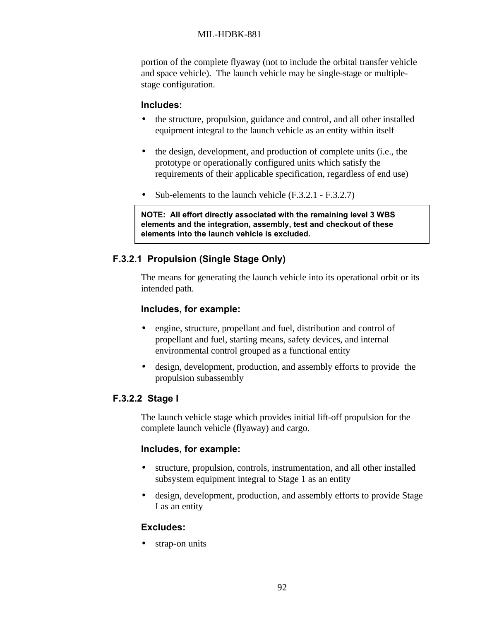#### MIL-HDBK-881

portion of the complete flyaway (not to include the orbital transfer vehicle and space vehicle). The launch vehicle may be single-stage or multiplestage configuration.

#### **Includes:**

- the structure, propulsion, guidance and control, and all other installed equipment integral to the launch vehicle as an entity within itself
- the design, development, and production of complete units (i.e., the prototype or operationally configured units which satisfy the requirements of their applicable specification, regardless of end use)
- Sub-elements to the launch vehicle (F.3.2.1 F.3.2.7)

**NOTE: All effort directly associated with the remaining level 3 WBS elements and the integration, assembly, test and checkout of these elements into the launch vehicle is excluded.**

#### **F.3.2.1 Propulsion (Single Stage Only)**

The means for generating the launch vehicle into its operational orbit or its intended path.

#### **Includes, for example:**

- engine, structure, propellant and fuel, distribution and control of propellant and fuel, starting means, safety devices, and internal environmental control grouped as a functional entity
- design, development, production, and assembly efforts to provide the propulsion subassembly

#### **F.3.2.2 Stage I**

The launch vehicle stage which provides initial lift-off propulsion for the complete launch vehicle (flyaway) and cargo.

#### **Includes, for example:**

- structure, propulsion, controls, instrumentation, and all other installed subsystem equipment integral to Stage 1 as an entity
- design, development, production, and assembly efforts to provide Stage I as an entity

#### **Excludes:**

• strap-on units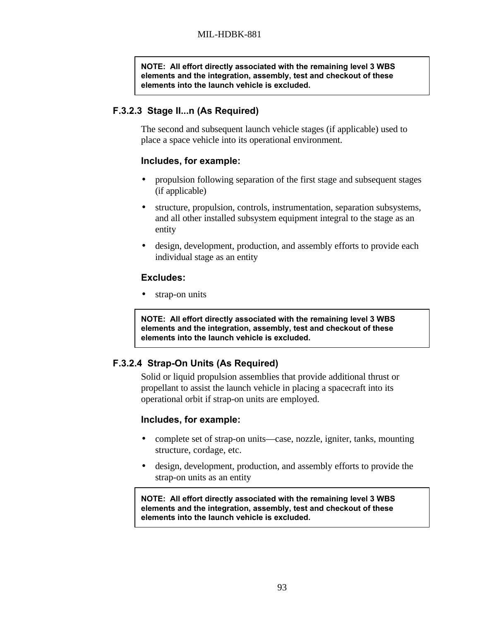**NOTE: All effort directly associated with the remaining level 3 WBS elements and the integration, assembly, test and checkout of these elements into the launch vehicle is excluded.**

#### **F.3.2.3 Stage II...n (As Required)**

The second and subsequent launch vehicle stages (if applicable) used to place a space vehicle into its operational environment.

#### **Includes, for example:**

- propulsion following separation of the first stage and subsequent stages (if applicable)
- structure, propulsion, controls, instrumentation, separation subsystems, and all other installed subsystem equipment integral to the stage as an entity
- design, development, production, and assembly efforts to provide each individual stage as an entity

#### **Excludes:**

• strap-on units

**NOTE: All effort directly associated with the remaining level 3 WBS elements and the integration, assembly, test and checkout of these elements into the launch vehicle is excluded.**

#### **F.3.2.4 Strap-On Units (As Required)**

Solid or liquid propulsion assemblies that provide additional thrust or propellant to assist the launch vehicle in placing a spacecraft into its operational orbit if strap-on units are employed.

#### **Includes, for example:**

- complete set of strap-on units—case, nozzle, igniter, tanks, mounting structure, cordage, etc.
- design, development, production, and assembly efforts to provide the strap-on units as an entity

**NOTE: All effort directly associated with the remaining level 3 WBS elements and the integration, assembly, test and checkout of these elements into the launch vehicle is excluded.**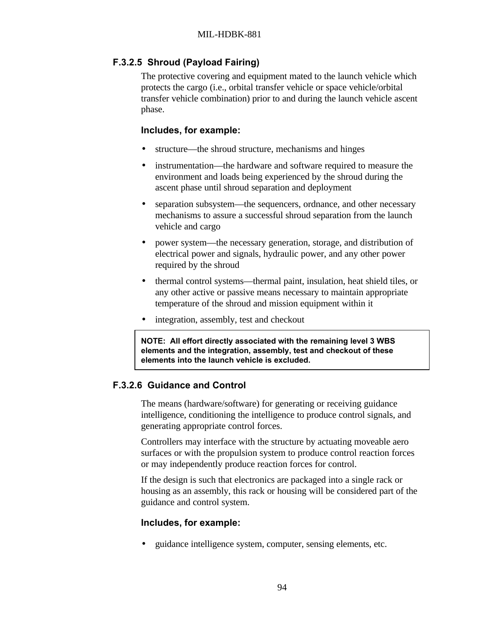#### **F.3.2.5 Shroud (Payload Fairing)**

The protective covering and equipment mated to the launch vehicle which protects the cargo (i.e., orbital transfer vehicle or space vehicle/orbital transfer vehicle combination) prior to and during the launch vehicle ascent phase.

#### **Includes, for example:**

- structure—the shroud structure, mechanisms and hinges
- instrumentation—the hardware and software required to measure the environment and loads being experienced by the shroud during the ascent phase until shroud separation and deployment
- separation subsystem—the sequencers, ordnance, and other necessary mechanisms to assure a successful shroud separation from the launch vehicle and cargo
- power system—the necessary generation, storage, and distribution of electrical power and signals, hydraulic power, and any other power required by the shroud
- thermal control systems—thermal paint, insulation, heat shield tiles, or any other active or passive means necessary to maintain appropriate temperature of the shroud and mission equipment within it
- integration, assembly, test and checkout

**NOTE: All effort directly associated with the remaining level 3 WBS elements and the integration, assembly, test and checkout of these elements into the launch vehicle is excluded.**

#### **F.3.2.6 Guidance and Control**

The means (hardware/software) for generating or receiving guidance intelligence, conditioning the intelligence to produce control signals, and generating appropriate control forces.

Controllers may interface with the structure by actuating moveable aero surfaces or with the propulsion system to produce control reaction forces or may independently produce reaction forces for control.

If the design is such that electronics are packaged into a single rack or housing as an assembly, this rack or housing will be considered part of the guidance and control system.

#### **Includes, for example:**

• guidance intelligence system, computer, sensing elements, etc.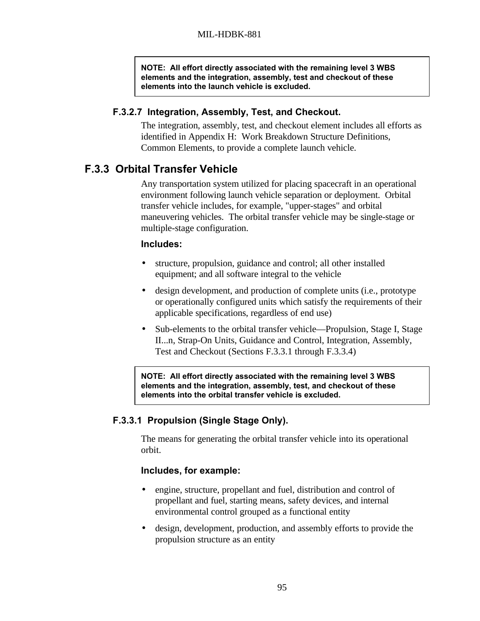**NOTE: All effort directly associated with the remaining level 3 WBS elements and the integration, assembly, test and checkout of these elements into the launch vehicle is excluded.**

#### **F.3.2.7 Integration, Assembly, Test, and Checkout.**

The integration, assembly, test, and checkout element includes all efforts as identified in Appendix H: Work Breakdown Structure Definitions, Common Elements, to provide a complete launch vehicle.

### **F.3.3 Orbital Transfer Vehicle**

Any transportation system utilized for placing spacecraft in an operational environment following launch vehicle separation or deployment. Orbital transfer vehicle includes, for example, "upper-stages" and orbital maneuvering vehicles. The orbital transfer vehicle may be single-stage or multiple-stage configuration.

#### **Includes:**

- structure, propulsion, guidance and control; all other installed equipment; and all software integral to the vehicle
- design development, and production of complete units (i.e., prototype or operationally configured units which satisfy the requirements of their applicable specifications, regardless of end use)
- Sub-elements to the orbital transfer vehicle—Propulsion, Stage I, Stage II...n, Strap-On Units, Guidance and Control, Integration, Assembly, Test and Checkout (Sections F.3.3.1 through F.3.3.4)

**NOTE: All effort directly associated with the remaining level 3 WBS elements and the integration, assembly, test, and checkout of these elements into the orbital transfer vehicle is excluded.**

#### **F.3.3.1 Propulsion (Single Stage Only).**

The means for generating the orbital transfer vehicle into its operational orbit.

#### **Includes, for example:**

- engine, structure, propellant and fuel, distribution and control of propellant and fuel, starting means, safety devices, and internal environmental control grouped as a functional entity
- design, development, production, and assembly efforts to provide the propulsion structure as an entity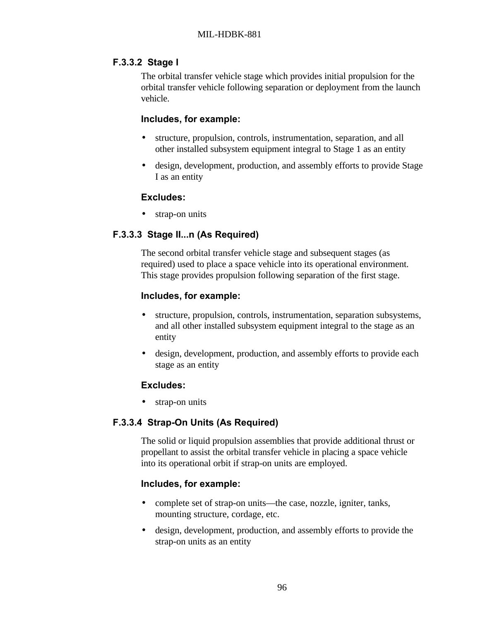#### **F.3.3.2 Stage I**

The orbital transfer vehicle stage which provides initial propulsion for the orbital transfer vehicle following separation or deployment from the launch vehicle.

#### **Includes, for example:**

- structure, propulsion, controls, instrumentation, separation, and all other installed subsystem equipment integral to Stage 1 as an entity
- design, development, production, and assembly efforts to provide Stage I as an entity

#### **Excludes:**

• strap-on units

#### **F.3.3.3 Stage II...n (As Required)**

The second orbital transfer vehicle stage and subsequent stages (as required) used to place a space vehicle into its operational environment. This stage provides propulsion following separation of the first stage.

#### **Includes, for example:**

- structure, propulsion, controls, instrumentation, separation subsystems, and all other installed subsystem equipment integral to the stage as an entity
- design, development, production, and assembly efforts to provide each stage as an entity

#### **Excludes:**

• strap-on units

#### **F.3.3.4 Strap-On Units (As Required)**

The solid or liquid propulsion assemblies that provide additional thrust or propellant to assist the orbital transfer vehicle in placing a space vehicle into its operational orbit if strap-on units are employed.

#### **Includes, for example:**

- complete set of strap-on units—the case, nozzle, igniter, tanks, mounting structure, cordage, etc.
- design, development, production, and assembly efforts to provide the strap-on units as an entity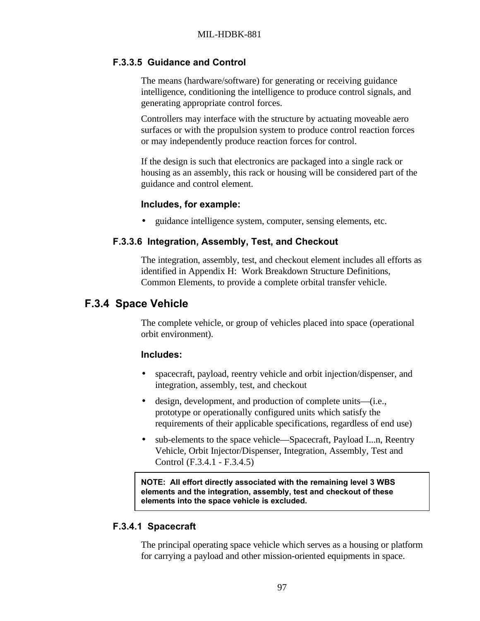#### **F.3.3.5 Guidance and Control**

The means (hardware/software) for generating or receiving guidance intelligence, conditioning the intelligence to produce control signals, and generating appropriate control forces.

Controllers may interface with the structure by actuating moveable aero surfaces or with the propulsion system to produce control reaction forces or may independently produce reaction forces for control.

If the design is such that electronics are packaged into a single rack or housing as an assembly, this rack or housing will be considered part of the guidance and control element.

#### **Includes, for example:**

• guidance intelligence system, computer, sensing elements, etc.

#### **F.3.3.6 Integration, Assembly, Test, and Checkout**

The integration, assembly, test, and checkout element includes all efforts as identified in Appendix H: Work Breakdown Structure Definitions, Common Elements, to provide a complete orbital transfer vehicle.

### **F.3.4 Space Vehicle**

The complete vehicle, or group of vehicles placed into space (operational orbit environment).

#### **Includes:**

- spacecraft, payload, reentry vehicle and orbit injection/dispenser, and integration, assembly, test, and checkout
- design, development, and production of complete units—(i.e., prototype or operationally configured units which satisfy the requirements of their applicable specifications, regardless of end use)
- sub-elements to the space vehicle—Spacecraft, Payload I...n, Reentry Vehicle, Orbit Injector/Dispenser, Integration, Assembly, Test and Control (F.3.4.1 - F.3.4.5)

**NOTE: All effort directly associated with the remaining level 3 WBS elements and the integration, assembly, test and checkout of these elements into the space vehicle is excluded.**

#### **F.3.4.1 Spacecraft**

The principal operating space vehicle which serves as a housing or platform for carrying a payload and other mission-oriented equipments in space.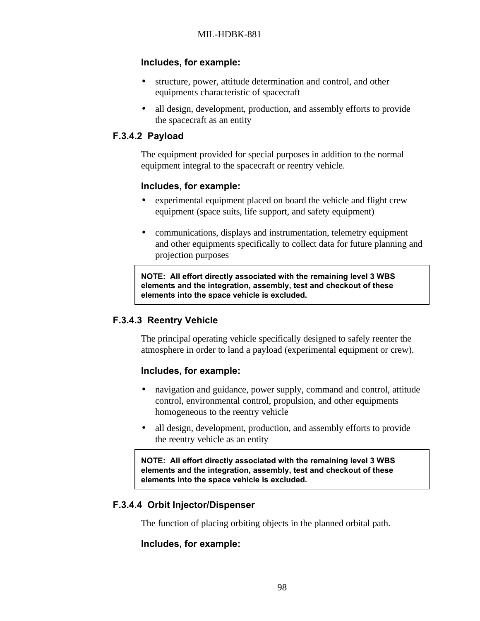#### **Includes, for example:**

- structure, power, attitude determination and control, and other equipments characteristic of spacecraft
- all design, development, production, and assembly efforts to provide the spacecraft as an entity

#### **F.3.4.2 Payload**

The equipment provided for special purposes in addition to the normal equipment integral to the spacecraft or reentry vehicle.

#### **Includes, for example:**

- experimental equipment placed on board the vehicle and flight crew equipment (space suits, life support, and safety equipment)
- communications, displays and instrumentation, telemetry equipment and other equipments specifically to collect data for future planning and projection purposes

**NOTE: All effort directly associated with the remaining level 3 WBS elements and the integration, assembly, test and checkout of these elements into the space vehicle is excluded.**

#### **F.3.4.3 Reentry Vehicle**

The principal operating vehicle specifically designed to safely reenter the atmosphere in order to land a payload (experimental equipment or crew).

#### **Includes, for example:**

- navigation and guidance, power supply, command and control, attitude control, environmental control, propulsion, and other equipments homogeneous to the reentry vehicle
- all design, development, production, and assembly efforts to provide the reentry vehicle as an entity

**NOTE: All effort directly associated with the remaining level 3 WBS elements and the integration, assembly, test and checkout of these elements into the space vehicle is excluded.**

#### **F.3.4.4 Orbit Injector/Dispenser**

The function of placing orbiting objects in the planned orbital path.

#### **Includes, for example:**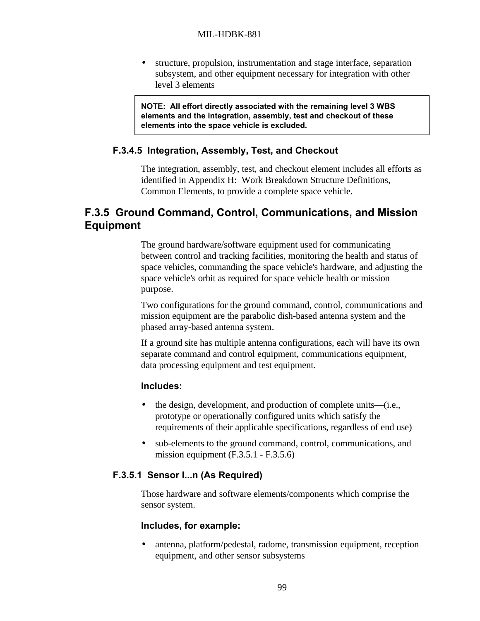#### MIL-HDBK-881

• structure, propulsion, instrumentation and stage interface, separation subsystem, and other equipment necessary for integration with other level 3 elements

**NOTE: All effort directly associated with the remaining level 3 WBS elements and the integration, assembly, test and checkout of these elements into the space vehicle is excluded.**

#### **F.3.4.5 Integration, Assembly, Test, and Checkout**

The integration, assembly, test, and checkout element includes all efforts as identified in Appendix H: Work Breakdown Structure Definitions, Common Elements, to provide a complete space vehicle.

## **F.3.5 Ground Command, Control, Communications, and Mission Equipment**

The ground hardware/software equipment used for communicating between control and tracking facilities, monitoring the health and status of space vehicles, commanding the space vehicle's hardware, and adjusting the space vehicle's orbit as required for space vehicle health or mission purpose.

Two configurations for the ground command, control, communications and mission equipment are the parabolic dish-based antenna system and the phased array-based antenna system.

If a ground site has multiple antenna configurations, each will have its own separate command and control equipment, communications equipment, data processing equipment and test equipment.

#### **Includes:**

- the design, development, and production of complete units—(i.e., prototype or operationally configured units which satisfy the requirements of their applicable specifications, regardless of end use)
- sub-elements to the ground command, control, communications, and mission equipment (F.3.5.1 - F.3.5.6)

#### **F.3.5.1 Sensor I...n (As Required)**

Those hardware and software elements/components which comprise the sensor system.

#### **Includes, for example:**

• antenna, platform/pedestal, radome, transmission equipment, reception equipment, and other sensor subsystems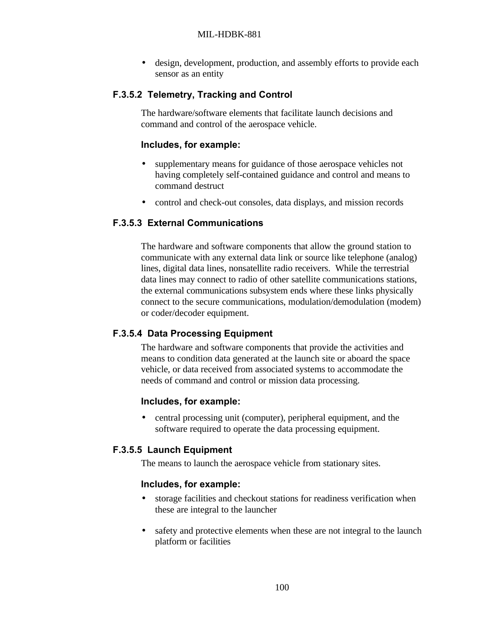• design, development, production, and assembly efforts to provide each sensor as an entity

### **F.3.5.2 Telemetry, Tracking and Control**

The hardware/software elements that facilitate launch decisions and command and control of the aerospace vehicle.

#### **Includes, for example:**

- supplementary means for guidance of those aerospace vehicles not having completely self-contained guidance and control and means to command destruct
- control and check-out consoles, data displays, and mission records

#### **F.3.5.3 External Communications**

The hardware and software components that allow the ground station to communicate with any external data link or source like telephone (analog) lines, digital data lines, nonsatellite radio receivers. While the terrestrial data lines may connect to radio of other satellite communications stations, the external communications subsystem ends where these links physically connect to the secure communications, modulation/demodulation (modem) or coder/decoder equipment.

#### **F.3.5.4 Data Processing Equipment**

The hardware and software components that provide the activities and means to condition data generated at the launch site or aboard the space vehicle, or data received from associated systems to accommodate the needs of command and control or mission data processing.

#### **Includes, for example:**

• central processing unit (computer), peripheral equipment, and the software required to operate the data processing equipment.

#### **F.3.5.5 Launch Equipment**

The means to launch the aerospace vehicle from stationary sites.

#### **Includes, for example:**

- storage facilities and checkout stations for readiness verification when these are integral to the launcher
- safety and protective elements when these are not integral to the launch platform or facilities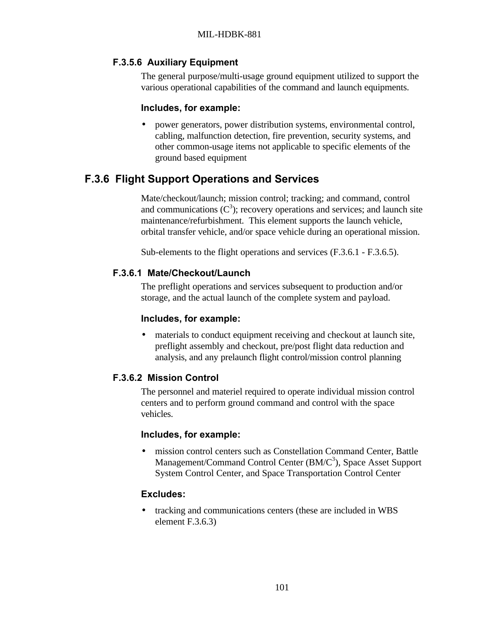#### **F.3.5.6 Auxiliary Equipment**

The general purpose/multi-usage ground equipment utilized to support the various operational capabilities of the command and launch equipments.

#### **Includes, for example:**

• power generators, power distribution systems, environmental control, cabling, malfunction detection, fire prevention, security systems, and other common-usage items not applicable to specific elements of the ground based equipment

# **F.3.6 Flight Support Operations and Services**

Mate/checkout/launch; mission control; tracking; and command, control and communications  $(C^3)$ ; recovery operations and services; and launch site maintenance/refurbishment. This element supports the launch vehicle, orbital transfer vehicle, and/or space vehicle during an operational mission.

Sub-elements to the flight operations and services (F.3.6.1 - F.3.6.5).

#### **F.3.6.1 Mate/Checkout/Launch**

The preflight operations and services subsequent to production and/or storage, and the actual launch of the complete system and payload.

#### **Includes, for example:**

• materials to conduct equipment receiving and checkout at launch site, preflight assembly and checkout, pre/post flight data reduction and analysis, and any prelaunch flight control/mission control planning

#### **F.3.6.2 Mission Control**

The personnel and materiel required to operate individual mission control centers and to perform ground command and control with the space vehicles.

#### **Includes, for example:**

• mission control centers such as Constellation Command Center, Battle Management/Command Control Center (BM/C<sup>3</sup>), Space Asset Support System Control Center, and Space Transportation Control Center

#### **Excludes:**

• tracking and communications centers (these are included in WBS element F.3.6.3)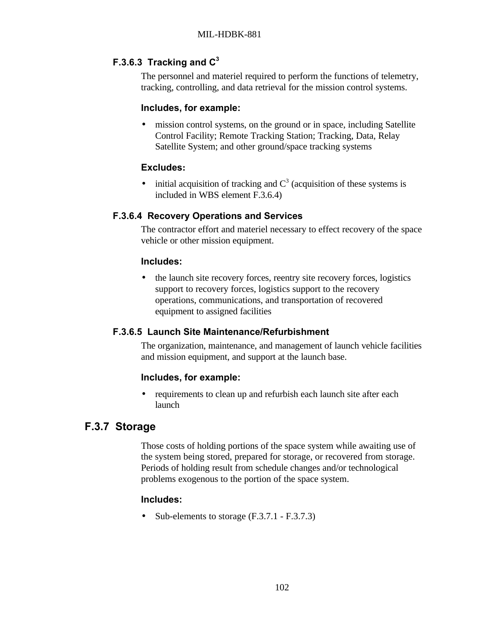# **F.3.6.3 Tracking and C<sup>3</sup>**

The personnel and materiel required to perform the functions of telemetry, tracking, controlling, and data retrieval for the mission control systems.

#### **Includes, for example:**

• mission control systems, on the ground or in space, including Satellite Control Facility; Remote Tracking Station; Tracking, Data, Relay Satellite System; and other ground/space tracking systems

### **Excludes:**

• initial acquisition of tracking and  $C<sup>3</sup>$  (acquisition of these systems is included in WBS element F.3.6.4)

### **F.3.6.4 Recovery Operations and Services**

The contractor effort and materiel necessary to effect recovery of the space vehicle or other mission equipment.

#### **Includes:**

• the launch site recovery forces, reentry site recovery forces, logistics support to recovery forces, logistics support to the recovery operations, communications, and transportation of recovered equipment to assigned facilities

# **F.3.6.5 Launch Site Maintenance/Refurbishment**

The organization, maintenance, and management of launch vehicle facilities and mission equipment, and support at the launch base.

#### **Includes, for example:**

• requirements to clean up and refurbish each launch site after each launch

# **F.3.7 Storage**

Those costs of holding portions of the space system while awaiting use of the system being stored, prepared for storage, or recovered from storage. Periods of holding result from schedule changes and/or technological problems exogenous to the portion of the space system.

#### **Includes:**

• Sub-elements to storage (F.3.7.1 - F.3.7.3)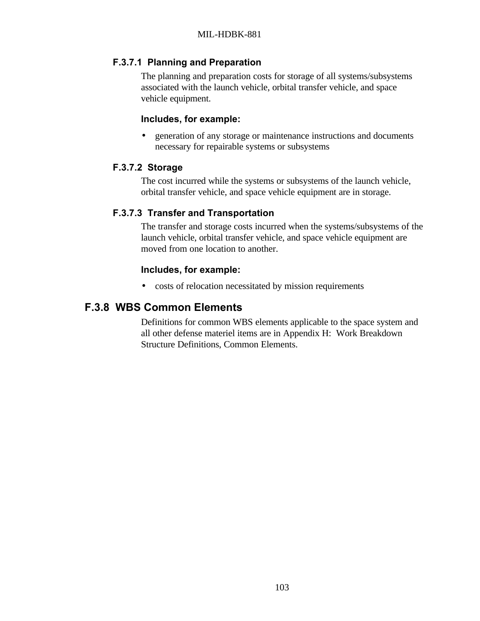#### **F.3.7.1 Planning and Preparation**

The planning and preparation costs for storage of all systems/subsystems associated with the launch vehicle, orbital transfer vehicle, and space vehicle equipment.

#### **Includes, for example:**

• generation of any storage or maintenance instructions and documents necessary for repairable systems or subsystems

#### **F.3.7.2 Storage**

The cost incurred while the systems or subsystems of the launch vehicle, orbital transfer vehicle, and space vehicle equipment are in storage.

#### **F.3.7.3 Transfer and Transportation**

The transfer and storage costs incurred when the systems/subsystems of the launch vehicle, orbital transfer vehicle, and space vehicle equipment are moved from one location to another.

#### **Includes, for example:**

• costs of relocation necessitated by mission requirements

#### **F.3.8 WBS Common Elements**

Definitions for common WBS elements applicable to the space system and all other defense materiel items are in Appendix H: Work Breakdown Structure Definitions, Common Elements.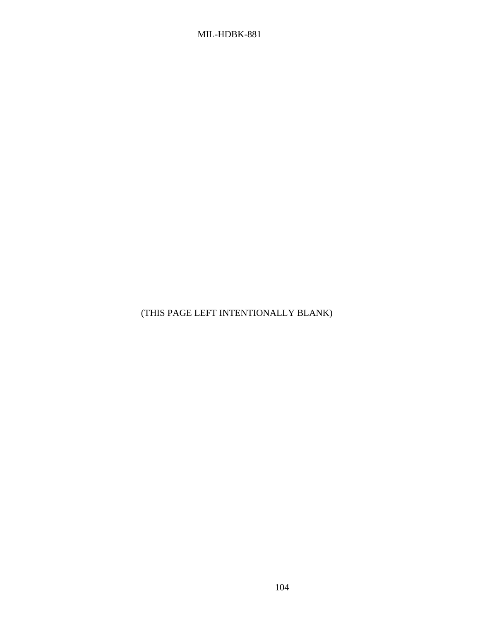(THIS PAGE LEFT INTENTIONALLY BLANK)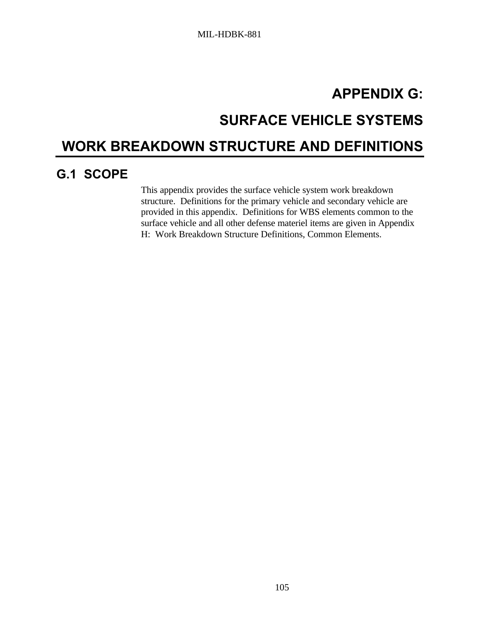# **APPENDIX G: SURFACE VEHICLE SYSTEMS**

# **WORK BREAKDOWN STRUCTURE AND DEFINITIONS**

# **G.1 SCOPE**

This appendix provides the surface vehicle system work breakdown structure. Definitions for the primary vehicle and secondary vehicle are provided in this appendix. Definitions for WBS elements common to the surface vehicle and all other defense materiel items are given in Appendix H: Work Breakdown Structure Definitions, Common Elements.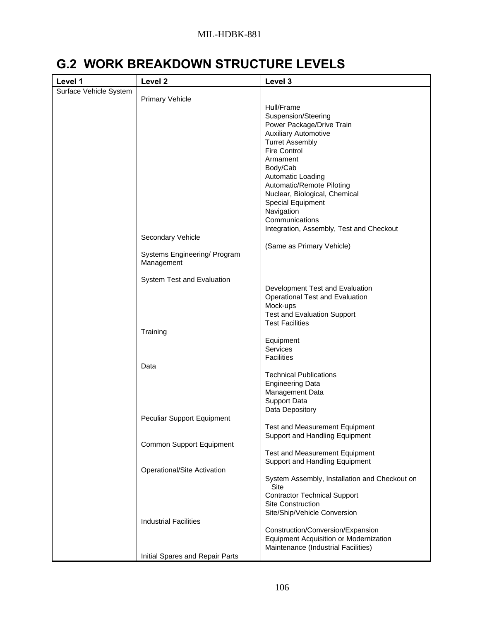# **G.2 WORK BREAKDOWN STRUCTURE LEVELS**

| Level 1                | Level <sub>2</sub>                         | Level 3                                                                                                                                                                          |
|------------------------|--------------------------------------------|----------------------------------------------------------------------------------------------------------------------------------------------------------------------------------|
| Surface Vehicle System |                                            |                                                                                                                                                                                  |
|                        | <b>Primary Vehicle</b>                     | Hull/Frame<br>Suspension/Steering<br>Power Package/Drive Train<br><b>Auxiliary Automotive</b><br><b>Turret Assembly</b><br><b>Fire Control</b><br>Armament<br>Body/Cab           |
|                        | Secondary Vehicle                          | Automatic Loading<br>Automatic/Remote Piloting<br>Nuclear, Biological, Chemical<br>Special Equipment<br>Navigation<br>Communications<br>Integration, Assembly, Test and Checkout |
|                        |                                            | (Same as Primary Vehicle)                                                                                                                                                        |
|                        | Systems Engineering/ Program<br>Management |                                                                                                                                                                                  |
|                        | System Test and Evaluation                 | Development Test and Evaluation<br>Operational Test and Evaluation<br>Mock-ups<br><b>Test and Evaluation Support</b>                                                             |
|                        | Training                                   | <b>Test Facilities</b>                                                                                                                                                           |
|                        |                                            | Equipment<br>Services<br><b>Facilities</b>                                                                                                                                       |
|                        | Data                                       |                                                                                                                                                                                  |
|                        |                                            | <b>Technical Publications</b><br><b>Engineering Data</b><br>Management Data<br><b>Support Data</b><br>Data Depository                                                            |
|                        | Peculiar Support Equipment                 |                                                                                                                                                                                  |
|                        |                                            | Test and Measurement Equipment<br>Support and Handling Equipment                                                                                                                 |
|                        | Common Support Equipment                   | Test and Measurement Equipment                                                                                                                                                   |
|                        | Operational/Site Activation                | Support and Handling Equipment<br>System Assembly, Installation and Checkout on<br>Site                                                                                          |
|                        |                                            | <b>Contractor Technical Support</b><br><b>Site Construction</b><br>Site/Ship/Vehicle Conversion                                                                                  |
|                        | <b>Industrial Facilities</b>               | Construction/Conversion/Expansion<br>Equipment Acquisition or Modernization<br>Maintenance (Industrial Facilities)                                                               |
|                        | Initial Spares and Repair Parts            |                                                                                                                                                                                  |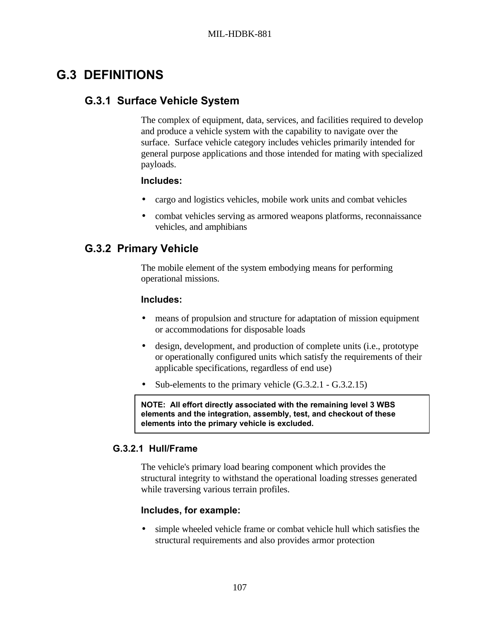# **G.3 DEFINITIONS**

# **G.3.1 Surface Vehicle System**

The complex of equipment, data, services, and facilities required to develop and produce a vehicle system with the capability to navigate over the surface. Surface vehicle category includes vehicles primarily intended for general purpose applications and those intended for mating with specialized payloads.

#### **Includes:**

- cargo and logistics vehicles, mobile work units and combat vehicles
- combat vehicles serving as armored weapons platforms, reconnaissance vehicles, and amphibians

# **G.3.2 Primary Vehicle**

The mobile element of the system embodying means for performing operational missions.

#### **Includes:**

- means of propulsion and structure for adaptation of mission equipment or accommodations for disposable loads
- design, development, and production of complete units (i.e., prototype or operationally configured units which satisfy the requirements of their applicable specifications, regardless of end use)
- Sub-elements to the primary vehicle  $(G.3.2.1 G.3.2.15)$

**NOTE: All effort directly associated with the remaining level 3 WBS elements and the integration, assembly, test, and checkout of these elements into the primary vehicle is excluded.**

#### **G.3.2.1 Hull/Frame**

The vehicle's primary load bearing component which provides the structural integrity to withstand the operational loading stresses generated while traversing various terrain profiles.

#### **Includes, for example:**

• simple wheeled vehicle frame or combat vehicle hull which satisfies the structural requirements and also provides armor protection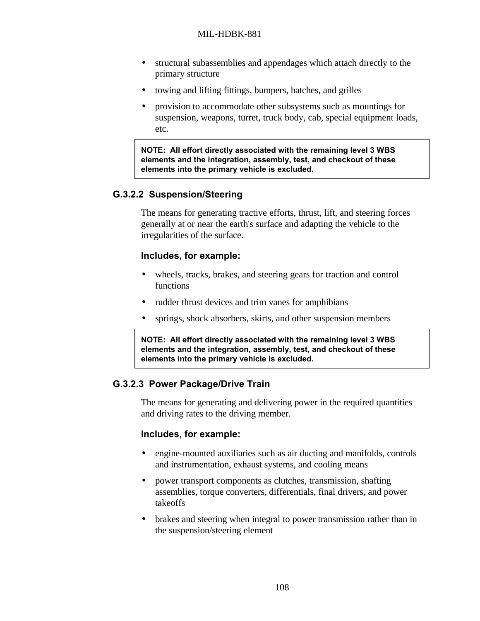- structural subassemblies and appendages which attach directly to the primary structure
- towing and lifting fittings, bumpers, hatches, and grilles
- provision to accommodate other subsystems such as mountings for suspension, weapons, turret, truck body, cab, special equipment loads, etc.

**NOTE: All effort directly associated with the remaining level 3 WBS elements and the integration, assembly, test, and checkout of these elements into the primary vehicle is excluded.**

#### **G.3.2.2 Suspension/Steering**

The means for generating tractive efforts, thrust, lift, and steering forces generally at or near the earth's surface and adapting the vehicle to the irregularities of the surface.

#### **Includes, for example:**

- wheels, tracks, brakes, and steering gears for traction and control functions
- rudder thrust devices and trim vanes for amphibians
- springs, shock absorbers, skirts, and other suspension members

**NOTE: All effort directly associated with the remaining level 3 WBS elements and the integration, assembly, test, and checkout of these elements into the primary vehicle is excluded.**

#### **G.3.2.3 Power Package/Drive Train**

The means for generating and delivering power in the required quantities and driving rates to the driving member.

#### **Includes, for example:**

- engine-mounted auxiliaries such as air ducting and manifolds, controls and instrumentation, exhaust systems, and cooling means
- power transport components as clutches, transmission, shafting assemblies, torque converters, differentials, final drivers, and power takeoffs
- brakes and steering when integral to power transmission rather than in the suspension/steering element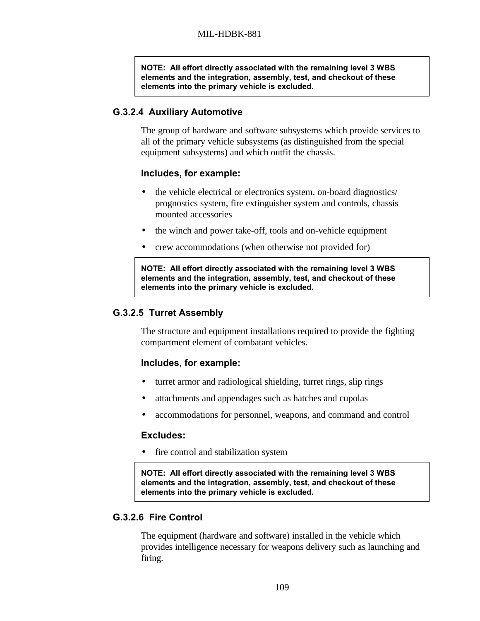**NOTE: All effort directly associated with the remaining level 3 WBS elements and the integration, assembly, test, and checkout of these elements into the primary vehicle is excluded.**

#### **G.3.2.4 Auxiliary Automotive**

The group of hardware and software subsystems which provide services to all of the primary vehicle subsystems (as distinguished from the special equipment subsystems) and which outfit the chassis.

#### **Includes, for example:**

- the vehicle electrical or electronics system, on-board diagnostics/ prognostics system, fire extinguisher system and controls, chassis mounted accessories
- the winch and power take-off, tools and on-vehicle equipment
- crew accommodations (when otherwise not provided for)

**NOTE: All effort directly associated with the remaining level 3 WBS elements and the integration, assembly, test, and checkout of these elements into the primary vehicle is excluded.**

#### **G.3.2.5 Turret Assembly**

The structure and equipment installations required to provide the fighting compartment element of combatant vehicles.

#### **Includes, for example:**

- turret armor and radiological shielding, turret rings, slip rings
- attachments and appendages such as hatches and cupolas
- accommodations for personnel, weapons, and command and control

#### **Excludes:**

• fire control and stabilization system

**NOTE: All effort directly associated with the remaining level 3 WBS elements and the integration, assembly, test, and checkout of these elements into the primary vehicle is excluded.**

#### **G.3.2.6 Fire Control**

The equipment (hardware and software) installed in the vehicle which provides intelligence necessary for weapons delivery such as launching and firing.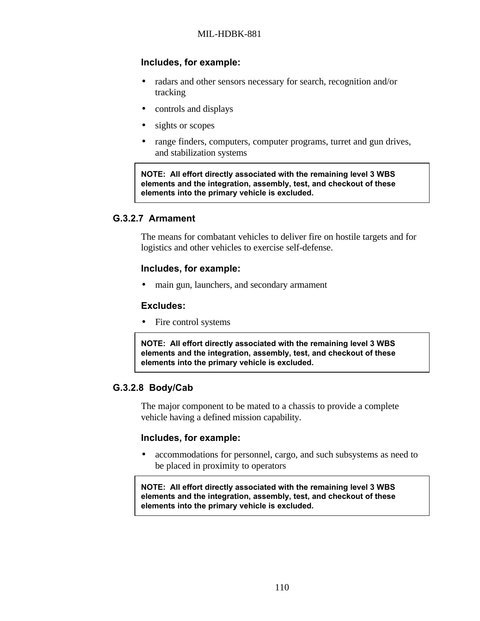- radars and other sensors necessary for search, recognition and/or tracking
- controls and displays
- sights or scopes
- range finders, computers, computer programs, turret and gun drives, and stabilization systems

**NOTE: All effort directly associated with the remaining level 3 WBS elements and the integration, assembly, test, and checkout of these elements into the primary vehicle is excluded.**

#### **G.3.2.7 Armament**

The means for combatant vehicles to deliver fire on hostile targets and for logistics and other vehicles to exercise self-defense.

#### **Includes, for example:**

• main gun, launchers, and secondary armament

#### **Excludes:**

• Fire control systems

**NOTE: All effort directly associated with the remaining level 3 WBS elements and the integration, assembly, test, and checkout of these elements into the primary vehicle is excluded.**

#### **G.3.2.8 Body/Cab**

The major component to be mated to a chassis to provide a complete vehicle having a defined mission capability.

#### **Includes, for example:**

• accommodations for personnel, cargo, and such subsystems as need to be placed in proximity to operators

**NOTE: All effort directly associated with the remaining level 3 WBS elements and the integration, assembly, test, and checkout of these elements into the primary vehicle is excluded.**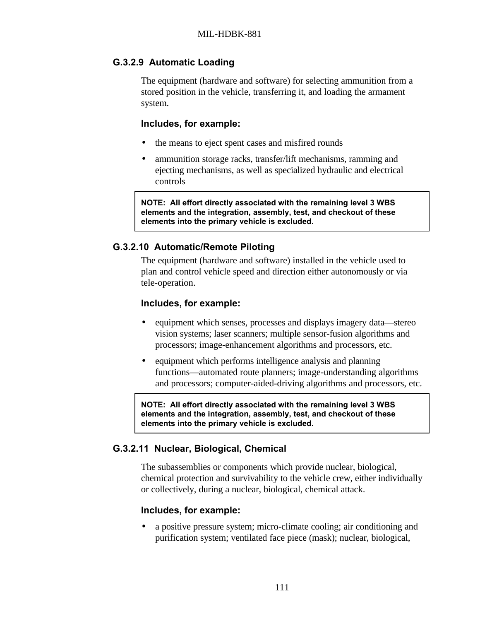#### **G.3.2.9 Automatic Loading**

The equipment (hardware and software) for selecting ammunition from a stored position in the vehicle, transferring it, and loading the armament system.

#### **Includes, for example:**

- the means to eject spent cases and misfired rounds
- ammunition storage racks, transfer/lift mechanisms, ramming and ejecting mechanisms, as well as specialized hydraulic and electrical controls

**NOTE: All effort directly associated with the remaining level 3 WBS elements and the integration, assembly, test, and checkout of these elements into the primary vehicle is excluded.**

#### **G.3.2.10 Automatic/Remote Piloting**

The equipment (hardware and software) installed in the vehicle used to plan and control vehicle speed and direction either autonomously or via tele-operation.

#### **Includes, for example:**

- equipment which senses, processes and displays imagery data—stereo vision systems; laser scanners; multiple sensor-fusion algorithms and processors; image-enhancement algorithms and processors, etc.
- equipment which performs intelligence analysis and planning functions—automated route planners; image-understanding algorithms and processors; computer-aided-driving algorithms and processors, etc.

**NOTE: All effort directly associated with the remaining level 3 WBS elements and the integration, assembly, test, and checkout of these elements into the primary vehicle is excluded.**

#### **G.3.2.11 Nuclear, Biological, Chemical**

The subassemblies or components which provide nuclear, biological, chemical protection and survivability to the vehicle crew, either individually or collectively, during a nuclear, biological, chemical attack.

#### **Includes, for example:**

• a positive pressure system; micro-climate cooling; air conditioning and purification system; ventilated face piece (mask); nuclear, biological,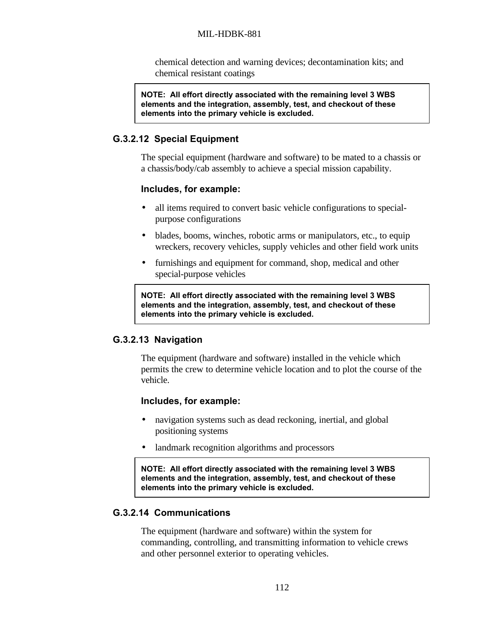#### MIL-HDBK-881

chemical detection and warning devices; decontamination kits; and chemical resistant coatings

**NOTE: All effort directly associated with the remaining level 3 WBS elements and the integration, assembly, test, and checkout of these elements into the primary vehicle is excluded.**

#### **G.3.2.12 Special Equipment**

The special equipment (hardware and software) to be mated to a chassis or a chassis/body/cab assembly to achieve a special mission capability.

#### **Includes, for example:**

- all items required to convert basic vehicle configurations to specialpurpose configurations
- blades, booms, winches, robotic arms or manipulators, etc., to equip wreckers, recovery vehicles, supply vehicles and other field work units
- furnishings and equipment for command, shop, medical and other special-purpose vehicles

**NOTE: All effort directly associated with the remaining level 3 WBS elements and the integration, assembly, test, and checkout of these elements into the primary vehicle is excluded.**

#### **G.3.2.13 Navigation**

The equipment (hardware and software) installed in the vehicle which permits the crew to determine vehicle location and to plot the course of the vehicle.

#### **Includes, for example:**

- navigation systems such as dead reckoning, inertial, and global positioning systems
- landmark recognition algorithms and processors

**NOTE: All effort directly associated with the remaining level 3 WBS elements and the integration, assembly, test, and checkout of these elements into the primary vehicle is excluded.**

#### **G.3.2.14 Communications**

The equipment (hardware and software) within the system for commanding, controlling, and transmitting information to vehicle crews and other personnel exterior to operating vehicles.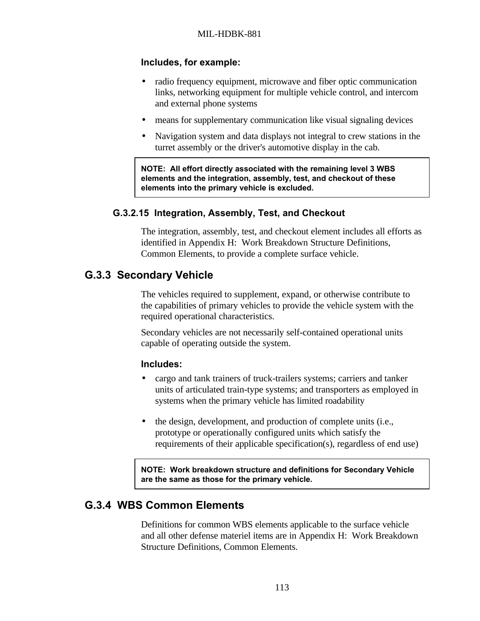- radio frequency equipment, microwave and fiber optic communication links, networking equipment for multiple vehicle control, and intercom and external phone systems
- means for supplementary communication like visual signaling devices
- Navigation system and data displays not integral to crew stations in the turret assembly or the driver's automotive display in the cab.

**NOTE: All effort directly associated with the remaining level 3 WBS elements and the integration, assembly, test, and checkout of these elements into the primary vehicle is excluded.**

#### **G.3.2.15 Integration, Assembly, Test, and Checkout**

The integration, assembly, test, and checkout element includes all efforts as identified in Appendix H: Work Breakdown Structure Definitions, Common Elements, to provide a complete surface vehicle.

# **G.3.3 Secondary Vehicle**

The vehicles required to supplement, expand, or otherwise contribute to the capabilities of primary vehicles to provide the vehicle system with the required operational characteristics.

Secondary vehicles are not necessarily self-contained operational units capable of operating outside the system.

#### **Includes:**

- cargo and tank trainers of truck-trailers systems; carriers and tanker units of articulated train-type systems; and transporters as employed in systems when the primary vehicle has limited roadability
- the design, development, and production of complete units (i.e., prototype or operationally configured units which satisfy the requirements of their applicable specification(s), regardless of end use)

**NOTE: Work breakdown structure and definitions for Secondary Vehicle are the same as those for the primary vehicle.**

# **G.3.4 WBS Common Elements**

Definitions for common WBS elements applicable to the surface vehicle and all other defense materiel items are in Appendix H: Work Breakdown Structure Definitions, Common Elements.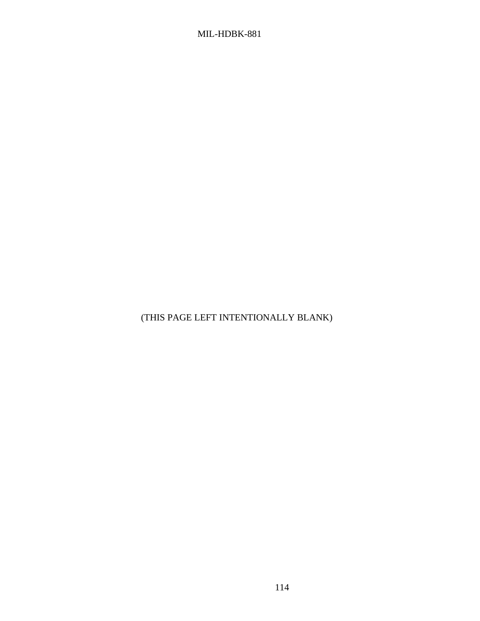(THIS PAGE LEFT INTENTIONALLY BLANK)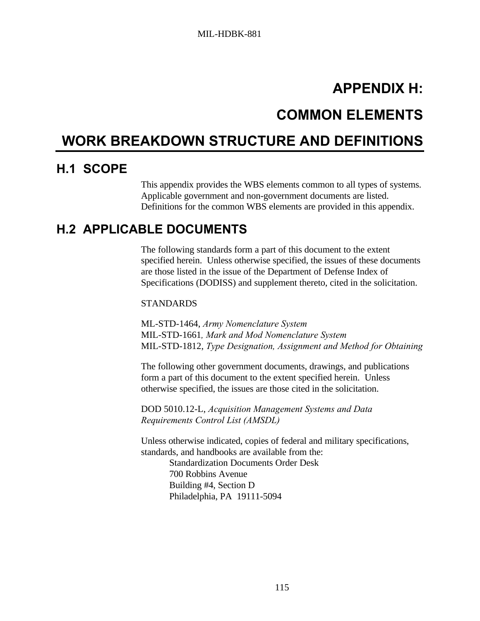# **APPENDIX H:**

# **COMMON ELEMENTS**

# **WORK BREAKDOWN STRUCTURE AND DEFINITIONS**

# **H.1 SCOPE**

This appendix provides the WBS elements common to all types of systems. Applicable government and non-government documents are listed. Definitions for the common WBS elements are provided in this appendix.

# **H.2 APPLICABLE DOCUMENTS**

The following standards form a part of this document to the extent specified herein. Unless otherwise specified, the issues of these documents are those listed in the issue of the Department of Defense Index of Specifications (DODISS) and supplement thereto, cited in the solicitation.

#### **STANDARDS**

ML-STD-1464, *Army Nomenclature System* MIL-STD-1661*, Mark and Mod Nomenclature System* MIL-STD-1812, *Type Designation, Assignment and Method for Obtaining*

The following other government documents, drawings, and publications form a part of this document to the extent specified herein. Unless otherwise specified, the issues are those cited in the solicitation.

DOD 5010.12-L, *Acquisition Management Systems and Data Requirements Control List (AMSDL)*

Unless otherwise indicated, copies of federal and military specifications, standards, and handbooks are available from the:

> Standardization Documents Order Desk 700 Robbins Avenue Building #4, Section D Philadelphia, PA 19111-5094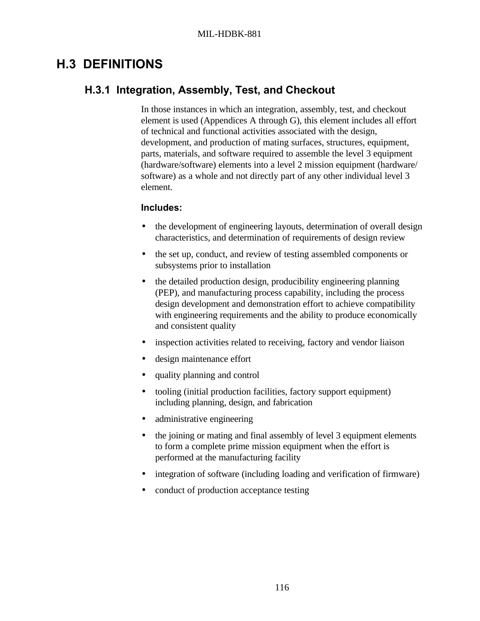# **H.3 DEFINITIONS**

### **H.3.1 Integration, Assembly, Test, and Checkout**

In those instances in which an integration, assembly, test, and checkout element is used (Appendices A through G), this element includes all effort of technical and functional activities associated with the design, development, and production of mating surfaces, structures, equipment, parts, materials, and software required to assemble the level 3 equipment (hardware/software) elements into a level 2 mission equipment (hardware/ software) as a whole and not directly part of any other individual level 3 element.

#### **Includes:**

- the development of engineering layouts, determination of overall design characteristics, and determination of requirements of design review
- the set up, conduct, and review of testing assembled components or subsystems prior to installation
- the detailed production design, producibility engineering planning (PEP), and manufacturing process capability, including the process design development and demonstration effort to achieve compatibility with engineering requirements and the ability to produce economically and consistent quality
- inspection activities related to receiving, factory and vendor liaison
- design maintenance effort
- quality planning and control
- tooling (initial production facilities, factory support equipment) including planning, design, and fabrication
- administrative engineering
- the joining or mating and final assembly of level 3 equipment elements to form a complete prime mission equipment when the effort is performed at the manufacturing facility
- integration of software (including loading and verification of firmware)
- conduct of production acceptance testing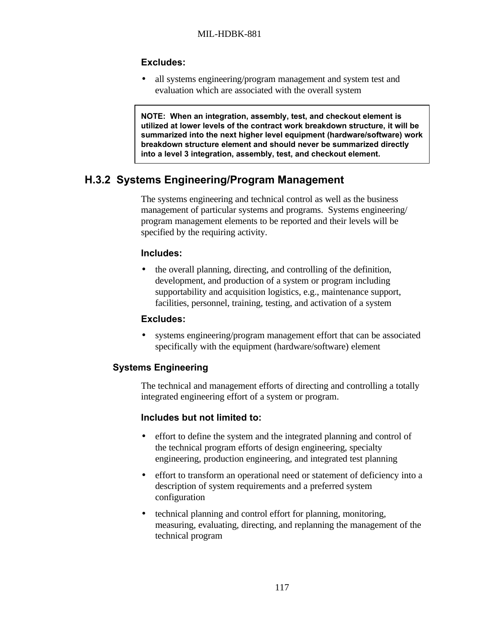#### **Excludes:**

• all systems engineering/program management and system test and evaluation which are associated with the overall system

**NOTE: When an integration, assembly, test, and checkout element is utilized at lower levels of the contract work breakdown structure, it will be summarized into the next higher level equipment (hardware/software) work breakdown structure element and should never be summarized directly into a level 3 integration, assembly, test, and checkout element.**

# **H.3.2 Systems Engineering/Program Management**

The systems engineering and technical control as well as the business management of particular systems and programs. Systems engineering/ program management elements to be reported and their levels will be specified by the requiring activity.

#### **Includes:**

• the overall planning, directing, and controlling of the definition, development, and production of a system or program including supportability and acquisition logistics, e.g., maintenance support, facilities, personnel, training, testing, and activation of a system

#### **Excludes:**

• systems engineering/program management effort that can be associated specifically with the equipment (hardware/software) element

#### **Systems Engineering**

The technical and management efforts of directing and controlling a totally integrated engineering effort of a system or program.

#### **Includes but not limited to:**

- effort to define the system and the integrated planning and control of the technical program efforts of design engineering, specialty engineering, production engineering, and integrated test planning
- effort to transform an operational need or statement of deficiency into a description of system requirements and a preferred system configuration
- technical planning and control effort for planning, monitoring, measuring, evaluating, directing, and replanning the management of the technical program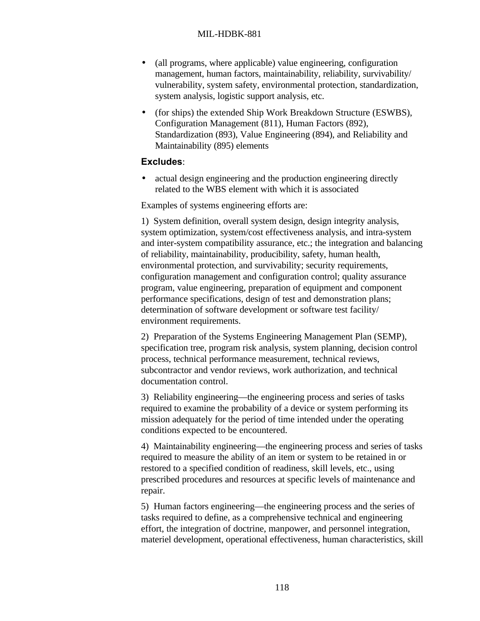#### MIL-HDBK-881

- (all programs, where applicable) value engineering, configuration management, human factors, maintainability, reliability, survivability/ vulnerability, system safety, environmental protection, standardization, system analysis, logistic support analysis, etc.
- (for ships) the extended Ship Work Breakdown Structure (ESWBS), Configuration Management (811), Human Factors (892), Standardization (893), Value Engineering (894), and Reliability and Maintainability (895) elements

#### **Excludes**:

• actual design engineering and the production engineering directly related to the WBS element with which it is associated

Examples of systems engineering efforts are:

1) System definition, overall system design, design integrity analysis, system optimization, system/cost effectiveness analysis, and intra-system and inter-system compatibility assurance, etc.; the integration and balancing of reliability, maintainability, producibility, safety, human health, environmental protection, and survivability; security requirements, configuration management and configuration control; quality assurance program, value engineering, preparation of equipment and component performance specifications, design of test and demonstration plans; determination of software development or software test facility/ environment requirements.

2) Preparation of the Systems Engineering Management Plan (SEMP), specification tree, program risk analysis, system planning, decision control process, technical performance measurement, technical reviews, subcontractor and vendor reviews, work authorization, and technical documentation control.

3) Reliability engineering—the engineering process and series of tasks required to examine the probability of a device or system performing its mission adequately for the period of time intended under the operating conditions expected to be encountered.

4) Maintainability engineering—the engineering process and series of tasks required to measure the ability of an item or system to be retained in or restored to a specified condition of readiness, skill levels, etc., using prescribed procedures and resources at specific levels of maintenance and repair.

5) Human factors engineering—the engineering process and the series of tasks required to define, as a comprehensive technical and engineering effort, the integration of doctrine, manpower, and personnel integration, materiel development, operational effectiveness, human characteristics, skill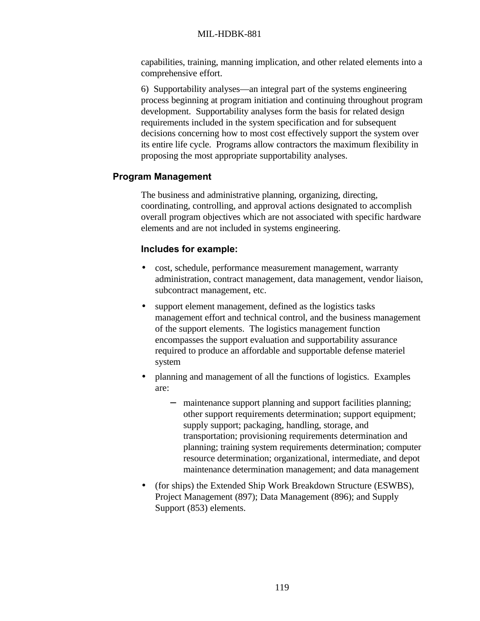#### MIL-HDBK-881

capabilities, training, manning implication, and other related elements into a comprehensive effort.

6) Supportability analyses—an integral part of the systems engineering process beginning at program initiation and continuing throughout program development. Supportability analyses form the basis for related design requirements included in the system specification and for subsequent decisions concerning how to most cost effectively support the system over its entire life cycle. Programs allow contractors the maximum flexibility in proposing the most appropriate supportability analyses.

#### **Program Management**

The business and administrative planning, organizing, directing, coordinating, controlling, and approval actions designated to accomplish overall program objectives which are not associated with specific hardware elements and are not included in systems engineering.

#### **Includes for example:**

- cost, schedule, performance measurement management, warranty administration, contract management, data management, vendor liaison, subcontract management, etc.
- support element management, defined as the logistics tasks management effort and technical control, and the business management of the support elements. The logistics management function encompasses the support evaluation and supportability assurance required to produce an affordable and supportable defense materiel system
- planning and management of all the functions of logistics. Examples are:
	- − maintenance support planning and support facilities planning; other support requirements determination; support equipment; supply support; packaging, handling, storage, and transportation; provisioning requirements determination and planning; training system requirements determination; computer resource determination; organizational, intermediate, and depot maintenance determination management; and data management
- (for ships) the Extended Ship Work Breakdown Structure (ESWBS), Project Management (897); Data Management (896); and Supply Support (853) elements.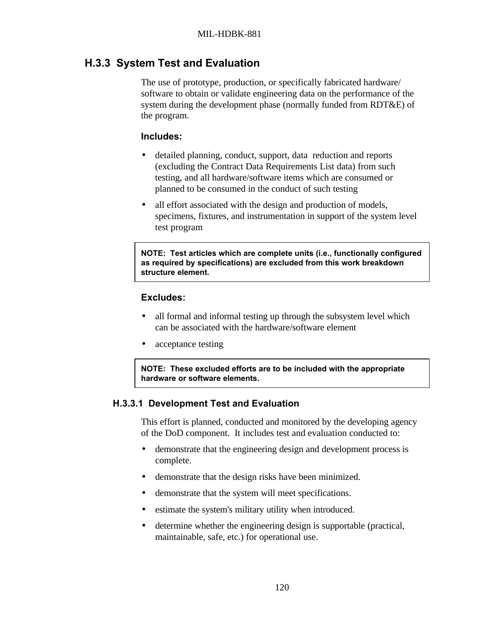# **H.3.3 System Test and Evaluation**

The use of prototype, production, or specifically fabricated hardware/ software to obtain or validate engineering data on the performance of the system during the development phase (normally funded from RDT&E) of the program.

#### **Includes:**

- detailed planning, conduct, support, data reduction and reports (excluding the Contract Data Requirements List data) from such testing, and all hardware/software items which are consumed or planned to be consumed in the conduct of such testing
- all effort associated with the design and production of models, specimens, fixtures, and instrumentation in support of the system level test program

**NOTE: Test articles which are complete units (i.e., functionally configured as required by specifications) are excluded from this work breakdown structure element.**

#### **Excludes:**

- all formal and informal testing up through the subsystem level which can be associated with the hardware/software element
- acceptance testing

**NOTE: These excluded efforts are to be included with the appropriate hardware or software elements.**

#### **H.3.3.1 Development Test and Evaluation**

This effort is planned, conducted and monitored by the developing agency of the DoD component. It includes test and evaluation conducted to:

- demonstrate that the engineering design and development process is complete.
- demonstrate that the design risks have been minimized.
- demonstrate that the system will meet specifications.
- estimate the system's military utility when introduced.
- determine whether the engineering design is supportable (practical, maintainable, safe, etc.) for operational use.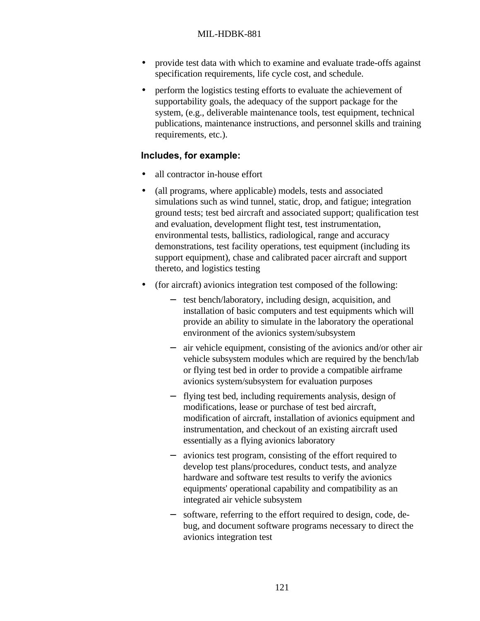- provide test data with which to examine and evaluate trade-offs against specification requirements, life cycle cost, and schedule.
- perform the logistics testing efforts to evaluate the achievement of supportability goals, the adequacy of the support package for the system, (e.g., deliverable maintenance tools, test equipment, technical publications, maintenance instructions, and personnel skills and training requirements, etc.).

- all contractor in-house effort
- (all programs, where applicable) models, tests and associated simulations such as wind tunnel, static, drop, and fatigue; integration ground tests; test bed aircraft and associated support; qualification test and evaluation, development flight test, test instrumentation, environmental tests, ballistics, radiological, range and accuracy demonstrations, test facility operations, test equipment (including its support equipment), chase and calibrated pacer aircraft and support thereto, and logistics testing
- (for aircraft) avionics integration test composed of the following:
	- − test bench/laboratory, including design, acquisition, and installation of basic computers and test equipments which will provide an ability to simulate in the laboratory the operational environment of the avionics system/subsystem
	- − air vehicle equipment, consisting of the avionics and/or other air vehicle subsystem modules which are required by the bench/lab or flying test bed in order to provide a compatible airframe avionics system/subsystem for evaluation purposes
	- − flying test bed, including requirements analysis, design of modifications, lease or purchase of test bed aircraft, modification of aircraft, installation of avionics equipment and instrumentation, and checkout of an existing aircraft used essentially as a flying avionics laboratory
	- avionics test program, consisting of the effort required to develop test plans/procedures, conduct tests, and analyze hardware and software test results to verify the avionics equipments' operational capability and compatibility as an integrated air vehicle subsystem
	- software, referring to the effort required to design, code, debug, and document software programs necessary to direct the avionics integration test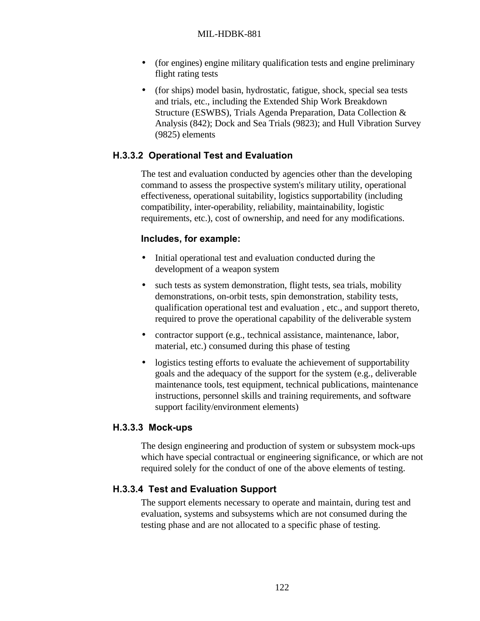- (for engines) engine military qualification tests and engine preliminary flight rating tests
- (for ships) model basin, hydrostatic, fatigue, shock, special sea tests and trials, etc., including the Extended Ship Work Breakdown Structure (ESWBS), Trials Agenda Preparation, Data Collection & Analysis (842); Dock and Sea Trials (9823); and Hull Vibration Survey (9825) elements

#### **H.3.3.2 Operational Test and Evaluation**

The test and evaluation conducted by agencies other than the developing command to assess the prospective system's military utility, operational effectiveness, operational suitability, logistics supportability (including compatibility, inter-operability, reliability, maintainability, logistic requirements, etc.), cost of ownership, and need for any modifications.

#### **Includes, for example:**

- Initial operational test and evaluation conducted during the development of a weapon system
- such tests as system demonstration, flight tests, sea trials, mobility demonstrations, on-orbit tests, spin demonstration, stability tests, qualification operational test and evaluation , etc., and support thereto, required to prove the operational capability of the deliverable system
- contractor support (e.g., technical assistance, maintenance, labor, material, etc.) consumed during this phase of testing
- logistics testing efforts to evaluate the achievement of supportability goals and the adequacy of the support for the system (e.g., deliverable maintenance tools, test equipment, technical publications, maintenance instructions, personnel skills and training requirements, and software support facility/environment elements)

#### **H.3.3.3 Mock-ups**

The design engineering and production of system or subsystem mock-ups which have special contractual or engineering significance, or which are not required solely for the conduct of one of the above elements of testing.

#### **H.3.3.4 Test and Evaluation Support**

The support elements necessary to operate and maintain, during test and evaluation, systems and subsystems which are not consumed during the testing phase and are not allocated to a specific phase of testing.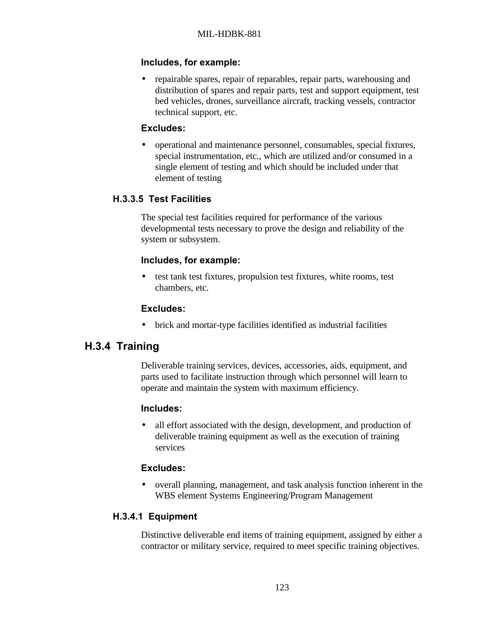• repairable spares, repair of reparables, repair parts, warehousing and distribution of spares and repair parts, test and support equipment, test bed vehicles, drones, surveillance aircraft, tracking vessels, contractor technical support, etc.

#### **Excludes:**

• operational and maintenance personnel, consumables, special fixtures, special instrumentation, etc., which are utilized and/or consumed in a single element of testing and which should be included under that element of testing

#### **H.3.3.5 Test Facilities**

The special test facilities required for performance of the various developmental tests necessary to prove the design and reliability of the system or subsystem.

#### **Includes, for example:**

• test tank test fixtures, propulsion test fixtures, white rooms, test chambers, etc.

#### **Excludes:**

• brick and mortar-type facilities identified as industrial facilities

# **H.3.4 Training**

Deliverable training services, devices, accessories, aids, equipment, and parts used to facilitate instruction through which personnel will learn to operate and maintain the system with maximum efficiency.

#### **Includes:**

• all effort associated with the design, development, and production of deliverable training equipment as well as the execution of training services

#### **Excludes:**

• overall planning, management, and task analysis function inherent in the WBS element Systems Engineering/Program Management

#### **H.3.4.1 Equipment**

Distinctive deliverable end items of training equipment, assigned by either a contractor or military service, required to meet specific training objectives.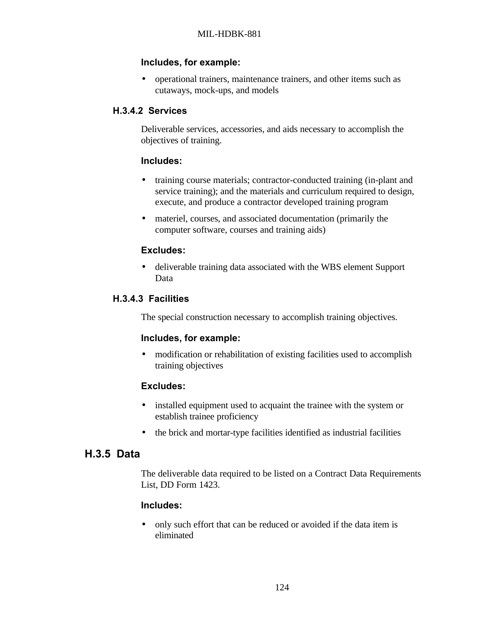• operational trainers, maintenance trainers, and other items such as cutaways, mock-ups, and models

#### **H.3.4.2 Services**

Deliverable services, accessories, and aids necessary to accomplish the objectives of training.

#### **Includes:**

- training course materials; contractor-conducted training (in-plant and service training); and the materials and curriculum required to design, execute, and produce a contractor developed training program
- materiel, courses, and associated documentation (primarily the computer software, courses and training aids)

#### **Excludes:**

• deliverable training data associated with the WBS element Support Data

#### **H.3.4.3 Facilities**

The special construction necessary to accomplish training objectives.

#### **Includes, for example:**

• modification or rehabilitation of existing facilities used to accomplish training objectives

#### **Excludes:**

- installed equipment used to acquaint the trainee with the system or establish trainee proficiency
- the brick and mortar-type facilities identified as industrial facilities

#### **H.3.5 Data**

The deliverable data required to be listed on a Contract Data Requirements List, DD Form 1423.

#### **Includes:**

• only such effort that can be reduced or avoided if the data item is eliminated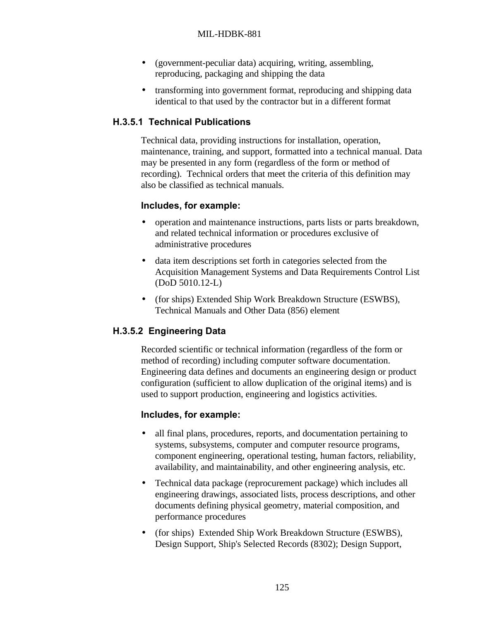- (government-peculiar data) acquiring, writing, assembling, reproducing, packaging and shipping the data
- transforming into government format, reproducing and shipping data identical to that used by the contractor but in a different format

### **H.3.5.1 Technical Publications**

Technical data, providing instructions for installation, operation, maintenance, training, and support, formatted into a technical manual. Data may be presented in any form (regardless of the form or method of recording). Technical orders that meet the criteria of this definition may also be classified as technical manuals.

#### **Includes, for example:**

- operation and maintenance instructions, parts lists or parts breakdown, and related technical information or procedures exclusive of administrative procedures
- data item descriptions set forth in categories selected from the Acquisition Management Systems and Data Requirements Control List (DoD 5010.12-L)
- (for ships) Extended Ship Work Breakdown Structure (ESWBS), Technical Manuals and Other Data (856) element

# **H.3.5.2 Engineering Data**

Recorded scientific or technical information (regardless of the form or method of recording) including computer software documentation. Engineering data defines and documents an engineering design or product configuration (sufficient to allow duplication of the original items) and is used to support production, engineering and logistics activities.

#### **Includes, for example:**

- all final plans, procedures, reports, and documentation pertaining to systems, subsystems, computer and computer resource programs, component engineering, operational testing, human factors, reliability, availability, and maintainability, and other engineering analysis, etc.
- Technical data package (reprocurement package) which includes all engineering drawings, associated lists, process descriptions, and other documents defining physical geometry, material composition, and performance procedures
- (for ships) Extended Ship Work Breakdown Structure (ESWBS), Design Support, Ship's Selected Records (8302); Design Support,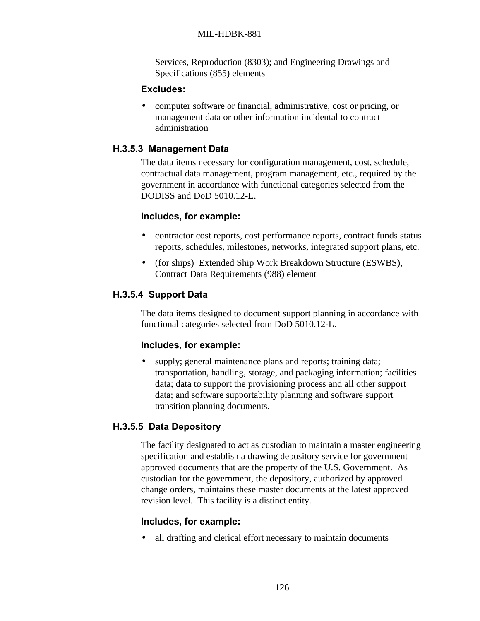#### MIL-HDBK-881

Services, Reproduction (8303); and Engineering Drawings and Specifications (855) elements

#### **Excludes:**

• computer software or financial, administrative, cost or pricing, or management data or other information incidental to contract administration

#### **H.3.5.3 Management Data**

The data items necessary for configuration management, cost, schedule, contractual data management, program management, etc., required by the government in accordance with functional categories selected from the DODISS and DoD 5010.12-L.

#### **Includes, for example:**

- contractor cost reports, cost performance reports, contract funds status reports, schedules, milestones, networks, integrated support plans, etc.
- (for ships) Extended Ship Work Breakdown Structure (ESWBS), Contract Data Requirements (988) element

#### **H.3.5.4 Support Data**

The data items designed to document support planning in accordance with functional categories selected from DoD 5010.12-L.

#### **Includes, for example:**

• supply; general maintenance plans and reports; training data; transportation, handling, storage, and packaging information; facilities data; data to support the provisioning process and all other support data; and software supportability planning and software support transition planning documents.

#### **H.3.5.5 Data Depository**

The facility designated to act as custodian to maintain a master engineering specification and establish a drawing depository service for government approved documents that are the property of the U.S. Government. As custodian for the government, the depository, authorized by approved change orders, maintains these master documents at the latest approved revision level. This facility is a distinct entity.

#### **Includes, for example:**

• all drafting and clerical effort necessary to maintain documents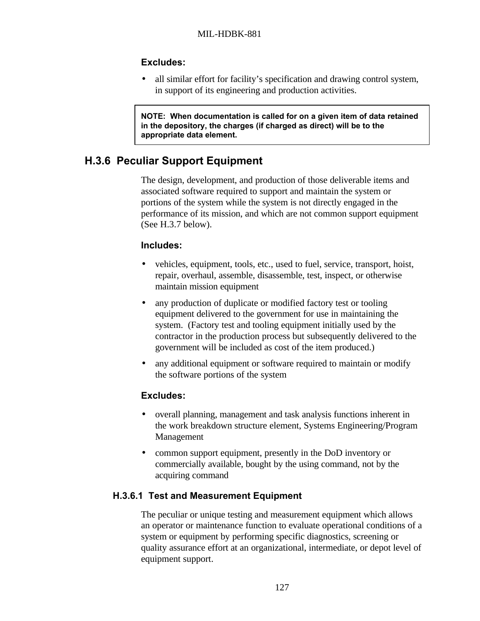#### **Excludes:**

• all similar effort for facility's specification and drawing control system, in support of its engineering and production activities.

**NOTE: When documentation is called for on a given item of data retained in the depository, the charges (if charged as direct) will be to the appropriate data element.**

# **H.3.6 Peculiar Support Equipment**

The design, development, and production of those deliverable items and associated software required to support and maintain the system or portions of the system while the system is not directly engaged in the performance of its mission, and which are not common support equipment (See H.3.7 below).

#### **Includes:**

- vehicles, equipment, tools, etc., used to fuel, service, transport, hoist, repair, overhaul, assemble, disassemble, test, inspect, or otherwise maintain mission equipment
- any production of duplicate or modified factory test or tooling equipment delivered to the government for use in maintaining the system. (Factory test and tooling equipment initially used by the contractor in the production process but subsequently delivered to the government will be included as cost of the item produced.)
- any additional equipment or software required to maintain or modify the software portions of the system

#### **Excludes:**

- overall planning, management and task analysis functions inherent in the work breakdown structure element, Systems Engineering/Program Management
- common support equipment, presently in the DoD inventory or commercially available, bought by the using command, not by the acquiring command

#### **H.3.6.1 Test and Measurement Equipment**

The peculiar or unique testing and measurement equipment which allows an operator or maintenance function to evaluate operational conditions of a system or equipment by performing specific diagnostics, screening or quality assurance effort at an organizational, intermediate, or depot level of equipment support.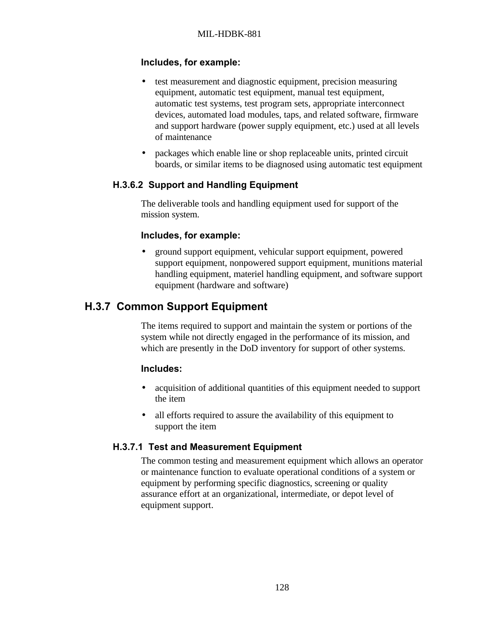- test measurement and diagnostic equipment, precision measuring equipment, automatic test equipment, manual test equipment, automatic test systems, test program sets, appropriate interconnect devices, automated load modules, taps, and related software, firmware and support hardware (power supply equipment, etc.) used at all levels of maintenance
- packages which enable line or shop replaceable units, printed circuit boards, or similar items to be diagnosed using automatic test equipment

#### **H.3.6.2 Support and Handling Equipment**

The deliverable tools and handling equipment used for support of the mission system.

#### **Includes, for example:**

• ground support equipment, vehicular support equipment, powered support equipment, nonpowered support equipment, munitions material handling equipment, materiel handling equipment, and software support equipment (hardware and software)

# **H.3.7 Common Support Equipment**

The items required to support and maintain the system or portions of the system while not directly engaged in the performance of its mission, and which are presently in the DoD inventory for support of other systems.

#### **Includes:**

- acquisition of additional quantities of this equipment needed to support the item
- all efforts required to assure the availability of this equipment to support the item

#### **H.3.7.1 Test and Measurement Equipment**

The common testing and measurement equipment which allows an operator or maintenance function to evaluate operational conditions of a system or equipment by performing specific diagnostics, screening or quality assurance effort at an organizational, intermediate, or depot level of equipment support.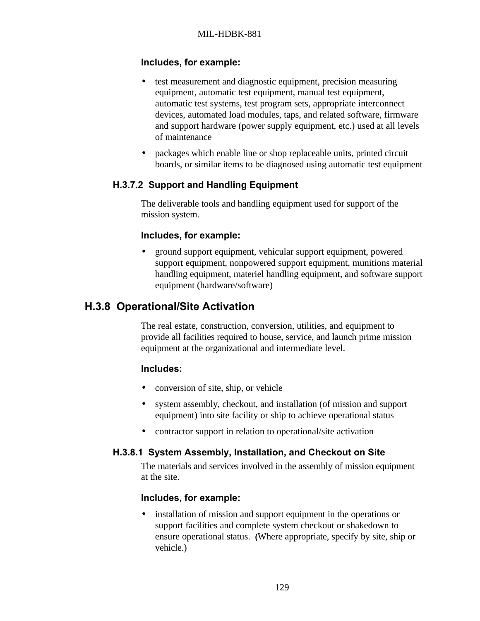- test measurement and diagnostic equipment, precision measuring equipment, automatic test equipment, manual test equipment, automatic test systems, test program sets, appropriate interconnect devices, automated load modules, taps, and related software, firmware and support hardware (power supply equipment, etc.) used at all levels of maintenance
- packages which enable line or shop replaceable units, printed circuit boards, or similar items to be diagnosed using automatic test equipment

#### **H.3.7.2 Support and Handling Equipment**

The deliverable tools and handling equipment used for support of the mission system.

#### **Includes, for example:**

• ground support equipment, vehicular support equipment, powered support equipment, nonpowered support equipment, munitions material handling equipment, materiel handling equipment, and software support equipment (hardware/software)

# **H.3.8 Operational/Site Activation**

The real estate, construction, conversion, utilities, and equipment to provide all facilities required to house, service, and launch prime mission equipment at the organizational and intermediate level.

#### **Includes:**

- conversion of site, ship, or vehicle
- system assembly, checkout, and installation (of mission and support equipment) into site facility or ship to achieve operational status
- contractor support in relation to operational/site activation

#### **H.3.8.1 System Assembly, Installation, and Checkout on Site**

The materials and services involved in the assembly of mission equipment at the site.

#### **Includes, for example:**

• installation of mission and support equipment in the operations or support facilities and complete system checkout or shakedown to ensure operational status. **(**Where appropriate, specify by site, ship or vehicle.)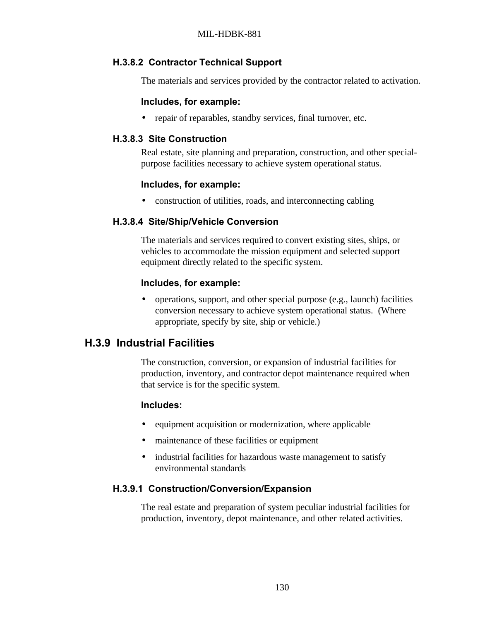#### **H.3.8.2 Contractor Technical Support**

The materials and services provided by the contractor related to activation.

#### **Includes, for example:**

• repair of reparables, standby services, final turnover, etc.

#### **H.3.8.3 Site Construction**

Real estate, site planning and preparation, construction, and other specialpurpose facilities necessary to achieve system operational status.

#### **Includes, for example:**

• construction of utilities, roads, and interconnecting cabling

#### **H.3.8.4 Site/Ship/Vehicle Conversion**

The materials and services required to convert existing sites, ships, or vehicles to accommodate the mission equipment and selected support equipment directly related to the specific system.

#### **Includes, for example:**

• operations, support, and other special purpose (e.g., launch) facilities conversion necessary to achieve system operational status. (Where appropriate, specify by site, ship or vehicle.)

# **H.3.9 Industrial Facilities**

The construction, conversion, or expansion of industrial facilities for production, inventory, and contractor depot maintenance required when that service is for the specific system.

#### **Includes:**

- equipment acquisition or modernization, where applicable
- maintenance of these facilities or equipment
- industrial facilities for hazardous waste management to satisfy environmental standards

#### **H.3.9.1 Construction/Conversion/Expansion**

The real estate and preparation of system peculiar industrial facilities for production, inventory, depot maintenance, and other related activities.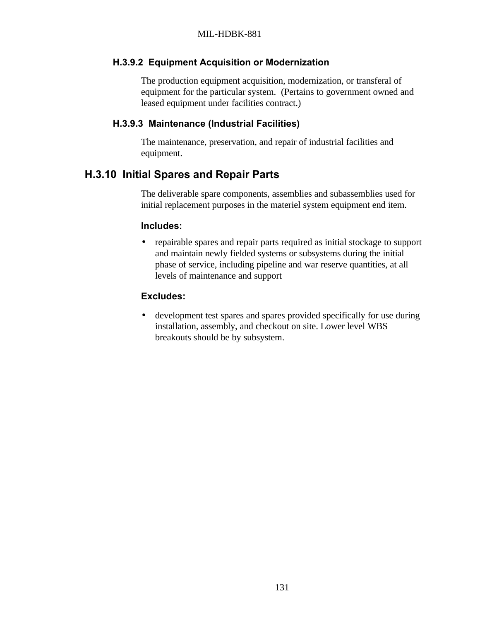#### **H.3.9.2 Equipment Acquisition or Modernization**

The production equipment acquisition, modernization, or transferal of equipment for the particular system. (Pertains to government owned and leased equipment under facilities contract.)

#### **H.3.9.3 Maintenance (Industrial Facilities)**

The maintenance, preservation, and repair of industrial facilities and equipment.

# **H.3.10 Initial Spares and Repair Parts**

The deliverable spare components, assemblies and subassemblies used for initial replacement purposes in the materiel system equipment end item.

#### **Includes:**

• repairable spares and repair parts required as initial stockage to support and maintain newly fielded systems or subsystems during the initial phase of service, including pipeline and war reserve quantities, at all levels of maintenance and support

#### **Excludes:**

• development test spares and spares provided specifically for use during installation, assembly, and checkout on site. Lower level WBS breakouts should be by subsystem.